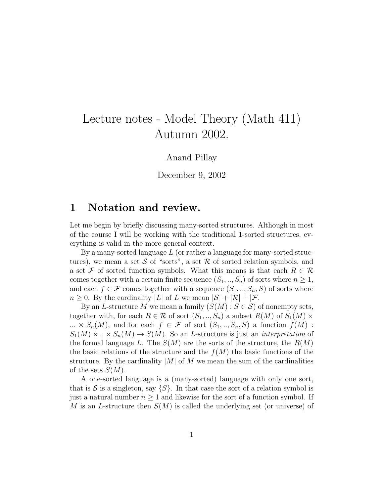# Lecture notes - Model Theory (Math 411) Autumn 2002.

#### Anand Pillay

December 9, 2002

### 1 Notation and review.

Let me begin by briefly discussing many-sorted structures. Although in most of the course I will be working with the traditional 1-sorted structures, everything is valid in the more general context.

By a many-sorted language  $L$  (or rather a language for many-sorted structures), we mean a set S of "sorts", a set R of sorted relation symbols, and a set F of sorted function symbols. What this means is that each  $R \in \mathcal{R}$ comes together with a certain finite sequence  $(S_1, ..., S_n)$  of sorts where  $n \geq 1$ , and each  $f \in \mathcal{F}$  comes together with a sequence  $(S_1, ..., S_n, S)$  of sorts where  $n \geq 0$ . By the cardinality |L| of L we mean  $|\mathcal{S}| + |\mathcal{R}| + |\mathcal{F}|$ .

By an L-structure M we mean a family  $(S(M) : S \in \mathcal{S})$  of nonempty sets, together with, for each  $R \in \mathcal{R}$  of sort  $(S_1, ..., S_n)$  a subset  $R(M)$  of  $S_1(M)$ ...  $\times S_n(M)$ , and for each  $f \in \mathcal{F}$  of sort  $(S_1, ..., S_n, S)$  a function  $f(M)$ :  $S_1(M) \times \ldots \times S_n(M) \to S(M)$ . So an L-structure is just an *interpretation* of the formal language L. The  $S(M)$  are the sorts of the structure, the  $R(M)$ the basic relations of the structure and the  $f(M)$  the basic functions of the structure. By the cardinality  $|M|$  of M we mean the sum of the cardinalities of the sets  $S(M)$ .

A one-sorted language is a (many-sorted) language with only one sort, that is S is a singleton, say  $\{S\}$ . In that case the sort of a relation symbol is just a natural number  $n \geq 1$  and likewise for the sort of a function symbol. If M is an L-structure then  $S(M)$  is called the underlying set (or universe) of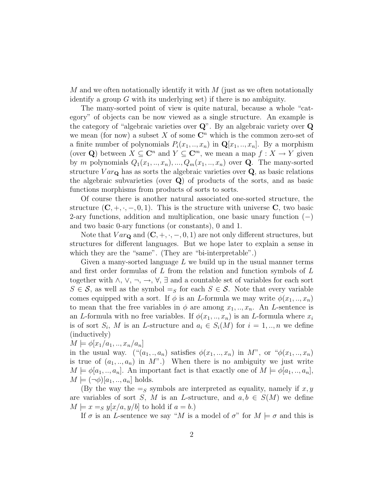M and we often notationally identify it with  $M$  (just as we often notationally identify a group  $G$  with its underlying set) if there is no ambiguity.

The many-sorted point of view is quite natural, because a whole "category" of objects can be now viewed as a single structure. An example is the category of "algebraic varieties over Q". By an algebraic variety over Q we mean (for now) a subset X of some  $\mathbb{C}^n$  which is the common zero-set of a finite number of polynomials  $P_i(x_1, \ldots, x_n)$  in  $\mathbf{Q}[x_1, \ldots, x_n]$ . By a morphism (over Q) between  $X \subseteq \mathbb{C}^n$  and  $Y \subseteq \mathbb{C}^m$ , we mean a map  $f : X \to Y$  given by m polynomials  $Q_1(x_1,..,x_n),..., Q_m(x_1,..,x_n)$  over **Q**. The many-sorted structure  $Var_{\mathbf{Q}}$  has as sorts the algebraic varieties over  $\mathbf{Q}$ , as basic relations the algebraic subvarieties (over  $Q$ ) of products of the sorts, and as basic functions morphisms from products of sorts to sorts.

Of course there is another natural associated one-sorted structure, the structure  $(C, +, \cdot, -, 0, 1)$ . This is the structure with universe C, two basic 2-ary functions, addition and multiplication, one basic unary function (−) and two basic 0-ary functions (or constants), 0 and 1.

Note that  $Var_{\mathbf{Q}}$  and  $(\mathbf{C}, +, \cdot, -, 0, 1)$  are not only different structures, but structures for different languages. But we hope later to explain a sense in which they are the "same". (They are "bi-interpretable".)

Given a many-sorted language  $L$  we build up in the usual manner terms and first order formulas of L from the relation and function symbols of L together with  $\wedge$ ,  $\vee$ ,  $\neg$ ,  $\rightarrow$ ,  $\forall$ ,  $\exists$  and a countable set of variables for each sort  $S \in \mathcal{S}$ , as well as the symbol  $=_S$  for each  $S \in \mathcal{S}$ . Note that every variable comes equipped with a sort. If  $\phi$  is an *L*-formula we may write  $\phi(x_1,..,x_n)$ to mean that the free variables in  $\phi$  are among  $x_1, \ldots, x_n$ . An *L*-sentence is an L-formula with no free variables. If  $\phi(x_1, \ldots, x_n)$  is an L-formula where  $x_i$ is of sort  $S_i$ , M is an L-structure and  $a_i \in S_i(M)$  for  $i = 1, ..., n$  we define (inductively)

 $M \models \phi[x_1/a_1, ..., x_n/a_n]$ 

in the usual way. (" $(a_1, a_n)$  satisfies  $\phi(x_1, \ldots, x_n)$  in M", or " $\phi(x_1, \ldots, x_n)$ " is true of  $(a_1, \ldots, a_n)$  in M".) When there is no ambiguity we just write  $M \models \phi[a_1, \ldots, a_n].$  An important fact is that exactly one of  $M \models \phi[a_1, \ldots, a_n],$  $M \models (\neg \phi)[a_1, \dots, a_n]$  holds.

(By the way the  $=$ s symbols are interpreted as equality, namely if  $x, y$ are variables of sort S, M is an L-structure, and  $a, b \in S(M)$  we define  $M \models x =_{S} y[x/a, y/b]$  to hold if  $a = b$ .)

If  $\sigma$  is an L-sentence we say "M is a model of  $\sigma$ " for  $M \models \sigma$  and this is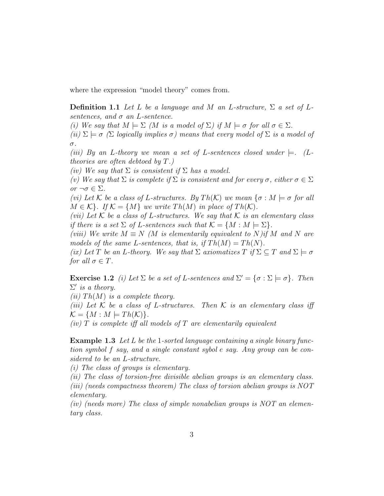where the expression "model theory" comes from.

**Definition 1.1** Let L be a language and M an L-structure,  $\Sigma$  a set of Lsentences, and  $\sigma$  an L-sentence.

(i) We say that  $M \models \Sigma$  (M is a model of  $\Sigma$ ) if  $M \models \sigma$  for all  $\sigma \in \Sigma$ .

(ii)  $\Sigma \models \sigma$  ( $\Sigma$  logically implies  $\sigma$ ) means that every model of  $\Sigma$  is a model of σ.

(iii) By an L-theory we mean a set of L-sentences closed under  $\models$ . (Ltheories are often debtoed by  $T$ .)

(iv) We say that  $\Sigma$  is consistent if  $\Sigma$  has a model.

(v) We say that  $\Sigma$  is complete if  $\Sigma$  is consistent and for every  $\sigma$ , either  $\sigma \in \Sigma$ or  $\neg \sigma \in \Sigma$ .

(vi) Let K be a class of L-structures. By  $Th(K)$  we mean  $\{\sigma : M \models \sigma \text{ for all }$  $M \in \mathcal{K}$ . If  $\mathcal{K} = \{M\}$  we write  $Th(M)$  in place of  $Th(\mathcal{K})$ .

(vii) Let K be a class of L-structures. We say that K is an elementary class if there is a set  $\Sigma$  of L-sentences such that  $\mathcal{K} = \{M : M \models \Sigma\}.$ 

(viii) We write  $M \equiv N$  (M is elementarily equivalent to N)if M and N are models of the same L-sentences, that is, if  $Th(M) = Th(N)$ .

(ix) Let T be an L-theory. We say that  $\Sigma$  axiomatizes T if  $\Sigma \subseteq T$  and  $\Sigma \models \sigma$ for all  $\sigma \in T$ .

**Exercise 1.2** (i) Let  $\Sigma$  be a set of L-sentences and  $\Sigma' = {\sigma : \Sigma \models \sigma}.$  Then  $\Sigma'$  is a theory.

(ii) Th(M) is a complete theory.

(iii) Let K be a class of L-structures. Then K is an elementary class iff  $\mathcal{K} = \{M : M \models Th(\mathcal{K})\}.$ 

(iv)  $T$  is complete iff all models of  $T$  are elementarily equivalent

Example 1.3 Let L be the 1-sorted language containing a single binary function symbol f say, and a single constant sybol e say. Any group can be considered to be an L-structure.

(i) The class of groups is elementary.

(ii) The class of torsion-free divisible abelian groups is an elementary class. (iii) (needs compactness theorem) The class of torsion abelian groups is NOT elementary.

(iv) (needs more) The class of simple nonabelian groups is  $NOT$  an elementary class.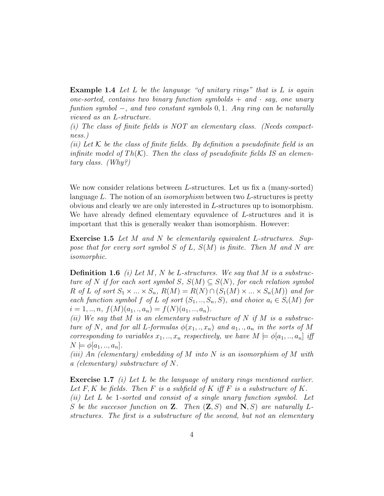**Example 1.4** Let L be the language "of unitary rings" that is L is again one-sorted, contains two binary function symbolds  $+$  and  $\cdot$  say, one unary funtion symbol  $-$ , and two constant symbols 0, 1. Any ring can be naturally viewed as an L-structure.

(i) The class of finite fields is NOT an elementary class. (Needs compactness.)

(ii) Let  $K$  be the class of finite fields. By definition a pseudofinite field is an infinite model of  $Th(K)$ . Then the class of pseudofinite fields IS an elementary class. (Why?)

We now consider relations between L-structures. Let us fix a (many-sorted) language L. The notion of an *isomorphism* between two L-structures is pretty obvious and clearly we are only interested in L-structures up to isomorphism. We have already defined elementary equvalence of L-structures and it is important that this is generally weaker than isomorphism. However:

Exercise 1.5 Let M and N be elementarily equivalent L-structures. Suppose that for every sort symbol S of L,  $S(M)$  is finite. Then M and N are isomorphic.

**Definition 1.6** (i) Let M, N be L-structures. We say that M is a substructure of N if for each sort symbol S,  $S(M) \subseteq S(N)$ , for each relation symbol R of L of sort  $S_1 \times ... \times S_n$ ,  $R(M) = R(N) \cap (S_1(M) \times ... \times S_n(M))$  and for each function symbol f of L of sort  $(S_1, ..., S_n, S)$ , and choice  $a_i \in S_i(M)$  for  $i = 1, ..., n, f(M)(a_1,., a_n) = f(N)(a_1,.., a_n).$ 

(ii) We say that M is an elementary substructure of N if M is a substructure of N, and for all L-formulas  $\phi(x_1,..,x_n)$  and  $a_1,..,a_n$  in the sorts of M corresponding to variables  $x_1, ..., x_n$  respectively, we have  $M \models \phi[a_1, ..., a_n]$  iff  $N \models \phi[a_1, \ldots, a_n].$ 

(iii) An (elementary) embedding of M into N is an isomorphism of M with a (elementary) substructure of N.

Exercise 1.7 *(i)* Let L be the language of unitary rings mentioned earlier. Let  $F, K$  be fields. Then  $F$  is a subfield of  $K$  iff  $F$  is a substructure of  $K$ . (ii) Let L be 1-sorted and consist of a single unary function symbol. Let S be the successor function on **Z**. Then  $(\mathbf{Z}, S)$  and  $\mathbf{N}, S$  are naturally Lstructures. The first is a substructure of the second, but not an elementary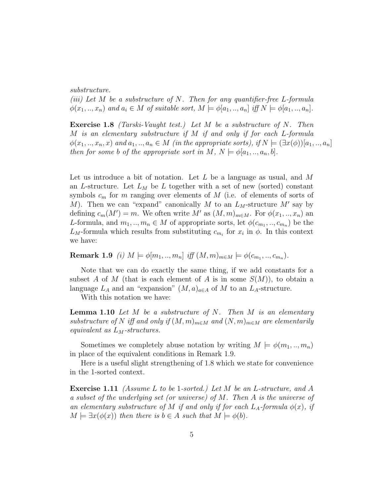substructure.

(iii) Let  $M$  be a substructure of  $N$ . Then for any quantifier-free L-formula  $\phi(x_1, \ldots, x_n)$  and  $a_i \in M$  of suitable sort,  $M \models \phi[a_1, \ldots, a_n]$  iff  $N \models \phi[a_1, \ldots, a_n]$ .

Exercise 1.8 (Tarski-Vaught test.) Let M be a substructure of N. Then M is an elementary substructure if M if and only if for each L-formula  $\phi(x_1,..,x_n,x)$  and  $a_1,..,a_n \in M$  (in the appropriate sorts), if  $N \models (\exists x(\phi)) [a_1,..,a_n]$ then for some b of the appropriate sort in M,  $N \models \phi[a_1, \ldots, a_n, b].$ 

Let us introduce a bit of notation. Let  $L$  be a language as usual, and  $M$ an L-structure. Let  $L_M$  be L together with a set of new (sorted) constant symbols  $c_m$  for m ranging over elements of M (i.e. of elements of sorts of M). Then we can "expand" canonically M to an  $L_M$ -structure M' say by defining  $c_m(M') = m$ . We often write M' as  $(M, m)_{m \in M}$ . For  $\phi(x_1, ..., x_n)$  and L-formula, and  $m_1, ..., m_n \in M$  of appropriate sorts, let  $\phi(c_{m_1}, ..., c_{m_n})$  be the  $L_M$ -formula which results from substituting  $c_{m_i}$  for  $x_i$  in  $\phi$ . In this context we have:

Remark 1.9 (i)  $M \models \phi[m_1, ..., m_n]$  iff  $(M, m)_{m \in M} \models \phi(c_{m_1}, ..., c_{m_n})$ .

Note that we can do exactly the same thing, if we add constants for a subset A of M (that is each element of A is in some  $S(M)$ ), to obtain a language  $L_A$  and an "expansion"  $(M, a)_{a \in A}$  of M to an  $L_A$ -structure.

With this notation we have:

**Lemma 1.10** Let M be a substructure of N. Then M is an elementary substructure of N iff and only if  $(M, m)_{m \in M}$  and  $(N, m)_{m \in M}$  are elementarily equivalent as  $L_M$ -structures.

Sometimes we completely abuse notation by writing  $M \models \phi(m_1, ..., m_n)$ in place of the equivalent conditions in Remark 1.9.

Here is a useful slight strengthening of 1.8 which we state for convenience in the 1-sorted context.

Exercise 1.11 (Assume L to be 1-sorted.) Let M be an L-structure, and A a subset of the underlying set (or universe) of M. Then A is the universe of an elementary substructure of M if and only if for each  $L<sub>A</sub>$ -formula  $\phi(x)$ , if  $M \models \exists x(\phi(x))$  then there is  $b \in A$  such that  $M \models \phi(b)$ .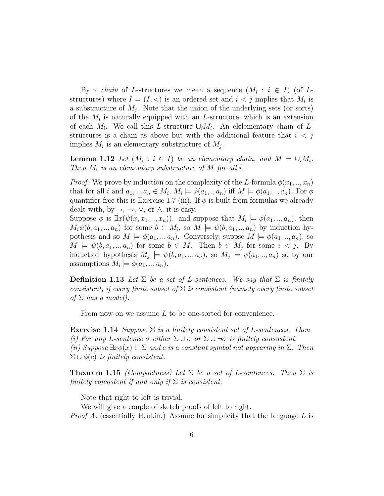By a *chain* of L-structures we mean a sequence  $(M_i : i \in I)$  (of Lstructures) where  $I = (I, \leq)$  is an ordered set and  $i < j$  implies that  $M_i$  is a substructure of  $M_j$ . Note that the union of the underlying sets (or sorts) of the  $M_i$  is naturally equipped with an L-structure, which is an extension of each  $M_i$ . We call this L-structure  $\cup_i M_i$ . An elelementary chain of Lstructures is a chain as above but with the additional feature that  $i < j$ implies  $M_i$  is an elementary substructure of  $M_j$ .

**Lemma 1.12** Let  $(M_i : i \in I)$  be an elementary chain, and  $M = \bigcup_i M_i$ . Then  $M_i$  is an elementary substructure of M for all i.

*Proof.* We prove by induction on the complexity of the L-formula  $\phi(x_1,..,x_n)$ that for all i and  $a_1, ..., a_n \in M_i$ ,  $M_i \models \phi(a_1, ..., a_n)$  iff  $M \models \phi(a_1, ..., a_n)$ . For  $\phi$ quantifier-free this is Exercise 1.7 (iii). If  $\phi$  is built from formulas we already dealt with, by  $\neg, \rightarrow, \vee,$  or  $\wedge$ , it is easy.

Suppose  $\phi$  is  $\exists x(\psi(x, x_1, \ldots, x_n))$ . and suppose that  $M_i \models \phi(a_1, \ldots, a_n)$ , then  $M_i\psi(b, a_1, \ldots, a_n)$  for some  $b \in M_i$ , so  $M \models \psi(b, a_1, \ldots, a_n)$  by induction hypothesis and so  $M \models \phi(a_1, \ldots, a_n)$ . Conversely, suppse  $M \models \phi(a_1, \ldots, a_n)$ , so  $M \models \psi(b, a_1, \ldots, a_n)$  for some  $b \in M$ . Then  $b \in M_j$  for some  $i < j$ . By induction hypothesis  $M_j \models \psi(b, a_1, \dots, a_n)$ , so  $M_j \models \phi(a_1, \dots, a_n)$  so by our assumptions  $M_i \models \phi(a_1, \ldots, a_n)$ .

**Definition 1.13** Let  $\Sigma$  be a set of L-sentences. We say that  $\Sigma$  is finitely consistent, if every finite subset of  $\Sigma$  is consistent (namely every finite subset of  $\Sigma$  has a model).

From now on we assume L to be one-sorted for convenience.

**Exercise 1.14** Suppose  $\Sigma$  is a finitely consistent set of L-sentences. Then (i) For any L-sentence  $\sigma$  either  $\Sigma \cup \sigma$  or  $\Sigma \cup \neg \sigma$  is finitely consustent. (ii) Suppose  $\exists x \phi(x) \in \Sigma$  and c is a constant symbol not appearing in  $\Sigma$ . Then  $\Sigma \cup \phi(c)$  is finitely consistent.

**Theorem 1.15** (Compactness) Let  $\Sigma$  be a set of L-sentences. Then  $\Sigma$  is finitely consistent if and only if  $\Sigma$  is consistent.

Note that right to left is trivial.

We will give a couple of sketch proofs of left to right.

*Proof A.* (essentially Henkin.) Assume for simplicity that the language L is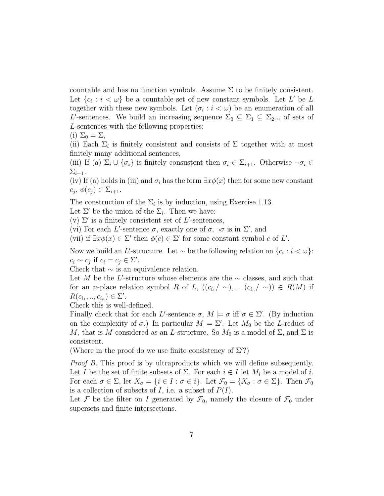countable and has no function symbols. Assume  $\Sigma$  to be finitely consistent. Let  $\{c_i : i < \omega\}$  be a countable set of new constant symbols. Let L' be L together with these new symbols. Let  $(\sigma_i : i < \omega)$  be an enumeration of all L'-sentences. We build an increasing sequence  $\Sigma_0 \subseteq \Sigma_1 \subseteq \Sigma_2$ ... of sets of L-sentences with the following properties:

(i)  $\Sigma_0 = \Sigma$ ,

(ii) Each  $\Sigma_i$  is finitely consistent and consists of  $\Sigma$  together with at most finitely many additional sentences,

(iii) If (a)  $\Sigma_i \cup \{\sigma_i\}$  is finitely consustent then  $\sigma_i \in \Sigma_{i+1}$ . Otherwise  $\neg \sigma_i \in$  $\Sigma_{i+1}.$ 

(iv) If (a) holds in (iii) and  $\sigma_i$  has the form  $\exists x \phi(x)$  then for some new constant  $(c_j, \phi(c_j) \in \Sigma_{i+1}.$ 

The construction of the  $\Sigma_i$  is by induction, using Exercise 1.13.

Let  $\Sigma'$  be the union of the  $\Sigma_i$ . Then we have:

(v)  $\Sigma'$  is a finitely consistent set of L'-sentences,

(vi) For each L'-sentence  $\sigma$ , exactly one of  $\sigma$ ,  $\neg \sigma$  is in  $\Sigma'$ , and

(vii) if  $\exists x \phi(x) \in \Sigma'$  then  $\phi(c) \in \Sigma'$  for some constant symbol c of L'.

Now we build an L'-structure. Let  $\sim$  be the following relation on  $\{c_i : i < \omega\}$ :  $c_i \sim c_j$  if  $c_i = c_j \in \Sigma'.$ 

Check that  $\sim$  is an equivalence relation.

Let M be the L'-structure whose elements are the  $\sim$  classes, and such that for an n-place relation symbol R of L,  $((c_{i_1}/\sim), ..., (c_{i_n}/\sim)) \in R(M)$  if  $R(c_{i_1}, ..., c_{i_n}) \in \Sigma'.$ 

Check this is well-defined.

Finally check that for each L'-sentence  $\sigma$ ,  $M \models \sigma$  iff  $\sigma \in \Sigma'$ . (By induction on the complexity of  $\sigma$ .) In particular  $M \models \Sigma'$ . Let  $M_0$  be the L-reduct of M, that is M considered as an L-structure. So  $M_0$  is a model of  $\Sigma$ , and  $\Sigma$  is consistent.

(Where in the proof do we use finite consistency of  $\Sigma$ ?)

*Proof B.* This proof is by ultraproducts which we will define subsequently. Let I be the set of finite subsets of  $\Sigma$ . For each  $i \in I$  let  $M_i$  be a model of i. For each  $\sigma \in \Sigma$ , let  $X_{\sigma} = \{i \in I : \sigma \in i\}$ . Let  $\mathcal{F}_{0} = \{X_{\sigma} : \sigma \in \Sigma\}$ . Then  $\mathcal{F}_{0}$ is a collection of subsets of  $I$ , i.e. a subset of  $P(I)$ .

Let F be the filter on I generated by  $\mathcal{F}_0$ , namely the closure of  $\mathcal{F}_0$  under supersets and finite intersections.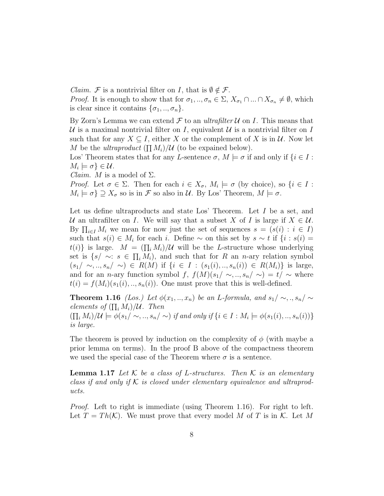*Claim.* F is a nontrivial filter on I, that is  $\emptyset \notin \mathcal{F}$ .

*Proof.* It is enough to show that for  $\sigma_1, ..., \sigma_n \in \Sigma$ ,  $X_{\sigma_1} \cap ... \cap X_{\sigma_n} \neq \emptyset$ , which is clear since it contains  $\{\sigma_1, ..., \sigma_n\}.$ 

By Zorn's Lemma we can extend  $\mathcal F$  to an ultrafilter  $\mathcal U$  on I. This means that U is a maximal nontrivial filter on I, equivalent U is a nontrivial filter on I such that for any  $X \subseteq I$ , either X or the complement of X is in U. Now let M be the ultraproduct  $(\prod M_i)/\mathcal{U}$  (to be expained below).

Los' Theorem states that for any L-sentence  $\sigma$ ,  $M \models \sigma$  if and only if  $\{i \in I :$  $M_i \models \sigma$  }  $\in \mathcal{U}$ .

*Claim. M* is a model of  $\Sigma$ .

*Proof.* Let  $\sigma \in \Sigma$ . Then for each  $i \in X_{\sigma}$ ,  $M_i \models \sigma$  (by choice), so  $\{i \in I :$  $M_i \models \sigma$   $\supseteq X_{\sigma}$  so is in  $\mathcal F$  so also in  $\mathcal U$ . By Los' Theorem,  $M \models \sigma$ .

Let us define ultraproducts and state Los' Theorem. Let I be a set, and U an ultrafilter on I. We will say that a subset X of I is large if  $X \in \mathcal{U}$ . By  $\prod_{i\in I} M_i$  we mean for now just the set of sequences  $s = (s(i) : i \in I)$ such that  $s(i) \in M_i$  for each i. Define  $\sim$  on this set by  $s \sim t$  if  $\{i : s(i) =$  $t(i)$  is large.  $M = (\prod_i M_i)/\mathcal{U}$  will be the L-structure whose underlying set is  $\{s/\sim: s \in \prod_i M_i\}$ , and such that for R an n-ary relation symbol  $(s_1/\sim, ..., s_n/\sim)$  ∈  $R(M)$  if {i ∈ I :  $(s_1(i), ..., s_n(i))$  ∈  $R(M_i)$ } is large, and for an n-ary function symbol f,  $f(M)(s_1/\sim, ..., s_n/\sim) = t/\sim$  where  $t(i) = f(M_i)(s_1(i), ..., s_n(i))$ . One must prove that this is well-defined.

**Theorem 1.16** (Los.) Let  $\phi(x_1, \ldots, x_n)$  be an L-formula, and  $s_1/\sim, \ldots, s_n/\sim$ elements of  $(\prod_i M_i)/\mathcal{U}$ . Then  $(\prod_i M_i)/\mathcal{U} \models \phi(s_1/\sim, \ldots, s_n/\sim)$  if and only if  $\{i \in I : M_i \models \phi(s_1(i), \ldots, s_n(i))\}$ is large.

The theorem is proved by induction on the complexity of  $\phi$  (with maybe a prior lemma on terms). In the proof B above of the compactness theorem we used the special case of the Theorem where  $\sigma$  is a sentence.

**Lemma 1.17** Let K be a class of L-structures. Then K is an elementary class if and only if  $K$  is closed under elementary equivalence and ultraproducts.

*Proof.* Left to right is immediate (using Theorem 1.16). For right to left. Let  $T = Th(K)$ . We must prove that every model M of T is in K. Let M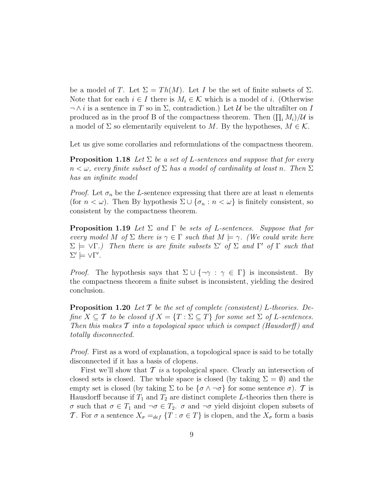be a model of T. Let  $\Sigma = Th(M)$ . Let I be the set of finite subsets of  $\Sigma$ . Note that for each  $i \in I$  there is  $M_i \in \mathcal{K}$  which is a model of i. (Otherwise  $\neg \wedge i$  is a sentence in T so in  $\Sigma$ , contradiction.) Let U be the ultrafilter on I produced as in the proof B of the compactness theorem. Then  $(\prod_i M_i)/\mathcal{U}$  is a model of  $\Sigma$  so elementarily equivelent to M. By the hypotheses,  $M \in \mathcal{K}$ .

Let us give some corollaries and reformulations of the compactness theorem.

**Proposition 1.18** Let  $\Sigma$  be a set of L-sentences and suppose that for every  $n < \omega$ , every finite subset of  $\Sigma$  has a model of cardinality at least n. Then  $\Sigma$ has an infinite model

*Proof.* Let  $\sigma_n$  be the L-sentence expressing that there are at least n elements (for  $n < \omega$ ). Then By hypothesis  $\Sigma \cup {\sigma_n : n < \omega}$ ) is finitely consistent, so consistent by the compactness theorem.

**Proposition 1.19** Let  $\Sigma$  and  $\Gamma$  be sets of L-sentences. Suppose that for every model M of  $\Sigma$  there is  $\gamma \in \Gamma$  such that  $M \models \gamma$ . (We could write here  $\Sigma \models \forall \Gamma$ .) Then there is are finite subsets  $\Sigma'$  of  $\Sigma$  and  $\Gamma'$  of  $\Gamma$  such that  $\Sigma' \models \forall \Gamma'.$ 

*Proof.* The hypothesis says that  $\Sigma \cup \{\neg \gamma : \gamma \in \Gamma\}$  is inconsistent. By the compactness theorem a finite subset is inconsistent, yielding the desired conclusion.

**Proposition 1.20** Let  $\mathcal T$  be the set of complete (consistent) L-theories. Define  $X \subseteq \mathcal{T}$  to be closed if  $X = \{T : \Sigma \subseteq T\}$  for some set  $\Sigma$  of L-sentences. Then this makes  $\mathcal T$  into a topological space which is compact (Hausdorff) and totally disconnected.

Proof. First as a word of explanation, a topological space is said to be totally disconnected if it has a basis of clopens.

First we'll show that  $\mathcal T$  is a topological space. Clearly an intersection of closed sets is closed. The whole space is closed (by taking  $\Sigma = \emptyset$ ) and the empty set is closed (by taking  $\Sigma$  to be  $\{\sigma \wedge \neg \sigma\}$  for some sentence  $\sigma$ ). T is Hausdorff because if  $T_1$  and  $T_2$  are distinct complete L-theories then there is σ such that  $\sigma \in T_1$  and  $\neg \sigma \in T_2$ . σ and  $\neg \sigma$  yield disjoint clopen subsets of T. For  $\sigma$  a sentence  $X_{\sigma} =_{def} \{T : \sigma \in T\}$  is clopen, and the  $X_{\sigma}$  form a basis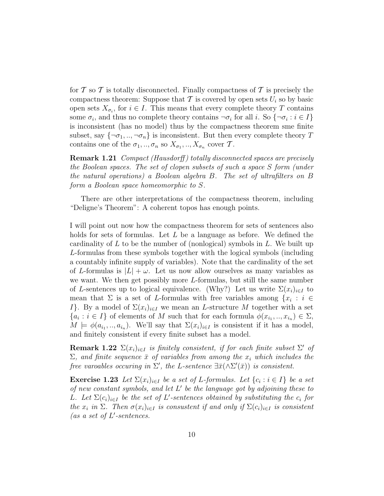for  $\mathcal T$  so  $\mathcal T$  is totally disconnected. Finally compactness of  $\mathcal T$  is precisely the compactness theorem: Suppose that  $\mathcal T$  is covered by open sets  $U_i$  so by basic open sets  $X_{\sigma_i}$ , for  $i \in I$ . This means that every complete theory T contains some  $\sigma_i$ , and thus no complete theory contains  $\neg \sigma_i$  for all i. So  $\{\neg \sigma_i : i \in I\}$ is inconsistent (has no model) thus by the compactness theorem sme finite subset, say  $\{\neg \sigma_1, \ldots, \neg \sigma_n\}$  is inconsistent. But then every complete theory T contains one of the  $\sigma_1, ..., \sigma_n$  so  $X_{\sigma_1}, ..., X_{\sigma_n}$  cover T.

**Remark 1.21** Compact (Hausdorff) totally disconnected spaces are precisely the Boolean spaces. The set of clopen subsets of such a space S form (under the natural operations) a Boolean algebra B. The set of ultrafilters on B form a Boolean space homeomorphic to S.

There are other interpretations of the compactness theorem, including "Deligne's Theorem": A coherent topos has enough points.

I will point out now how the compactness theorem for sets of sentences also holds for sets of formulas. Let L be a language as before. We defined the cardinality of  $L$  to be the number of (nonlogical) symbols in  $L$ . We built up L-formulas from these symbols together with the logical symbols (including a countably infinite supply of variables). Note that the cardinality of the set of L-formulas is  $|L| + \omega$ . Let us now allow ourselves as many variables as we want. We then get possibly more L-formulas, but still the same number of L-sentences up to logical equivalence. (Why?) Let us write  $\Sigma(x_i)_{i\in I}$  to mean that  $\Sigma$  is a set of L-formulas with free variables among  $\{x_i : i \in$ I}. By a model of  $\Sigma(x_i)_{i\in I}$  we mean an L-structure M together with a set  ${a_i : i \in I}$  of elements of M such that for each formula  $\phi(x_{i_1},...,x_{i_n}) \in \Sigma$ ,  $M \models \phi(a_{i_1},...,a_{i_n}).$  We'll say that  $\Sigma(x_i)_{i\in I}$  is consistent if it has a model, and finitely consistent if every finite subset has a model.

**Remark 1.22**  $\Sigma(x_i)_{i \in I}$  is finitely consistent, if for each finite subset  $\Sigma'$  of  $\Sigma$ , and finite sequence  $\bar{x}$  of variables from among the  $x_i$  which includes the free varoables occuring in  $\Sigma'$ , the L-sentence  $\exists \bar{x}(\wedge \Sigma'(\bar{x}))$  is consistent.

**Exercise 1.23** Let  $\Sigma(x_i)_{i \in I}$  be a set of L-formulas. Let  $\{c_i : i \in I\}$  be a set of new constant symbols, and let  $L'$  be the language got by adjoining these to L. Let  $\Sigma(c_i)_{i\in I}$  be the set of L'-sentences obtained by substituting the  $c_i$  for the  $x_i$  in  $\Sigma$ . Then  $\sigma(x_i)_{i\in I}$  is consustent if and only if  $\Sigma(c_i)_{i\in I}$  is consistent (as a set of  $L'$ -sentences.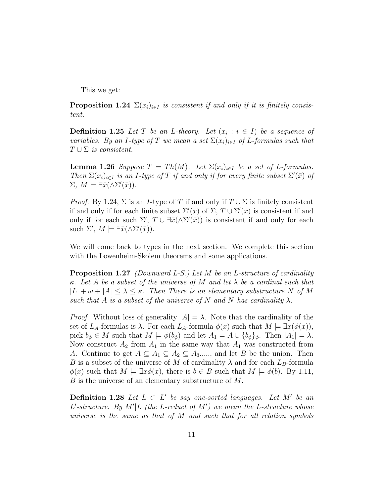This we get:

**Proposition 1.24**  $\Sigma(x_i)_{i\in I}$  is consistent if and only if it is finitely consistent.

**Definition 1.25** Let T be an L-theory. Let  $(x_i : i \in I)$  be a sequence of variables. By an I-type of T we mean a set  $\Sigma(x_i)_{i\in I}$  of L-formulas such that  $T \cup \Sigma$  is consistent.

**Lemma 1.26** Suppose  $T = Th(M)$ . Let  $\Sigma(x_i)_{i \in I}$  be a set of L-formulas. Then  $\Sigma(x_i)_{i\in I}$  is an I-type of T if and only if for every finite subset  $\Sigma'(\bar{x})$  of  $\Sigma, M \models \exists \bar{x} (\wedge \Sigma'(\bar{x})).$ 

*Proof.* By 1.24,  $\Sigma$  is an *I*-type of T if and only if  $T \cup \Sigma$  is finitely consistent if and only if for each finite subset  $\Sigma'(\bar{x})$  of  $\Sigma$ ,  $T \cup \Sigma'(\bar{x})$  is consistent if and only if for each such  $\Sigma'$ ,  $T \cup \exists \bar{x} (\wedge \Sigma'(\bar{x}))$  is consistent if and only for each such  $\Sigma'$ ,  $M \models \exists \bar{x} (\wedge \Sigma'(\bar{x})).$ 

We will come back to types in the next section. We complete this section with the Lowenheim-Skolem theorems and some applications.

**Proposition 1.27** (Downward L-S.) Let M be an L-structure of cardinality  $\kappa$ . Let A be a subset of the universe of M and let  $\lambda$  be a cardinal such that  $|L| + \omega + |A| \leq \lambda \leq \kappa$ . Then There is an elementary substructure N of M such that A is a subset of the universe of N and N has cardinality  $\lambda$ .

*Proof.* Without loss of generality  $|A| = \lambda$ . Note that the cardinality of the set of  $L_A$ -formulas is  $\lambda$ . For each  $L_A$ -formula  $\phi(x)$  such that  $M \models \exists x(\phi(x)),$ pick  $b_{\phi} \in M$  such that  $M \models \phi(b_{\phi})$  and let  $A_1 = A \cup \{b_{\phi}\}_{\phi}$ . Then  $|A_1| = \lambda$ . Now construct  $A_2$  from  $A_1$  in the same way that  $A_1$  was constructed from A. Continue to get  $A \subseteq A_1 \subseteq A_2 \subseteq A_3$ ...., and let B be the union. Then B is a subset of the universe of M of cardinality  $\lambda$  and for each  $L_B$ -formula  $\phi(x)$  such that  $M \models \exists x \phi(x)$ , there is  $b \in B$  such that  $M \models \phi(b)$ . By 1.11, B is the universe of an elementary substructure of  $M$ .

**Definition 1.28** Let  $L \subset L'$  be say one-sorted languages. Let M' be an L'-structure. By M'|L (the L-reduct of M') we mean the L-structure whose universe is the same as that of M and such that for all relation symbols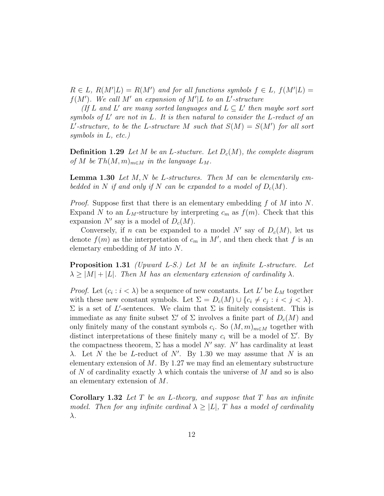$R \in L$ ,  $R(M'|L) = R(M')$  and for all functions symbols  $f \in L$ ,  $f(M'|L) =$  $f(M')$ . We call M' an expansion of M'|L to an L'-structure

(If L and L' are many sorted languages and  $L \subseteq L'$  then maybe sort sort symbols of  $L'$  are not in  $L$ . It is then natural to consider the  $L$ -reduct of an L'-structure, to be the L-structure M such that  $S(M) = S(M')$  for all sort symbols in L, etc.)

**Definition 1.29** Let M be an L-stucture. Let  $D_c(M)$ , the complete diagram of M be  $Th(M, m)_{m \in M}$  in the language  $L_M$ .

**Lemma 1.30** Let  $M, N$  be L-structures. Then  $M$  can be elementarily embedded in N if and only if N can be expanded to a model of  $D_c(M)$ .

*Proof.* Suppose first that there is an elementary embedding f of M into N. Expand N to an  $L_M$ -structure by interpreting  $c_m$  as  $f(m)$ . Check that this expansion N' say is a model of  $D_c(M)$ .

Conversely, if n can be expanded to a model N' say of  $D_c(M)$ , let us denote  $f(m)$  as the interpretation of  $c_m$  in M', and then check that f is an elemetary embedding of M into N.

Proposition 1.31 (Upward L-S.) Let M be an infinite L-structure. Let  $\lambda \geq |M| + |L|$ . Then M has an elementary extension of cardinality  $\lambda$ .

*Proof.* Let  $(c_i : i < \lambda)$  be a sequence of new constants. Let L' be  $L_M$  together with these new constant symbols. Let  $\Sigma = D_c(M) \cup \{c_i \neq c_j : i < j < \lambda\}.$  $\Sigma$  is a set of L'-sentences. We claim that  $\Sigma$  is finitely consistent. This is immediate as any finite subset  $\Sigma'$  of  $\Sigma$  involves a finite part of  $D_c(M)$  and only finitely many of the constant symbols  $c_i$ . So  $(M, m)_{m \in M}$  together with distinct interpretations of these finitely many  $c_i$  will be a model of  $\Sigma'$ . By the compactness theorem,  $\Sigma$  has a model N' say. N' has cardinality at least λ. Let N the be L-reduct of N'. By 1.30 we may assume that N is an elementary extension of  $M$ . By 1.27 we may find an elementary substructure of N of cardinality exactly  $\lambda$  which contais the universe of M and so is also an elementary extension of M.

**Corollary 1.32** Let T be an L-theory, and suppose that T has an infinite model. Then for any infinite cardinal  $\lambda \geq |L|$ , T has a model of cardinality λ.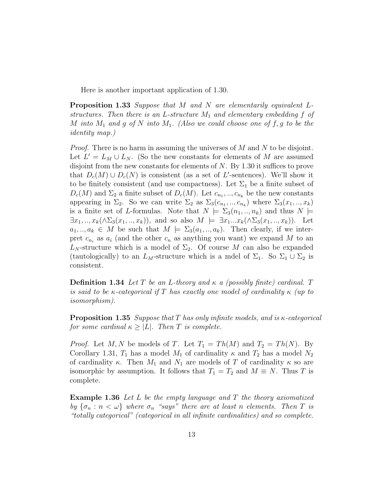Here is another important application of 1.30.

Proposition 1.33 Suppose that M and N are elementarily equivalent Lstructures. Then there is an L-structure  $M_1$  and elementary embedding f of M into  $M_1$  and g of N into  $M_1$ . (Also we could choose one of f, g to be the identity map.)

*Proof.* There is no harm in assuming the universes of  $M$  and  $N$  to be disjoint. Let  $L' = L_M \cup L_N$ . (So the new constants for elements of M are assumed disjoint from the new constants for elements of N. By 1.30 it suffices to prove that  $D_c(M) \cup D_c(N)$  is consistent (as a set of L'-sentences). We'll show it to be finitely consistent (and use compactness). Let  $\Sigma_1$  be a finite subset of  $D_c(M)$  and  $\Sigma_2$  a finite subset of  $D_c(M)$ . Let  $c_{n_1},...,c_{n_k}$  be the new constants appearing in  $\Sigma_2$ . So we can write  $\Sigma_2$  as  $\Sigma_3(c_{n_1},...,c_{n_k})$  where  $\Sigma_3(x_1, ..., x_k)$ is a finite set of L-formulas. Note that  $N \models \Sigma_3(n_1, \ldots, n_k)$  and thus  $N \models$  $\exists x_1,..,x_k(\wedge \Sigma_3(x_1,..,x_k)),$  and so also  $M \models \exists x_1...x_k(\wedge \Sigma_3(x_1,..,x_k)).$  Let  $a_1, \ldots, a_k \in M$  be such that  $M \models \Sigma_3(a_1, \ldots, a_k)$ . Then clearly, if we interpret  $c_{n_i}$  as  $a_i$  (and the other  $c_n$  as anything you want) we expand M to an  $L_N$ -structure which is a model of  $\Sigma_2$ . Of course M can also be expanded (tautologically) to an  $L_M$ -structure which is a mdel of  $\Sigma_1$ . So  $\Sigma_1 \cup \Sigma_2$  is consistent.

**Definition 1.34** Let T be an L-theory and  $\kappa$  a (possibly finite) cardinal. T is said to be κ-categorical if T has exactly one model of cardinality  $\kappa$  (up to isomorphism).

**Proposition 1.35** Suppose that T has only infinite models, and is  $\kappa$ -categorical for some cardinal  $\kappa \geq |L|$ . Then T is complete.

*Proof.* Let M, N be models of T. Let  $T_1 = Th(M)$  and  $T_2 = Th(N)$ . By Corollary 1.31,  $T_1$  has a model  $M_1$  of cardinality  $\kappa$  and  $T_2$  has a model  $N_2$ of cardinality  $\kappa$ . Then  $M_1$  and  $N_1$  are models of T of cardinality  $\kappa$  so are isomorphic by assumption. It follows that  $T_1 = T_2$  and  $M \equiv N$ . Thus T is complete.

**Example 1.36** Let L be the empty language and T the theory axiomatized by  $\{\sigma_n : n < \omega\}$  where  $\sigma_n$  "says" there are at least n elements. Then T is "totally categorical" (categorical in all infinite cardinalities) and so complete.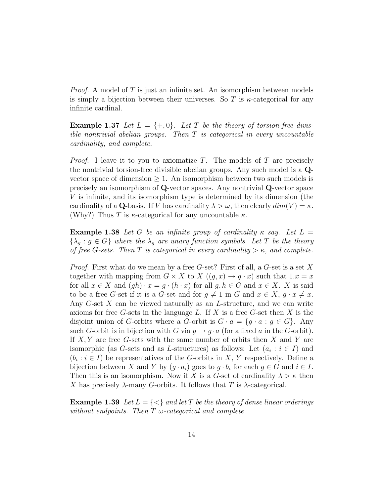*Proof.* A model of T is just an infinite set. An isomorphism between models is simply a bijection between their universes. So T is  $\kappa$ -categorical for any infinite cardinal.

**Example 1.37** Let  $L = \{+, 0\}$ . Let T be the theory of torsion-free divisible nontrivial abelian groups. Then  $T$  is categorical in every uncountable cardinality, and complete.

*Proof.* I leave it to you to axiomatize  $T$ . The models of  $T$  are precisely the nontrivial torsion-free divisible abelian groups. Any such model is a Qvector space of dimension  $\geq 1$ . An isomorphism between two such models is precisely an isomorphism of Q-vector spaces. Any nontrivial Q-vector space V is infinite, and its isomorphism type is determined by its dimension (the cardinality of a Q-basis. If V has cardinality  $\lambda > \omega$ , then clearly  $dim(V) = \kappa$ . (Why?) Thus T is  $\kappa$ -categorical for any uncountable  $\kappa$ .

**Example 1.38** Let G be an infinite group of cardinality  $\kappa$  say. Let  $L =$  ${\lambda_g : g \in G}$  where the  ${\lambda_g}$  are unary function symbols. Let T be the theory of free G-sets. Then T is categorical in every cardinality  $>\kappa$ , and complete.

*Proof.* First what do we mean by a free G-set? First of all, a G-set is a set X together with mapping from  $G \times X$  to  $X$   $((q, x) \rightarrow q \cdot x)$  such that  $1.x = x$ for all  $x \in X$  and  $(gh) \cdot x = g \cdot (h \cdot x)$  for all  $g, h \in G$  and  $x \in X$ . X is said to be a free G-set if it is a G-set and for  $g \neq 1$  in G and  $x \in X$ ,  $g \cdot x \neq x$ . Any  $G$ -set  $X$  can be viewed naturally as an  $L$ -structure, and we can write axioms for free  $G$ -sets in the language  $L$ . If  $X$  is a free  $G$ -set then  $X$  is the disjoint union of G-orbits where a G-orbit is  $G \cdot a = \{g \cdot a : g \in G\}$ . Any such G-orbit is in bijection with G via  $q \to q \cdot a$  (for a fixed a in the G-orbit). If  $X, Y$  are free G-sets with the same number of orbits then X and Y are isomorphic (as G-sets and as L-structures) as follows: Let  $(a_i : i \in I)$  and  $(b_i : i \in I)$  be representatives of the G-orbits in X, Y respectively. Define a bijection between X and Y by  $(g \cdot a_i)$  goes to  $g \cdot b_i$  for each  $g \in G$  and  $i \in I$ . Then this is an isomorphism. Now if X is a G-set of cardinality  $\lambda > \kappa$  then X has precisely  $\lambda$ -many G-orbits. It follows that T is  $\lambda$ -categorical.

**Example 1.39** Let  $L = \{ \leq \}$  and let T be the theory of dense linear orderings without endpoints. Then  $T \omega$ -categorical and complete.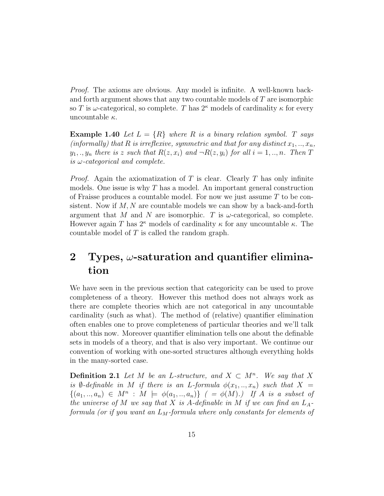Proof. The axioms are obvious. Any model is infinite. A well-known backand forth argument shows that any two countable models of  $T$  are isomorphic so T is  $\omega$ -categorical, so complete. T has  $2^{\kappa}$  models of cardinality  $\kappa$  for every uncountable  $\kappa$ .

**Example 1.40** Let  $L = \{R\}$  where R is a binary relation symbol. T says (informally) that R is irreflexive, symmetric and that for any distinct  $x_1, \ldots, x_n$ ,  $y_1,..,y_n$  there is z such that  $R(z, x_i)$  and  $\neg R(z, y_i)$  for all  $i = 1,..,n$ . Then T is  $\omega$ -categorical and complete.

*Proof.* Again the axiomatization of T is clear. Clearly T has only infinite models. One issue is why  $T$  has a model. An important general construction of Fraisse produces a countable model. For now we just assume  $T$  to be consistent. Now if  $M$ ,  $N$  are countable models we can show by a back-and-forth argument that M and N are isomorphic. T is  $\omega$ -categorical, so complete. However again T has  $2^{\kappa}$  models of cardinality  $\kappa$  for any uncountable  $\kappa$ . The countable model of T is called the random graph.

## 2 Types,  $\omega$ -saturation and quantifier elimination

We have seen in the previous section that categoricity can be used to prove completeness of a theory. However this method does not always work as there are complete theories which are not categorical in any uncountable cardinality (such as what). The method of (relative) quantifier elimination often enables one to prove completeness of particular theories and we'll talk about this now. Moreover quantifier elimination tells one about the definable sets in models of a theory, and that is also very important. We continue our convention of working with one-sorted structures although everything holds in the many-sorted case.

**Definition 2.1** Let M be an L-structure, and  $X \subset M^n$ . We say that X is Ø-definable in M if there is an L-formula  $\phi(x_1,..,x_n)$  such that  $X =$  $\{(a_1,..,a_n) \in M^n : M \models \phi(a_1,..,a_n)\}\;$  ( =  $\phi(M).$ ) If A is a subset of the universe of M we say that X is A-definable in M if we can find an  $L_A$ formula (or if you want an  $L_M$ -formula where only constants for elements of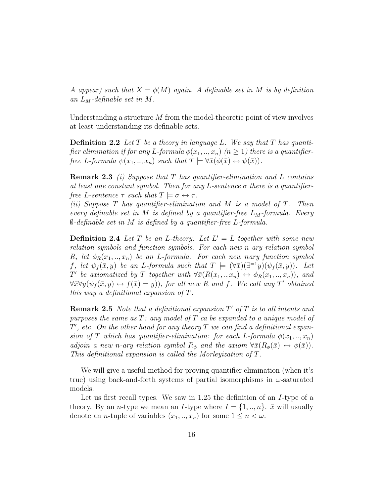A appear) such that  $X = \phi(M)$  again. A definable set in M is by definition an  $L_M$ -definable set in M.

Understanding a structure M from the model-theoretic point of view involves at least understanding its definable sets.

**Definition 2.2** Let T be a theory in language L. We say that T has quantifier elimination if for any L-formula  $\phi(x_1, \ldots, x_n)$  ( $n \geq 1$ ) there is a quantifierfree L-formula  $\psi(x_1,..,x_n)$  such that  $T \models \forall \bar{x}(\phi(\bar{x}) \leftrightarrow \psi(\bar{x})).$ 

**Remark 2.3** (i) Suppose that T has quantifier-elimination and L contains at least one constant symbol. Then for any L-sentence  $\sigma$  there is a quantifierfree L-sentence  $\tau$  such that  $T \models \sigma \leftrightarrow \tau$ .

(ii) Suppose  $T$  has quantifier-elimination and  $M$  is a model of  $T$ . Then every definable set in M is defined by a quantifier-free  $L_M$ -formula. Every  $\emptyset$ -definable set in M is defined by a quantifier-free L-formula.

**Definition 2.4** Let T be an L-theory. Let  $L' = L$  together with some new relation symbols and function symbols. For each new n-ary relation symbol R, let  $\phi_R(x_1, \ldots, x_n)$  be an L-formula. For each new nary function symbol f, let  $\psi_f(\bar{x}, y)$  be an L-formula such that  $T \models (\forall \bar{x})(\exists^{=1}y)(\psi_f(\bar{x}, y))$ . Let T' be axiomatized by T together with  $\forall \bar{x}(R(x_1,.,x_n) \leftrightarrow \phi_R(x_1,.,x_n))$ , and  $\forall \bar{x} \forall y (\psi_f(\bar{x}, y) \leftrightarrow f(\bar{x}) = y))$ , for all new R and f. We call any T' obtained this way a definitional expansion of T.

**Remark 2.5** Note that a definitional expansion  $T'$  of  $T$  is to all intents and purposes the same as  $T:$  any model of  $T$  ca be expanded to a unique model of  $T'$ , etc. On the other hand for any theory T we can find a definitional expansion of T which has quantifier-elimination: for each L-formula  $\phi(x_1, \ldots, x_n)$ adjoin a new n-ary relation symbol  $R_{\phi}$  and the axiom  $\forall \bar{x}(R_{\phi}(\bar{x}) \leftrightarrow \phi(\bar{x}))$ . This definitional expansion is called the Morleyization of T.

We will give a useful method for proving quantifier elimination (when it's true) using back-and-forth systems of partial isomorphisms in  $\omega$ -saturated models.

Let us first recall types. We saw in 1.25 the definition of an I-type of a theory. By an *n*-type we mean an *I*-type where  $I = \{1, ..., n\}$ .  $\bar{x}$  will usually denote an *n*-tuple of variables  $(x_1, ..., x_n)$  for some  $1 \leq n < \omega$ .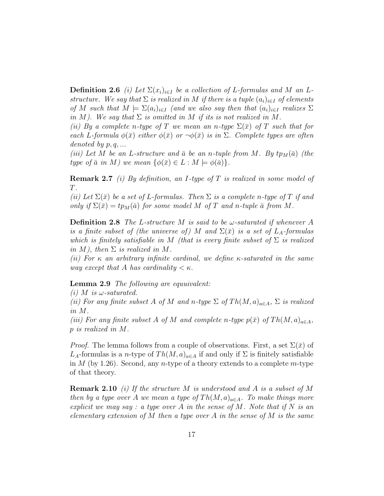**Definition 2.6** (i) Let  $\Sigma(x_i)_{i\in I}$  be a collection of L-formulas and M an Lstructure. We say that  $\Sigma$  is realized in M if there is a tuple  $(a_i)_{i\in I}$  of elements of M such that  $M \models \Sigma(a_i)_{i \in I}$  (and we also say then that  $(a_i)_{i \in I}$  realizes  $\Sigma$ in M). We say that  $\Sigma$  is omitted in M if its is not realized in M.

(ii) By a complete n-type of T we mean an n-type  $\Sigma(\bar{x})$  of T such that for each L-formula  $\phi(\bar{x})$  either  $\phi(\bar{x})$  or  $\neg \phi(\bar{x})$  is in  $\Sigma$ . Complete types are often denoted by  $p, q, \ldots$ 

(iii) Let M be an L-structure and  $\bar{a}$  be an n-tuple from M. By tp<sub>M</sub>( $\bar{a}$ ) (the type of  $\bar{a}$  in M) we mean  $\{\phi(\bar{x}) \in L : M \models \phi(\bar{a})\}.$ 

**Remark 2.7** (i) By definition, an I-type of T is realized in some model of T.

(ii) Let  $\Sigma(\bar{x})$  be a set of L-formulas. Then  $\Sigma$  is a complete n-type of T if and only if  $\Sigma(\bar{x}) = tp_M(\bar{a})$  for some model M of T and n-tuple  $\bar{a}$  from M.

**Definition 2.8** The L-structure M is said to be  $\omega$ -saturated if whenever A is a finite subset of (the universe of) M and  $\Sigma(\bar{x})$  is a set of  $L_A$ -formulas which is finitely satisfiable in M (that is every finite subset of  $\Sigma$  is realized in M), then  $\Sigma$  is realized in M.

(ii) For  $\kappa$  an arbitrary infinite cardinal, we define  $\kappa$ -saturated in the same way except that A has cardinality  $\lt \kappa$ .

#### Lemma 2.9 The following are equuivalent:

(i) M is  $\omega$ -saturated.

(ii) For any finite subset A of M and n-type  $\Sigma$  of  $Th(M, a)_{a \in A}$ ,  $\Sigma$  is realized in M.

(iii) For any finite subset A of M and complete n-type  $p(\bar{x})$  of  $Th(M, a)_{a \in A}$ , p is realized in M.

*Proof.* The lemma follows from a couple of observations. First, a set  $\Sigma(\bar{x})$  of  $L_A$ -formulas is a *n*-type of  $Th(M, a)_{a \in A}$  if and only if  $\Sigma$  is finitely satisfiable in  $M$  (by 1.26). Second, any *n*-type of a theory extends to a complete  $m$ -type of that theory.

**Remark 2.10** (i) If the structure M is understood and A is a subset of M then by a type over A we mean a type of  $Th(M, a)_{a \in A}$ . To make things more explicit we may say : a type over A in the sense of M. Note that if N is an elementary extension of M then a type over A in the sense of M is the same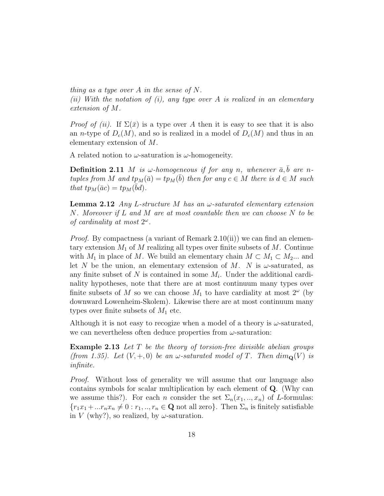thing as a type over A in the sense of N.

(ii) With the notation of (i), any type over A is realized in an elementary extension of M.

*Proof of (ii).* If  $\Sigma(\bar{x})$  is a type over A then it is easy to see that it is also an *n*-type of  $D_c(M)$ , and so is realized in a model of  $D_c(M)$  and thus in an elementary extension of M.

A related notion to  $\omega$ -saturation is  $\omega$ -homogeneity.

**Definition 2.11** M is  $\omega$ -homogeneous if for any n, whenever  $\bar{a}$ ,  $\bar{b}$  are ntuples from M and  $tp_M(\bar{a}) = tp_M(\bar{b})$  then for any  $c \in M$  there is  $d \in M$  such that  $tp_M(\bar{a}c) = tp_M(\bar{b}d)$ .

**Lemma 2.12** Any L-structure M has an  $\omega$ -saturated elementary extension N. Moreover if L and M are at most countable then we can choose N to be of cardinality at most  $2^{\omega}$ .

*Proof.* By compactness (a variant of Remark 2.10(ii)) we can find an elementary extension  $M_1$  of M realizing all types over finite subsets of M. Continue with  $M_1$  in place of M. We build an elementary chain  $M \subset M_1 \subset M_2...$  and let N be the union, an elementary extension of M. N is  $\omega$ -saturated, as any finite subset of  $N$  is contained in some  $M_i$ . Under the additional cardinality hypotheses, note that there are at most continuum many types over finite subsets of M so we can choose  $M_1$  to have cardiality at most  $2^{\omega}$  (by downward Lowenheim-Skolem). Likewise there are at most continuum many types over finite subsets of  $M_1$  etc.

Although it is not easy to recogize when a model of a theory is  $\omega$ -saturated, we can nevertheless often deduce properties from  $\omega$ -saturation:

**Example 2.13** Let T be the theory of torsion-free divisible abelian groups (from 1.35). Let  $(V, +, 0)$  be an  $\omega$ -saturated model of T. Then  $dim_{\mathbf{Q}}(V)$  is infinite.

Proof. Without loss of generality we will assume that our language also contains symbols for scalar multiplication by each element of Q. (Why can we assume this?). For each *n* consider the set  $\Sigma_n(x_1, \ldots, x_n)$  of *L*-formulas:  ${r_1x_1 + ...x_nx_n \neq 0 : r_1, ..., r_n \in \mathbf{Q} \text{ not all zero}}.$  Then  $\Sigma_n$  is finitely satisfiable in V (why?), so realized, by  $\omega$ -saturation.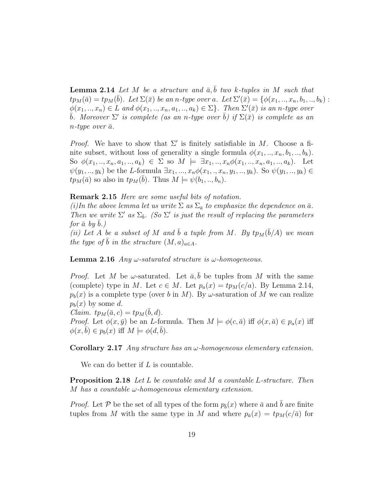**Lemma 2.14** Let M be a structure and  $\bar{a}$ ,  $\bar{b}$  two k-tuples in M such that  $tp_M(\bar{a}) = tp_M(\bar{b})$ . Let  $\Sigma(\bar{x})$  be an n-type over a. Let  $\Sigma'(\bar{x}) = \{ \phi(x_1, ..., x_n, b_1, ..., b_k) :$  $\phi(x_1,..,x_n) \in L$  and  $\phi(x_1,..,x_n,a_1,..,a_k) \in \Sigma$ . Then  $\Sigma'(\bar{x})$  is an n-type over  $\bar{b}$ . Moreover  $\Sigma'$  is complete (as an n-type over  $\bar{b}$ ) if  $\Sigma(\bar{x})$  is complete as an  $n$ -type over  $\bar{a}$ .

*Proof.* We have to show that  $\Sigma'$  is finitely satisfiable in M. Choose a finite subset, without loss of generality a single formula  $\phi(x_1, \ldots, x_n, b_1, \ldots, b_k)$ . So  $\phi(x_1, ..., x_n, a_1, ..., a_k) \in \Sigma$  so  $M \models \exists x_1, ..., x_n \phi(x_1, ..., x_n, a_1, ..., a_k)$ . Let  $\psi(y_1,.., y_k)$  be the L-formula  $\exists x_1,..., x_n \phi(x_1,.., x_n, y_1,.., y_k)$ . So  $\psi(y_1,.., y_k) \in$  $tp_M(\bar{a})$  so also in  $tp_M(\bar{b})$ . Thus  $M \models \psi(b_1,..,b_n)$ .

Remark 2.15 Here are some useful bits of notation.

(i)In the above lemma let us write  $\Sigma$  as  $\Sigma_{\bar{a}}$  to emphasize the dependence on  $\bar{a}$ . Then we write  $\Sigma'$  as  $\Sigma_{\bar{b}}$ . (So  $\Sigma'$  is just the result of replacing the parameters for  $\bar{a}$  by  $b$ .)

(ii) Let A be a subset of M and  $\bar{b}$  a tuple from M. By  $tp_M(\bar{b}/A)$  we mean the type of  $\overline{b}$  in the structure  $(M, a)_{a \in A}$ .

**Lemma 2.16** Any  $\omega$ -saturated structure is  $\omega$ -homogeneous.

*Proof.* Let M be  $\omega$ -saturated. Let  $\bar{a}$ ,  $\bar{b}$  be tuples from M with the same (complete) type in M. Let  $c \in M$ . Let  $p_a(x) = tp_M(c/a)$ . By Lemma 2.14,  $p_b(x)$  is a complete type (over b in M). By  $\omega$ -saturation of M we can realize  $p_b(x)$  by some d. Claim.  $tp_M(\bar{a}, c) = tp_M(\bar{b}, d)$ .

*Proof.* Let  $\phi(x, \bar{y})$  be an *L*-formula. Then  $M \models \phi(c, \bar{a})$  iff  $\phi(x, \bar{a}) \in p_a(x)$  iff  $\phi(x, b) \in p_b(x)$  iff  $M \models \phi(d, b)$ .

**Corollary 2.17** Any structure has an  $\omega$ -homogeneous elementary extension.

We can do better if  $L$  is countable.

Proposition 2.18 Let L be countable and M a countable L-structure. Then M has a countable  $\omega$ -homogeneous elementary extension.

*Proof.* Let P be the set of all types of the form  $p_{\bar{b}}(x)$  where  $\bar{a}$  and  $\bar{b}$  are finite tuples from M with the same type in M and where  $p_{\bar{a}}(x) = tp_M(c/\bar{a})$  for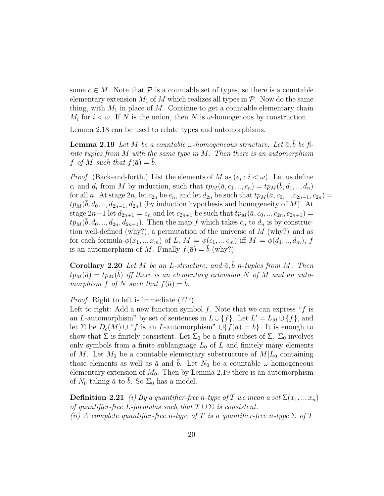some  $c \in M$ . Note that  $\mathcal P$  is a countable set of types, so there is a countable elementary extension  $M_1$  of M which realizes all types in  $P$ . Now do the same thing, with  $M_1$  in place of M. Continue to get a countable elementary chain  $M_i$  for  $i < \omega$ . If N is the union, then N is  $\omega$ -homogenous by construction.

Lemma 2.18 can be used to relate types and automorphisms.

**Lemma 2.19** Let M be a countable  $\omega$ -homogeneous structure. Let  $\bar{a}$ ,  $\bar{b}$  be finite tuples from M with the same type in M. Then there is an automorphism f of M such that  $f(\bar{a}) = b$ .

*Proof.* (Back-and-forth.) List the elements of M as  $(e_i : i < \omega)$ . Let us define  $c_i$  and  $d_i$  from M by induction, such that  $tp_M(\bar{a}, c_1, ..., c_n) = tp_M(\bar{b}, d_1, ..., d_n)$ for all n. At stage  $2n$ , let  $c_{2n}$  be  $e_n$ , and let  $d_{2n}$  be such that  $tp_M(\bar{a}, c_0, ..., c_{2n-1}, c_{2n}) =$  $tp_M(\bar{b}, d_0, ..., d_{2n-1}, d_{2n})$  (by induction hypothesis and homogeneity of M). At stage  $2n+1$  let  $d_{2n+1} = e_n$  and let  $c_{2n+1}$  be such that  $tp_M(\bar{a}, c_0, ..., c_{2n}, c_{2n+1}) =$  $tp_M(\bar{b}, d_0, \ldots, d_{2n}, d_{2n+1})$ . Then the map f which takes  $c_n$  to  $d_n$  is by construction well-defined (why?), a permutation of the universe of  $M$  (why?) and as for each formula  $\phi(x_1,..,x_m)$  of L,  $M \models \phi(c_1,..,c_m)$  iff  $M \models \phi(d_1,..,d_m)$ , f is an automorphism of M. Finally  $f(\bar{a}) = b$  (why?)

Corollary 2.20 Let M be an L-structure, and  $\bar{a}$ ,  $\bar{b}$  n-tuples from M. Then  $tp_M(\bar{a}) = tp_M(\bar{b})$  iff there is an elementary extension N of M and an automorphism f of N such that  $f(\bar{a}) = \bar{b}$ .

Proof. Right to left is immediate (???).

Left to right: Add a new function symbol  $f$ . Note that we can express " $f$  is an L-automorphism" by set of sentences in  $L \cup \{f\}$ . Let  $L' = L_M \cup \{f\}$ , and let  $\Sigma$  be  $D_c(M) \cup {}^{\alpha}f$  is an *L*-automorphism"  $\cup \{f(\bar{a}) = b\}$ . It is enough to show that  $\Sigma$  is finitely consistent. Let  $\Sigma_0$  be a finite subset of  $\Sigma$ .  $\Sigma_0$  involves only symbols from a finite sublanguage  $L_0$  of  $L$  and finitely many elements of M. Let  $M_0$  be a countable elementary substructure of  $M/L_0$  containing those elements as well as  $\bar{a}$  and b. Let  $N_0$  be a countable  $\omega$ -homogeneous elementary extension of  $M_0$ . Then by Lemma 2.19 there is an automorphism of  $N_0$  taking  $\bar{a}$  to b. So  $\Sigma_0$  has a model.

**Definition 2.21** (i) By a quantifier-free n-type of T we mean a set  $\Sigma(x_1,..,x_n)$ of quantifier-free L-formulas such that  $T \cup \Sigma$  is consistent. (ii) A complete quantifier-free n-type of T is a quantifier-free n-type  $\Sigma$  of T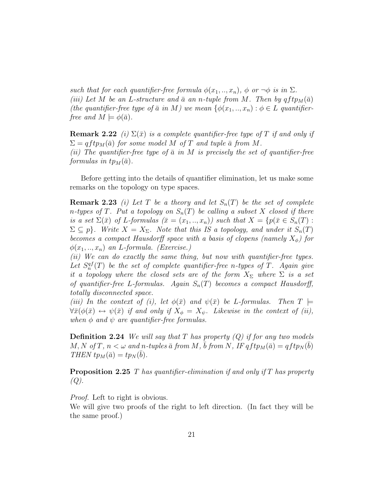such that for each quantifier-free formula  $\phi(x_1,..,x_n)$ ,  $\phi$  or  $\neg \phi$  is in  $\Sigma$ . (iii) Let M be an L-structure and  $\bar{a}$  an n-tuple from M. Then by  $qftp_M(\bar{a})$ (the quantifier-free type of  $\bar{a}$  in M) we mean  $\{\phi(x_1,..,x_n): \phi \in L$  quantifierfree and  $M \models \phi(\bar{a})$ .

**Remark 2.22** (i)  $\Sigma(\bar{x})$  is a complete quantifier-free type of T if and only if  $\Sigma = qftp_M(\bar{a})$  for some model M of T and tuple  $\bar{a}$  from M. (ii) The quantifier-free type of  $\bar{a}$  in M is precisely the set of quantifier-free formulas in  $tp_M(\bar{a})$ .

Before getting into the details of quantifier elimination, let us make some remarks on the topology on type spaces.

**Remark 2.23** (i) Let T be a theory and let  $S_n(T)$  be the set of complete n-types of T. Put a topology on  $S_n(T)$  be calling a subset X closed if there is a set  $\Sigma(\bar{x})$  of L-formulas  $(\bar{x}=(x_1,..,x_n))$  such that  $X=\{p(\bar{x}\in S_n(T))\}$ :  $\Sigma \subseteq p$ . Write  $X = X_{\Sigma}$ . Note that this IS a topology, and under it  $S_n(T)$ becomes a compact Hausdorff space with a basis of clopens (namely  $X_{\phi}$ ) for  $\phi(x_1,..,x_n)$  an L-formula. (Exercise.)

(ii) We can do exactly the same thing, but now with quantifier-free types. Let  $S_n^{qf}(T)$  be the set of complete quantifier-free n-types of T. Again give it a topology where the closed sets are of the form  $X_{\Sigma}$  where  $\Sigma$  is a set of quantifier-free L-formulas. Again  $S_n(T)$  becomes a compact Hausdorff, totally disconnected space.

(iii) In the context of (i), let  $\phi(\bar{x})$  and  $\psi(\bar{x})$  be L-formulas. Then  $T \models$  $\forall \bar{x}(\phi(\bar{x}) \leftrightarrow \psi(\bar{x})$  if and only if  $X_{\phi} = X_{\psi}$ . Likewise in the context of (ii), when  $\phi$  and  $\psi$  are quantifier-free formulas.

**Definition 2.24** We will say that T has property  $(Q)$  if for any two models  $M, N$  of  $T, n < \omega$  and n-tuples  $\bar{a}$  from  $M, \bar{b}$  from  $N, IFqftp_M(\bar{a}) = qftp_N(\bar{b})$ THEN  $tp_M(\bar{a}) = tp_N(\bar{b}).$ 

**Proposition 2.25** T has quantifier-elimination if and only if T has property  $(Q).$ 

*Proof.* Left to right is obvious.

We will give two proofs of the right to left direction. (In fact they will be the same proof.)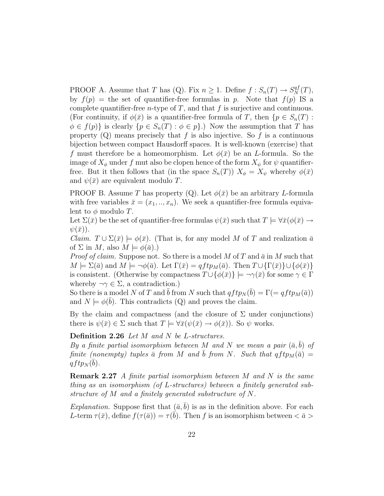PROOF A. Assume that T has (Q). Fix  $n \geq 1$ . Define  $f : S_n(T) \to S_N^{q}(\mathcal{T})$ , by  $f(p)$  = the set of quantifier-free formulas in p. Note that  $f(p)$  IS a complete quantifier-free *n*-type of  $T$ , and that  $f$  is surjective and continuous. (For continuity, if  $\phi(\bar{x})$  is a quantifier-free formula of T, then  $\{p \in S_n(T)$ :  $\phi \in f(p)$  is clearly  $\{p \in S_n(T) : \phi \in p\}$ .) Now the assumption that T has property  $(Q)$  means precisely that f is also injective. So f is a continuous bijection between compact Hausdorff spaces. It is well-known (exercise) that f must therefore be a homeomorphism. Let  $\phi(\bar{x})$  be an L-formula. So the image of  $X_{\phi}$  under f mut also be clopen hence of the form  $X_{\psi}$  for  $\psi$  quantifierfree. But it then follows that (in the space  $S_n(T)$ )  $X_{\phi} = X_{\psi}$  whereby  $\phi(\bar{x})$ and  $\psi(\bar{x})$  are equivalent modulo T.

PROOF B. Assume T has property (Q). Let  $\phi(\bar{x})$  be an arbitrary L-formula with free variables  $\bar{x} = (x_1, ..., x_n)$ . We seek a quantifier-free formula equivalent to  $\phi$  modulo T.

Let  $\Sigma(\bar{x})$  be the set of quantifier-free formulas  $\psi(\bar{x})$  such that  $T \models \forall \bar{x}(\phi(\bar{x}) \rightarrow \bar{x})$  $\psi(\bar{x})$ ).

*Claim.*  $T \cup \Sigma(\bar{x}) \models \phi(\bar{x})$ . (That is, for any model M of T and realization  $\bar{a}$ of  $\Sigma$  in M, also  $M \models \phi(\bar{a})$ .)

*Proof of claim.* Suppose not. So there is a model M of T and  $\bar{a}$  in M such that  $M \models \Sigma(\bar{a})$  and  $M \models \neg \phi(\bar{a})$ . Let  $\Gamma(\bar{x}) = q f t p_M(\bar{a})$ . Then  $T \cup \{\Gamma(\bar{x})\} \cup \{\phi(\bar{x})\}$ is consistent. (Otherwise by compactness  $T \cup \{\phi(\bar{x})\}\models \neg \gamma(\bar{x})$  for some  $\gamma \in \Gamma$ whereby  $\neg \gamma \in \Sigma$ , a contradiction.)

So there is a model N of T and  $\bar{b}$  from N such that  $qftp_N(\bar{b}) = \Gamma(= qftp_M(\bar{a}))$ and  $N \models \phi(\bar{b})$ . This contradicts (Q) and proves the claim.

By the claim and compactness (and the closure of  $\Sigma$  under conjunctions) there is  $\psi(\bar{x}) \in \Sigma$  such that  $T \models \forall \bar{x}(\psi(\bar{x}) \rightarrow \phi(\bar{x}))$ . So  $\psi$  works.

#### Definition 2.26 Let M and N be L-structures.

By a finite partial isomorphism between M and N we mean a pair  $(\bar{a},b)$  of finite (nonempty) tuples  $\bar{a}$  from M and b from N. Such that  $qftp_M(\bar{a}) =$  $qftp_N(\bar{b})$  .

Remark 2.27 A finite partial isomorphism between M and N is the same thing as an isomorphism (of L-structures) between a finitely generated substructure of M and a finitely generated substructure of N.

Explanation. Suppose first that  $(\bar{a}, \bar{b})$  is as in the definition above. For each L-term  $\tau(\bar{x})$ , define  $f(\tau(\bar{a})) = \tau(\bar{b})$ . Then f is an isomorphism between  $\langle \bar{a} \rangle$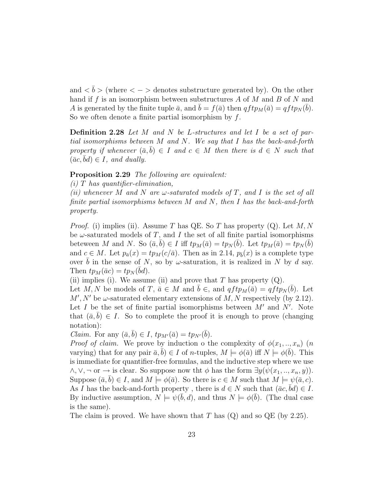and  $\langle b \rangle$  (where  $\langle - \rangle$  denotes substructure generated by). On the other hand if f is an isomorphism between substructures A of M and B of N and A is generated by the finite tuple  $\bar{a}$ , and  $\bar{b} = f(\bar{a})$  then  $qftp_M(\bar{a}) = qftp_N(\bar{b})$ . So we often denote a finite partial isomorphism by  $f$ .

**Definition 2.28** Let M and N be L-structures and let I be a set of partial isomorphisms between M and N. We say that I has the back-and-forth property if whenever  $(\bar{a}, b) \in I$  and  $c \in M$  then there is  $d \in N$  such that  $(\bar{a}c, bd) \in I$ , and dually.

#### Proposition 2.29 The following are equivalent:

 $(i)$  T has quantifier-elimination,

(ii) whenever M and N are  $\omega$ -saturated models of T, and I is the set of all finite partial isomorphisms between  $M$  and  $N$ , then  $I$  has the back-and-forth property.

*Proof.* (i) implies (ii). Assume T has QE. So T has property (Q). Let  $M, N$ be  $\omega$ -saturated models of T, and I the set of all finite partial isomorphisms beteween M and N. So  $(\bar{a}, \bar{b}) \in I$  iff  $tp_M(\bar{a}) = tp_N(\bar{b})$ . Let  $tp_M(\bar{a}) = tp_N(\bar{b})$ and  $c \in M$ . Let  $p_{\bar{a}}(x) = tp_M(c/\bar{a})$ . Then as in 2.14,  $p_{\bar{b}}(x)$  is a complete type over b in the sense of N, so by  $\omega$ -saturation, it is realized in N by d say. Then  $tp_M(\bar{a}c) = tp_N(\bar{b}d)$ .

(ii) implies (i). We assume (ii) and prove that  $T$  has property  $(Q)$ .

Let M, N be models of T,  $\bar{a} \in M$  and  $\bar{b} \in$ , and  $qftp_M(\bar{a}) = qftp_N(\bar{b})$ . Let  $M', N'$  be  $\omega$ -saturated elementary extensions of  $M, N$  respectively (by 2.12). Let I be the set of finite partial isomorphisms between  $M'$  and  $N'$ . Note that  $(\bar{a}, b) \in I$ . So to complete the proof it is enough to prove (changing notation):

*Claim.* For any  $(\bar{a}, \bar{b}) \in I$ ,  $tp_{M'}(\bar{a}) = tp_{N'}(\bar{b})$ .

*Proof of claim.* We prove by induction o the complexity of  $\phi(x_1, \ldots, x_n)$  (*n* varying) that for any pair  $\bar{a}, \bar{b}$   $\in I$  of *n*-tuples,  $M \models \phi(\bar{a})$  iff  $N \models \phi(\bar{b})$ . This is immediate for quantifier-free formulas, and the inductive step where we use  $\wedge, \vee, \neg \text{ or } \rightarrow \text{ is clear. So suppose now that } \phi \text{ has the form } \exists y(\psi(x_1, \ldots, x_n, y)).$ Suppose  $(\bar{a}, \bar{b}) \in I$ , and  $M \models \phi(\bar{a})$ . So there is  $c \in M$  such that  $M \models \psi(\bar{a}, c)$ . As I has the back-and-forth property, there is  $d \in N$  such that  $(\bar{a}c, bd) \in I$ . By inductive assumption,  $N \models \psi(\bar{b}, d)$ , and thus  $N \models \phi(\bar{b})$ . (The dual case is the same).

The claim is proved. We have shown that  $T$  has  $(Q)$  and so  $QE$  (by 2.25).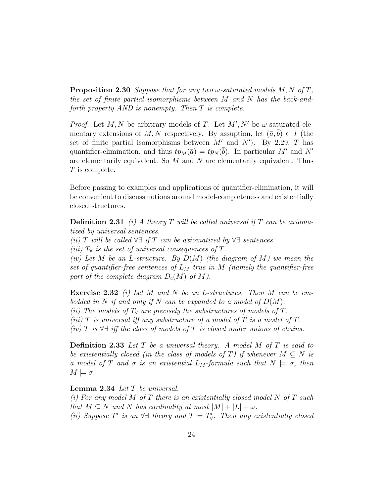**Proposition 2.30** Suppose that for any two  $\omega$ -saturated models M, N of T, the set of finite partial isomorphisms between M and N has the back-andforth property AND is nonempty. Then T is complete.

*Proof.* Let M, N be arbitrary models of T. Let  $M'$ , N' be  $\omega$ -saturated elementary extensions of M, N respectively. By assuption, let  $(\bar{a}, b) \in I$  (the set of finite partial isomorphisms between  $M'$  and  $N'$ ). By 2.29, T has quantifier-elimination, and thus  $tp_M(\bar{a}) = tp_N(\bar{b})$ . In particular M' and N' are elementarily equivalent. So  $M$  and  $N$  are elementarily equivalent. Thus T is complete.

Before passing to examples and applications of quantifier-elimination, it will be convenient to discuss notions around model-completeness and existentially closed structures.

**Definition 2.31** (i) A theory T will be called universal if T can be axiomatized by universal sentences.

(ii) T will be called  $\forall \exists$  if T can be axiomatized by  $\forall \exists$  sentences.

(iii)  $T_\forall$  is the set of universal consequences of T.

(iv) Let M be an L-structure. By  $D(M)$  (the diagram of M) we mean the set of quantifier-free sentences of  $L_M$  true in M (namely the quantifier-free part of the complete diagram  $D_c(M)$  of M).

**Exercise 2.32** (i) Let M and N be an L-structures. Then M can be embedded in N if and only if N can be expanded to a model of  $D(M)$ . (ii) The models of  $T_\forall$  are precisely the substructures of models of T. (iii) T is universal iff any substructure of a model of T is a model of T.

(iv) T is  $\forall \exists$  iff the class of models of T is closed under unions of chains.

**Definition 2.33** Let  $T$  be a universal theory. A model  $M$  of  $T$  is said to be existentially closed (in the class of models of T) if whenever  $M \subseteq N$  is a model of T and  $\sigma$  is an existential  $L_M$ -formula such that  $N \models \sigma$ , then  $M \models \sigma$ .

Lemma 2.34 Let T be universal.

(i) For any model M of T there is an existentially closed model N of T such that  $M \subseteq N$  and N has cardinality at most  $|M| + |L| + \omega$ . (ii) Suppose T' is an  $\forall \exists$  theory and  $T = T'_{\forall}$ . Then any existentially closed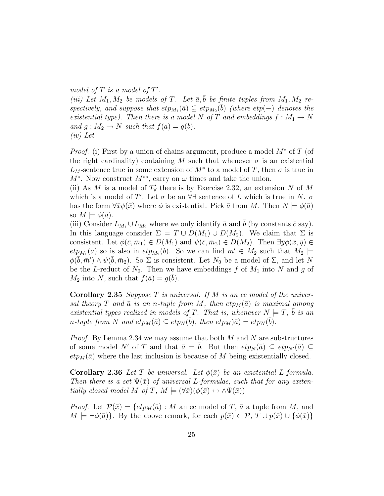model of  $T$  is a model of  $T'$ . (iii) Let  $M_1, M_2$  be models of T. Let  $\bar{a}, \bar{b}$  be finite tuples from  $M_1, M_2$  respectively, and suppose that  $etp_{M_1}(\bar{a}) \subseteq etp_{M_2}(\bar{b})$  (where  $etp(-)$  denotes the existential type). Then there is a model N of T and embeddings  $f : M_1 \to N$ and  $g: M_2 \to N$  such that  $f(a) = g(b)$ . (iv) Let

*Proof.* (i) First by a union of chains argument, produce a model  $M^*$  of T (of the right cardinality) containing M such that whenever  $\sigma$  is an existential  $L_M$ -sentence true in some extension of  $M^*$  to a model of T, then  $\sigma$  is true in  $M^*$ . Now construct  $M^{**}$ , carry on  $\omega$  times and take the union.

(ii) As M is a model of  $T'_{\forall}$  there is by Exercise 2.32, an extension N of M which is a model of T'. Let  $\sigma$  be an  $\forall \exists$  sentence of L which is true in N.  $\sigma$ has the form  $\forall \bar{x}\phi(\bar{x})$  where  $\phi$  is existential. Pick  $\bar{a}$  from M. Then  $N \models \phi(\bar{a})$ so  $M \models \phi(\bar{a})$ .

(iii) Consider  $L_{M_1} \cup L_{M_2}$  where we only identify  $\bar{a}$  and  $\bar{b}$  (by constants  $\bar{c}$  say). In this language consider  $\Sigma = T \cup D(M_1) \cup D(M_2)$ . We claim that  $\Sigma$  is consistent. Let  $\phi(\bar{c}, \bar{m}_1) \in D(M_1)$  and  $\psi(\bar{c}, \bar{m}_2) \in D(M_2)$ . Then  $\exists \bar{y}\phi(\bar{x}, \bar{y}) \in$  $e^t p_{M_1}(\bar{a})$  so is also in  $e^t p_{M_2}(\bar{b})$ . So we can find  $\bar{m}' \in M_2$  such that  $M_2 \models$  $\phi(\bar{b}, \bar{m}') \wedge \psi(\bar{b}, \bar{m}_2)$ . So  $\Sigma$  is consistent. Let  $N_0$  be a model of  $\Sigma$ , and let N be the L-reduct of  $N_0$ . Then we have embeddings f of  $M_1$  into N and g of  $M_2$  into N, such that  $f(\bar{a}) = g(\bar{b})$ .

**Corollary 2.35** Suppose T is universal. If M is an ec model of the universal theory T and  $\bar{a}$  is an n-tuple from M, then  $etp_M(\bar{a})$  is maximal among existential types realized in models of T. That is, whenever  $N \models T, \bar{b}$  is an n-tuple from N and  $etp_M(\bar{a}) \subseteq etp_N(\bar{b}),$  then  $etp_M(\bar{a}) = etp_N(\bar{b}).$ 

*Proof.* By Lemma 2.34 we may assume that both M and N are substructures of some model N' of T and that  $\bar{a} = b$ . But then  $et p_N(\bar{a}) \subseteq et p_{N'}(\bar{a}) \subseteq$  $et p_M(\bar{a})$  where the last inclusion is because of M being existentially closed.

Corollary 2.36 Let T be universal. Let  $\phi(\bar{x})$  be an existential L-formula. Then there is a set  $\Psi(\bar{x})$  of universal L-formulas, such that for any exitentially closed model M of T,  $M \models (\forall \bar{x})(\phi(\bar{x}) \leftrightarrow \land \Psi(\bar{x}))$ 

*Proof.* Let  $\mathcal{P}(\bar{x}) = \{ \epsilon t p_M(\bar{a}) : M \text{ an ec model of } T, \bar{a} \text{ a tuple from } M, \text{ and } \bar{b} \}$  $M \models \neg \phi(\bar{a})\}.$  By the above remark, for each  $p(\bar{x}) \in \mathcal{P}, T \cup p(\bar{x}) \cup \{\phi(\bar{x})\}\.$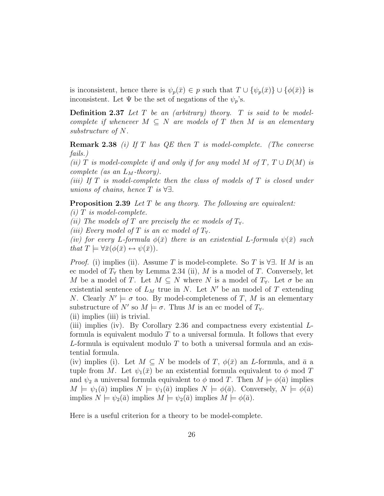is inconsistent, hence there is  $\psi_p(\bar{x}) \in p$  such that  $T \cup \{\psi_p(\bar{x})\} \cup \{\phi(\bar{x})\}$  is inconsistent. Let  $\Psi$  be the set of negations of the  $\psi_p$ 's.

**Definition 2.37** Let  $T$  be an (arbitrary) theory.  $T$  is said to be modelcomplete if whenever  $M \subseteq N$  are models of T then M is an elementary substructure of N.

**Remark 2.38** (i) If  $T$  has  $QE$  then  $T$  is model-complete. (The converse fails.)

(ii) T is model-complete if and only if for any model M of T,  $T \cup D(M)$  is complete (as an  $L_M$ -theory).

(iii) If  $T$  is model-complete then the class of models of  $T$  is closed under unions of chains, hence  $T$  is  $\forall \exists$ .

**Proposition 2.39** Let  $T$  be any theory. The following are equivalent:  $(i)$  T is model-complete.

(ii) The models of T are precisely the ec models of  $T_{\forall}$ .

(iii) Every model of T is an ec model of  $T_{\forall}$ .

(iv) for every L-formula  $\phi(\bar{x})$  there is an existential L-formula  $\psi(\bar{x})$  such that  $T \models \forall \bar{x}(\phi(\bar{x}) \leftrightarrow \psi(\bar{x})).$ 

*Proof.* (i) implies (ii). Assume T is model-complete. So T is  $\forall \exists$ . If M is an ec model of  $T_\forall$  then by Lemma 2.34 (ii), M is a model of T. Conversely, let M be a model of T. Let  $M \subseteq N$  where N is a model of  $T_{\forall}$ . Let  $\sigma$  be an existential sentence of  $L_M$  true in N. Let N' be an model of T extending N. Clearly  $N' \models \sigma$  too. By model-completeness of T, M is an elementary substructure of N' so  $M \models \sigma$ . Thus M is an ec model of  $T_{\forall}$ .

(ii) implies (iii) is trivial.

(iii) implies (iv). By Corollary 2.36 and compactness every existential Lformula is equivalent modulo  $T$  to a universal formula. It follows that every L-formula is equivalent modulo T to both a universal formula and an existential formula.

(iv) implies (i). Let  $M \subseteq N$  be models of T,  $\phi(\bar{x})$  an L-formula, and  $\bar{a}$  a tuple from M. Let  $\psi_1(\bar{x})$  be an existential formula equivalent to  $\phi$  mod T and  $\psi_2$  a universal formula equivalent to  $\phi$  mod T. Then  $M \models \phi(\bar{a})$  implies  $M \models \psi_1(\bar{a})$  implies  $N \models \psi_1(\bar{a})$  implies  $N \models \phi(\bar{a})$ . Conversely,  $N \models \phi(\bar{a})$ implies  $N \models \psi_2(\bar{a})$  implies  $M \models \psi_2(\bar{a})$  implies  $M \models \phi(\bar{a})$ .

Here is a useful criterion for a theory to be model-complete.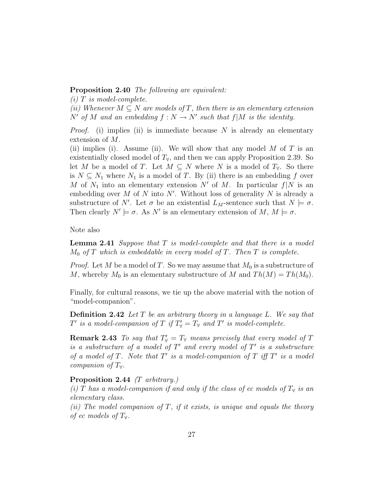#### Proposition 2.40 The following are equivalent:

 $(i)$  T is model-complete.

(ii) Whenever  $M \subseteq N$  are models of T, then there is an elementary extension N' of M and an embedding  $f : N \to N'$  such that  $f|M$  is the identity.

*Proof.* (i) implies (ii) is immediate because N is already an elementary extension of M.

(ii) implies (i). Assume (ii). We will show that any model M of T is an existentially closed model of  $T_\forall$ , and then we can apply Proposition 2.39. So let M be a model of T. Let  $M \subseteq N$  where N is a model of  $T_{\forall}$ . So there is  $N \subseteq N_1$  where  $N_1$  is a model of T. By (ii) there is an embedding f over M of  $N_1$  into an elementary extension N' of M. In particular  $f|N$  is an embedding over  $M$  of  $N$  into  $N'$ . Without loss of generality  $N$  is already a substructure of N'. Let  $\sigma$  be an existential  $L_M$ -sentence such that  $N \models \sigma$ . Then clearly  $N' \models \sigma$ . As N' is an elementary extension of  $M, M \models \sigma$ .

Note also

**Lemma 2.41** Suppose that  $T$  is model-complete and that there is a model  $M_0$  of T which is embeddable in every model of T. Then T is complete.

*Proof.* Let M be a model of T. So we may assume that  $M_0$  is a substructure of M, whereby  $M_0$  is an elementary substructure of M and  $Th(M) = Th(M_0)$ .

Finally, for cultural reasons, we tie up the above material with the notion of "model-companion".

**Definition 2.42** Let  $T$  be an arbitrary theory in a language  $L$ . We say that T' is a model-companion of T if  $T'_{\forall} = T_{\forall}$  and T' is model-complete.

**Remark 2.43** To say that  $T'_{\forall} = T_{\forall}$  means precisely that every model of T is a substructure of a model of  $T'$  and every model of  $T'$  is a substructure of a model of T. Note that  $T'$  is a model-companion of T iff  $T'$  is a model companion of  $T_\forall$ .

#### Proposition 2.44 (T arbitrary.)

(i) T has a model-companion if and only if the class of ec models of  $T_\forall$  is an elementary class.

(ii) The model companion of  $T$ , if it exists, is unique and equals the theory of ec models of  $T_\forall$ .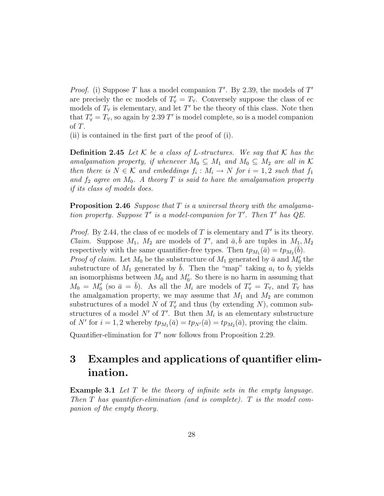*Proof.* (i) Suppose T has a model companion  $T'$ . By 2.39, the models of  $T'$ are precisely the ec models of  $T'_{\forall} = T_{\forall}$ . Conversely suppose the class of ec models of  $T_\forall$  is elementary, and let T' be the theory of this class. Note then that  $T'_{\forall} = T_{\forall}$ , so again by 2.39 T' is model complete, so is a model companion of T.

(ii) is contained in the first part of the proof of (i).

**Definition 2.45** Let K be a class of L-structures. We say that K has the amalgamation property, if whenever  $M_0 \subseteq M_1$  and  $M_0 \subseteq M_2$  are all in K then there is  $N \in \mathcal{K}$  and embeddings  $f_i : M_i \to N$  for  $i = 1, 2$  such that  $f_1$ and  $f_2$  agree on  $M_0$ . A theory T is said to have the amalgamation property if its class of models does.

**Proposition 2.46** Suppose that  $T$  is a universal theory with the amalgamation property. Suppose  $T'$  is a model-companion for  $T'$ . Then  $T'$  has  $QE$ .

*Proof.* By 2.44, the class of ec models of T is elementary and  $T'$  is its theory. *Claim.* Suppose  $M_1$ ,  $M_2$  are models of T', and  $\bar{a}, \bar{b}$  are tuples in  $M_1, M_2$ respectively with the same quantifier-free types. Then  $tp_{M_1}(\bar{a}) = tp_{M_2}(\bar{b})$ . *Proof of claim.* Let  $M_0$  be the substructure of  $M_1$  generated by  $\bar{a}$  and  $M'_0$  the substructure of  $M_1$  generated by b. Then the "map" taking  $a_i$  to  $b_i$  yields an isomorphisms between  $M_0$  and  $M'_0$ . So there is no harm in assuming that  $M_0 = M_0'$  (so  $\bar{a} = \bar{b}$ ). As all the  $M_i$  are models of  $T_{\forall} = T_{\forall}$ , and  $T_{\forall}$  has the amalgamation property, we may assume that  $M_1$  and  $M_2$  are common substructures of a model N of  $T'_{\forall}$  and thus (by extending N), common substructures of a model N' of T'. But then  $M_i$  is an elementary substructure of N' for  $i = 1, 2$  whereby  $tp_{M_1}(\bar{a}) = tp_{N'}(\bar{a}) = tp_{M_2}(\bar{a})$ , proving the claim.

Quantifier-elimination for  $T'$  now follows from Proposition 2.29.

### 3 Examples and applications of quantifier elimination.

Example 3.1 Let T be the theory of infinite sets in the empty language. Then  $T$  has quantifier-elimination (and is complete).  $T$  is the model companion of the empty theory.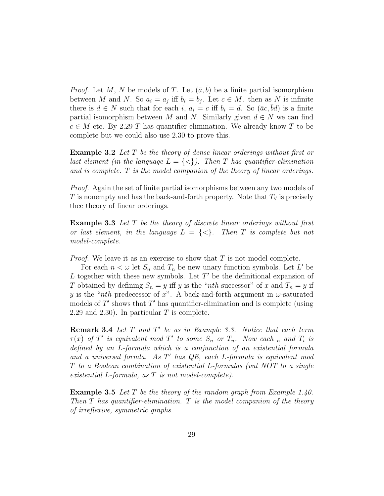*Proof.* Let M, N be models of T. Let  $(\bar{a}, b)$  be a finite partial isomorphism between M and N. So  $a_i = a_j$  iff  $b_i = b_j$ . Let  $c \in M$ . then as N is infinite there is  $d \in N$  such that for each i,  $a_i = c$  iff  $b_i = d$ . So  $(\bar{a}c, \bar{b}d)$  is a finite partial isomorphism between M and N. Similarly given  $d \in N$  we can find  $c \in M$  etc. By 2.29 T has quantifier elimination. We already know T to be complete but we could also use 2.30 to prove this.

Example 3.2 Let T be the theory of dense linear orderings without first or last element (in the language  $L = \{ \langle \rangle \}$ ). Then T has quantifier-elimination and is complete.  $T$  is the model companion of the theory of linear orderings.

*Proof.* Again the set of finite partial isomorphisms between any two models of T is nonempty and has the back-and-forth property. Note that  $T_\forall$  is precisely thee theory of linear orderings.

Example 3.3 Let T be the theory of discrete linear orderings without first or last element, in the language  $L = \{\leq\}$ . Then T is complete but not model-complete.

*Proof.* We leave it as an exercise to show that  $T$  is not model complete.

For each  $n < \omega$  let  $S_n$  and  $T_n$  be new unary function symbols. Let L' be L together with these new symbols. Let  $T'$  be the definitional expansion of T obtained by defining  $S_n = y$  iff y is the "nth successor" of x and  $T_n = y$  if y is the "nth predecessor of x". A back-and-forth argument in  $\omega$ -saturated models of  $T'$  shows that  $T'$  has quantifier-elimination and is complete (using 2.29 and 2.30). In particular  $T$  is complete.

**Remark 3.4** Let  $T$  and  $T'$  be as in Example 3.3. Notice that each term  $\tau(x)$  of T' is equivalent mod T' to some  $S_n$  or  $T_n$ . Now each n and  $T_i$  is defined by an L-formula which is a conjunction of an existential formula and a universal formla. As  $T'$  has  $QE$ , each L-formula is equivalent mod T to a Boolean combination of existential L-formulas (vut NOT to a single existential L-formula, as T is not model-complete).

**Example 3.5** Let T be the theory of the random graph from Example 1.40. Then  $T$  has quantifier-elimination.  $T$  is the model companion of the theory of irreflexive, symmetric graphs.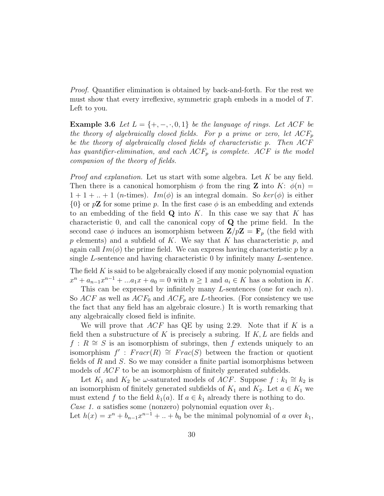Proof. Quantifier elimination is obtained by back-and-forth. For the rest we must show that every irreflexive, symmetric graph embeds in a model of T. Left to you.

**Example 3.6** Let  $L = \{+, -, \cdot, 0, 1\}$  be the language of rings. Let ACF be the theory of algebraically closed fields. For p a prime or zero, let  $ACF_p$ be the theory of algebraically closed fields of characteristic p. Then ACF has quantifier-elimination, and each  $ACF_p$  is complete. ACF is the model companion of the theory of fields.

*Proof and explanation.* Let us start with some algebra. Let  $K$  be any field. Then there is a canonical homorphism  $\phi$  from the ring **Z** into K:  $\phi(n)$  =  $1 + 1 + ... + 1$  (*n*-times).  $Im(\phi)$  is an integral domain. So  $ker(\phi)$  is either  $\{0\}$  or p**Z** for some prime p. In the first case  $\phi$  is an embedding and extends to an embedding of the field  $Q$  into K. In this case we say that K has characteristic 0, and call the canonical copy of Q the prime field. In the second case  $\phi$  induces an isomorphism between  $\mathbf{Z}/p\mathbf{Z} = \mathbf{F}_p$  (the field with  $p$  elements) and a subfield of  $K$ . We say that  $K$  has characteristic  $p$ , and again call  $Im(\phi)$  the prime field. We can express having characteristic p by a single L-sentence and having characteristic 0 by infinitely many L-sentence.

The field  $K$  is said to be algebraically closed if any monic polynomial equation  $x^{n} + a_{n-1}x^{n-1} + \ldots + a_{1}x + a_{0} = 0$  with  $n \geq 1$  and  $a_{i} \in K$  has a solution in K.

This can be expressed by infinitely many L-sentences (one for each  $n$ ). So  $ACF$  as well as  $ACF_0$  and  $ACF_p$  are L-theories. (For consistency we use the fact that any field has an algebraic closure.) It is worth remarking that any algebraically closed field is infinite.

We will prove that  $ACF$  has QE by using 2.29. Note that if K is a field then a substructure of K is precisely a subring. If  $K, L$  are fields and  $f: R \cong S$  is an isomorphism of subrings, then f extends uniquely to an  $\lim_{M \to \infty}$  is an isomorphism of sability, then f choice and  $\lim_{M \to \infty}$  is an isomorphism  $f'$ :  $Frac(R) \cong Frac(S)$  between the fraction or quotient fields of R and S. So we may consider a finite partial isomorphisms between models of ACF to be an isomorphism of finitely generated subfields.

Let  $K_1$  and  $K_2$  be  $\omega$ -saturated models of *ACF*. Suppose  $f : k_1 \cong k_2$  is an isomorphism of finitely generated subfields of  $K_1$  and  $K_2$ . Let  $a \in K_1$  we must extend f to the field  $k_1(a)$ . If  $a \in k_1$  already there is nothing to do. Case 1. a satisfies some (nonzero) polynomial equation over  $k_1$ .

Let  $h(x) = x^n + b_{n-1}x^{n-1} + ... + b_0$  be the minimal polynomial of a over  $k_1$ ,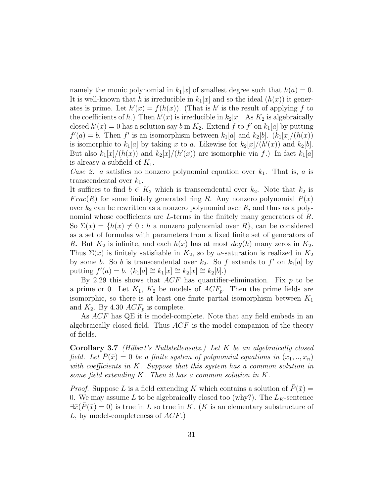namely the monic polynomial in  $k_1[x]$  of smallest degree such that  $h(a) = 0$ . It is well-known that h is irreducible in  $k_1[x]$  and so the ideal  $(h(x))$  it generates is prime. Let  $h'(x) = f(h(x))$ . (That is h' is the result of applying f to the coefficients of h.) Then  $h'(x)$  is irreducible in  $k_2[x]$ . As  $K_2$  is algebraically closed  $h'(x) = 0$  has a solution say b in  $K_2$ . Extend f to f' on  $k_1[a]$  by putting  $f'(a) = b$ . Then f' is an isomorphism between  $k_1[a]$  and  $k_2[b]$ .  $(k_1[x]/(h(x))$ is isomorphic to  $k_1[a]$  by taking x to a. Likewise for  $k_2[x]/(h'(x))$  and  $k_2[b]$ . But also  $k_1[x]/(h(x))$  and  $k_2[x]/(h'(x))$  are isomorphic via f.) In fact  $k_1[a]$ is alreasy a subfield of  $K_1$ .

Case 2. a satisfies no nonzero polynomial equation over  $k_1$ . That is, a is transcendental over  $k_1$ .

It suffices to find  $b \in K_2$  which is transcendental over  $k_2$ . Note that  $k_2$  is  $Frac(R)$  for some finitely generated ring R. Any nonzero polynomial  $P(x)$ over  $k_2$  can be rewritten as a nonzero polynomial over  $R$ , and thus as a polynomial whose coefficients are  $L$ -terms in the finitely many generators of  $R$ . So  $\Sigma(x) = \{h(x) \neq 0 : h$  a nonzero polynomial over  $R\}$ , can be considered as a set of formulas with parameters from a fixed finite set of generators of R. But  $K_2$  is infinite, and each  $h(x)$  has at most  $deg(h)$  many zeros in  $K_2$ . Thus  $\Sigma(x)$  is finitely satisfiable in  $K_2$ , so by  $\omega$ -saturation is realized in  $K_2$ by some b. So b is transcendental over  $k_2$ . So f extends to f' on  $k_1[a]$  by putting  $f'(a) = b$ .  $(k_1[a] \cong k_1[x] \cong k_2[x] \cong k_2[b]$ .)

By 2.29 this shows that  $ACF$  has quantifier-elimination. Fix p to be a prime or 0. Let  $K_1$ ,  $K_2$  be models of  $ACF_p$ . Then the prime fields are isomorphic, so there is at least one finite partial isomorphism between  $K_1$ and  $K_2$ . By 4.30  $ACF_p$  is complete.

As ACF has QE it is model-complete. Note that any field embeds in an algebraically closed field. Thus  $ACF$  is the model companion of the theory of fields.

**Corollary 3.7** (Hilbert's Nullstellensatz.) Let K be an algebraically closed field. Let  $P(\bar{x}) = 0$  be a finite system of polynomial equations in  $(x_1, ..., x_n)$ with coefficients in  $K$ . Suppose that this system has a common solution in some field extending K. Then it has a common solution in K.

*Proof.* Suppose L is a field extending K which contains a solution of  $P(\bar{x}) =$ 0. We may assume L to be algebraically closed too (why?). The  $L_K$ -sentence  $\exists \bar{x}(\bar{P}(\bar{x})=0)$  is true in L so true in K. (K is an elementary substructure of L, by model-completeness of  $ACF$ .)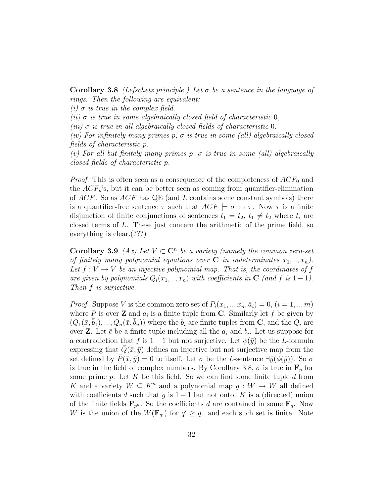Corollary 3.8 (Lefschetz principle.) Let  $\sigma$  be a sentence in the language of rings. Then the following are equivalent:

(i)  $\sigma$  is true in the complex field.

(ii)  $\sigma$  is true in some algebraically closed field of characteristic 0,

(iii)  $\sigma$  is true in all algebraically closed fields of characteristic 0.

(iv) For infinitely many primes p,  $\sigma$  is true in some (all) algebraically closed fields of characteristic p.

(v) For all but finitely many primes p,  $\sigma$  is true in some (all) algebraically closed fields of characteristic p.

*Proof.* This is often seen as a consequence of the completeness of  $ACF_0$  and the  $ACF_p$ 's, but it can be better seen as coming from quantifier-elimination of  $ACF$ . So as  $ACF$  has QE (and L contains some constant symbols) there is a quantifier-free sentence  $\tau$  such that  $ACF \models \sigma \leftrightarrow \tau$ . Now  $\tau$  is a finite disjunction of finite conjunctions of sentences  $t_1 = t_2, t_1 \neq t_2$  where  $t_i$  are closed terms of L. These just concern the arithmetic of the prime field, so everything is clear.(???)

**Corollary 3.9** (Ax) Let  $V \subset \mathbb{C}^n$  be a variety (namely the common zero-set of finitely many polynomial equations over  $C$  in indeterminates  $x_1,..,x_n$ ). Let  $f: V \to V$  be an injective polynomial map. That is, the coordinates of f are given by polynomials  $Q_i(x_1, \ldots, x_n)$  with coefficients in  $C$  (and f is 1-1). Then f is surjective.

*Proof.* Suppose V is the common zero set of  $P_i(x_1, \ldots, x_n, \bar{a}_i) = 0$ ,  $(i = 1, \ldots, m)$ where P is over **Z** and  $a_i$  is a finite tuple from **C**. Similarly let f be given by  $(Q_1(\bar{x}, b_1), ..., Q_n(\bar{x}, b_n))$  where the  $b_i$  are finite tuples from **C**, and the  $Q_i$  are over **Z**. Let  $\bar{c}$  be a finite tuple including all the  $a_i$  and  $b_i$ . Let us suppose for a contradiction that f is 1 − 1 but not surjective. Let  $\phi(\bar{y})$  be the L-formula expressing that  $Q(\bar{x}, \bar{y})$  defines an injective but not surjective map from the set defined by  $P(\bar{x}, \bar{y}) = 0$  to itself. Let  $\sigma$  be the L-sentence  $\exists \bar{y}(\phi(\bar{y}))$ . So  $\sigma$ is true in the field of complex numbers. By Corollary 3.8,  $\sigma$  is true in  $\mathbf{F}_p$  for some prime  $p$ . Let  $K$  be this field. So we can find some finite tuple  $d$  from K and a variety  $W \subseteq K^n$  and a polynomial map  $g: W \to W$  all defined with coefficients d such that g is  $1 - 1$  but not onto. K is a (directed) union of the finite fields  $\mathbf{F}_{p^n}$ . So the coefficients d are contained in some  $\mathbf{F}_q$ . Now W is the union of the  $W(\mathbf{F}_{q'})$  for  $q' \geq q$ . and each such set is finite. Note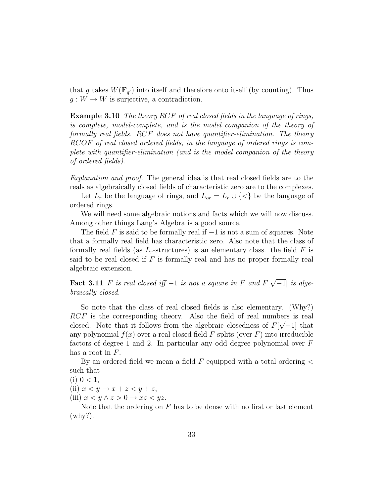that g takes  $W(\mathbf{F}_{q'})$  into itself and therefore onto itself (by counting). Thus  $g: W \to W$  is surjective, a contradiction.

Example 3.10 The theory RCF of real closed fields in the language of rings, is complete, model-complete, and is the model companion of the theory of formally real fields. RCF does not have quantifier-elimination. The theory RCOF of real closed ordered fields, in the language of ordered rings is complete with quantifier-elimination (and is the model companion of the theory of ordered fields).

Explanation and proof. The general idea is that real closed fields are to the reals as algebraically closed fields of characteristic zero are to the complexes.

Let  $L_r$  be the language of rings, and  $L_{or} = L_r \cup \{ \leq \}$  be the language of ordered rings.

We will need some algebraic notions and facts which we will now discuss. Among other things Lang's Algebra is a good source.

The field F is said to be formally real if  $-1$  is not a sum of squares. Note that a formally real field has characteristic zero. Also note that the class of formally real fields (as  $L_r$ -structures) is an elementary class. the field F is said to be real closed if  $F$  is formally real and has no proper formally real algebraic extension.

Fact 3.11 F is real closed iff  $-1$  is not a square in F and  $F[\sqrt{-1}]$  is alge-√ braically closed.

So note that the class of real closed fields is also elementary. (Why?)  $RCF$  is the corresponding theory. Also the field of real numbers is real closed. Note that it follows from the algebraic closedness of  $F[\sqrt{-1}]$  that any polynomial  $f(x)$  over a real closed field F splits (over F) into irreducible factors of degree 1 and 2. In particular any odd degree polynomial over F has a root in  $F$ .

By an ordered field we mean a field  $F$  equipped with a total ordering  $\lt$ such that

 $(i)$  0 < 1,

(ii)  $x < y \rightarrow x + z < y + z$ ,

(iii)  $x < y \wedge z > 0 \rightarrow xz < yz$ .

Note that the ordering on  $F$  has to be dense with no first or last element (why?).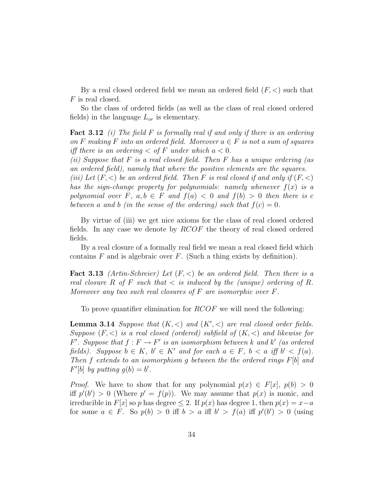By a real closed ordered field we mean an ordered field  $(F, <)$  such that  $F$  is real closed.

So the class of ordered fields (as well as the class of real closed ordered fields) in the language  $L_{or}$  is elementary.

**Fact 3.12** (i) The field F is formally real if and only if there is an ordering on F making F into an ordered field. Moreover  $a \in F$  is not a sum of squares iff there is an ordering  $\langle$  of F under which  $a \langle 0$ .

(ii) Suppose that  $F$  is a real closed field. Then  $F$  has a unique ordering (as an ordered field), namely that where the positive elements are the squares.

(iii) Let  $(F, <)$  be an ordered field. Then F is real closed if and only if  $(F, <)$ has the sign-change property for polynomials: namely whenever  $f(x)$  is a polynomial over F,  $a, b \in F$  and  $f(a) < 0$  and  $f(b) > 0$  then there is c between a and b (in the sense of the ordering) such that  $f(c) = 0$ .

By virtue of (iii) we get nice axioms for the class of real closed ordered fields. In any case we denote by RCOF the theory of real closed ordered fields.

By a real closure of a formally real field we mean a real closed field which contains  $F$  and is algebraic over  $F$ . (Such a thing exists by definition).

**Fact 3.13** (Artin-Schreier) Let  $(F, <)$  be an ordered field. Then there is a real closure R of F such that  $\lt$  is induced by the (unique) ordering of R. Moreover any two such real closures of  $F$  are isomorphic over  $F$ .

To prove quantifier elimination for  $RCOF$  we will need the following:

**Lemma 3.14** Suppose that  $(K, <)$  and  $(K', <)$  are real closed order fields. Suppose  $(F, \leq)$  is a real closed (ordered) subfield of  $(K, \leq)$  and likewise for  $F'$ . Suppose that  $f: F \to F'$  is an isomorphism between k and k' (as ordered fields). Suppose  $b \in K$ ,  $b' \in K'$  and for each  $a \in F$ ,  $b < a$  iff  $b' < f(a)$ . Then f extends to an isomorphism g between the the ordered rings  $F[b]$  and  $F'[b]$  by putting  $g(b) = b'$ .

*Proof.* We have to show that for any polynomial  $p(x) \in F[x]$ ,  $p(b) > 0$ iff  $p'(b') > 0$  (Where  $p' = f(p)$ ). We may assume that  $p(x)$  is monic, and irreducible in  $F[x]$  so p has degree  $\leq 2$ . If  $p(x)$  has degree 1, then  $p(x) = x-a$ for some  $a \in F$ . So  $p(b) > 0$  iff  $b > a$  iff  $b' > f(a)$  iff  $p'(b') > 0$  (using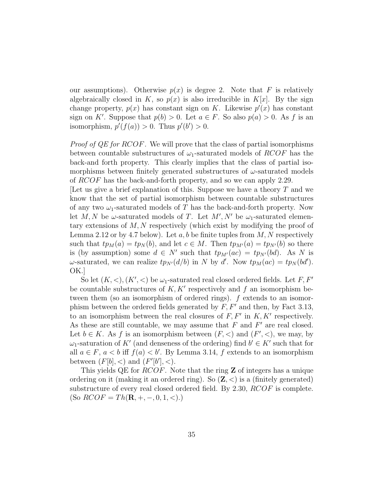our assumptions). Otherwise  $p(x)$  is degree 2. Note that F is relatively algebraically closed in K, so  $p(x)$  is also irreducible in K[x]. By the sign change property,  $p(x)$  has constant sign on K. Likewise  $p'(x)$  has constant sign on K'. Suppose that  $p(b) > 0$ . Let  $a \in F$ . So also  $p(a) > 0$ . As f is an isomorphism,  $p'(f(a)) > 0$ . Thus  $p'(b') > 0$ .

Proof of QE for RCOF. We will prove that the class of partial isomorphisms between countable substructures of  $\omega_1$ -saturated models of RCOF has the back-and forth property. This clearly implies that the class of partial isomorphisms between finitely generated substructures of  $\omega$ -saturated models of RCOF has the back-and-forth property, and so we can apply 2.29.

Let us give a brief explanation of this. Suppose we have a theory  $T$  and we know that the set of partial isomorphism between countable substructures of any two  $\omega_1$ -saturated models of T has the back-and-forth property. Now let M, N be  $\omega$ -saturated models of T. Let M', N' be  $\omega_1$ -saturated elementary extensions of  $M, N$  respectively (which exist by modifying the proof of Lemma 2.12 or by 4.7 below). Let  $a, b$  be finite tuples from  $M, N$  respectively such that  $tp_M(a) = tp_N(b)$ , and let  $c \in M$ . Then  $tp_{M'}(a) = tp_{N'}(b)$  so there is (by assumption) some  $d \in N'$  such that  $tp_{M'}(ac) = tp_{N'}(bd)$ . As N is  $\omega$ -saturated, we can realize  $tp_{N'}(d/b)$  in N by d'. Now  $tp_M(ac) = tp_N(bd')$ . OK.]

So let  $(K, <)$ ,  $(K', <)$  be  $\omega_1$ -saturated real closed ordered fields. Let F, F' be countable substructures of  $K, K'$  respectively and f an isomorphism between them (so an isomorphism of ordered rings). f extends to an isomorphism between the ordered fields generated by  $F, F'$  and then, by Fact 3.13, to an isomorphism between the real closures of  $F, F'$  in  $K, K'$  respectively. As these are still countable, we may assume that  $F$  and  $F'$  are real closed. Let  $b \in K$ . As f is an isomorphism between  $(F, \leq)$  and  $(F', \leq)$ , we may, by  $\omega_1$ -saturation of K' (and denseness of the ordering) find  $b' \in K'$  such that for all  $a \in F$ ,  $a < b$  iff  $f(a) < b'$ . By Lemma 3.14, f extends to an isomorphism between  $(F[b], <)$  and  $(F'[b'], <)$ .

This yields QE for *RCOF*. Note that the ring **Z** of integers has a unique ordering on it (making it an ordered ring). So  $(\mathbb{Z}, \leq)$  is a (finitely generated) substructure of every real closed ordered field. By 2.30, RCOF is complete. (So  $RCOF = Th(\mathbf{R}, +, -, 0, 1, <)$ .)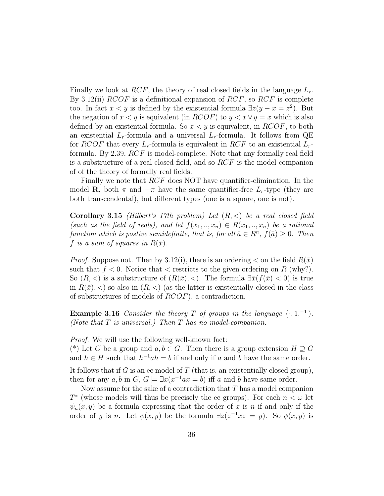Finally we look at RCF, the theory of real closed fields in the language  $L_r$ . By 3.12(ii)  $RCOF$  is a definitional expansion of  $RCF$ , so  $RCF$  is complete too. In fact  $x < y$  is defined by the existential formula  $\exists z(y - x = z^2)$ . But the negation of  $x < y$  is equivalent (in  $RCOF$ ) to  $y < x \vee y = x$  which is also defined by an existential formula. So  $x \leq y$  is equivalent, in  $RCOF$ , to both an existential  $L_r$ -formula and a universal  $L_r$ -formula. It follows from QE for RCOF that every  $L_r$ -formula is equivalent in RCF to an existential  $L_r$ formula. By 2.39, RCF is model-complete. Note that any formally real field is a substructure of a real closed field, and so  $RCF$  is the model companion of of the theory of formally real fields.

Finally we note that RCF does NOT have quantifier-elimination. In the model **R**, both  $\pi$  and  $-\pi$  have the same quantifier-free  $L_r$ -type (they are both transcendental), but different types (one is a square, one is not).

**Corollary 3.15** (Hilbert's 17th problem) Let  $(R, <)$  be a real closed field (such as the field of reals), and let  $f(x_1, \ldots, x_n) \in R(x_1, \ldots, x_n)$  be a rational function which is postive semidefinite, that is, for all  $\bar{a} \in R^n$ ,  $f(\bar{a}) \geq 0$ . Then f is a sum of squares in  $R(\bar{x})$ .

*Proof.* Suppose not. Then by 3.12(i), there is an ordering  $\lt$  on the field  $R(\bar{x})$ such that  $f < 0$ . Notice that  $\langle$  restricts to the given ordering on R (why?). So  $(R, <)$  is a substructure of  $(R(\bar{x}), <)$ . The formula  $\exists \bar{x}(f(\bar{x}) < 0)$  is true in  $R(\bar{x}),$  so also in  $(R, <)$  (as the latter is existentially closed in the class of substructures of models of RCOF), a contradiction.

**Example 3.16** Consider the theory T of groups in the language  $\{\cdot, 1, ^{-1}\}$ . (Note that  $T$  is universal.) Then  $T$  has no model-companion.

Proof. We will use the following well-known fact:

(\*) Let G be a group and  $a, b \in G$ . Then there is a group extension  $H \supseteq G$ and  $h \in H$  such that  $h^{-1}ah = b$  if and only if a and b have the same order.

It follows that if  $G$  is an ec model of  $T$  (that is, an existentially closed group), then for any  $a, b$  in  $G, G \models \exists x (x^{-1}ax = b)$  iff a and b have same order.

Now assume for the sake of a contradiction that  $T$  has a model companion  $T^*$  (whose models will thus be precisely the ec groups). For each  $n < \omega$  let  $\psi_n(x, y)$  be a formula expressing that the order of x is n if and only if the order of y is n. Let  $\phi(x, y)$  be the formula  $\exists z(z^{-1}xz = y)$ . So  $\phi(x, y)$  is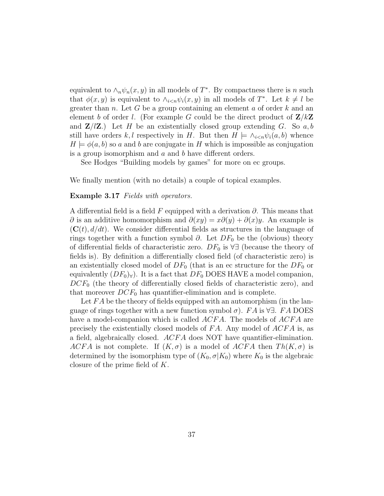equivalent to  $\wedge_n \psi_n(x, y)$  in all models of  $T^*$ . By compactness there is n such that  $\phi(x, y)$  is equivalent to  $\wedge_{i \leq n} \psi_i(x, y)$  in all models of  $T^*$ . Let  $k \neq l$  be greater than  $n$ . Let G be a group containing an element  $a$  of order  $k$  and an element b of order l. (For example G could be the direct product of  $\mathbf{Z}/k\mathbf{Z}$ and  $\mathbf{Z}/l\mathbf{Z}$ .) Let H be an existentially closed group extending G. So a, b still have orders k, l respectively in H. But then  $H \models \wedge_{i \leq n} \psi_i(a, b)$  whence  $H \models \phi(a, b)$  so a and b are conjugate in H which is impossible as conjugation is a group isomorphism and a and b have different orders.

See Hodges "Building models by games" for more on ec groups.

We finally mention (with no details) a couple of topical examples.

#### Example 3.17 Fields with operators.

A differential field is a field F equipped with a derivation  $\partial$ . This means that  $\partial$  is an additive homomorphism and  $\partial(xy) = x\partial(y) + \partial(x)y$ . An example is  $(C(t), d/dt)$ . We consider differential fields as structures in the language of rings together with a function symbol  $\partial$ . Let  $DF_0$  be the (obvious) theory of differential fields of characteristic zero.  $DF_0$  is  $\forall \exists$  (because the theory of fields is). By definition a differentially closed field (of characteristic zero) is an existentially closed model of  $DF_0$  (that is an ec structure for the  $DF_0$  or equivalently  $(DF_0)_{\forall}$ . It is a fact that  $DF_0$  DOES HAVE a model companion,  $DCF_0$  (the theory of differentially closed fields of characteristic zero), and that moreover  $DCF_0$  has quantifier-elimination and is complete.

Let  $FA$  be the theory of fields equipped with an automorphism (in the language of rings together with a new function symbol  $\sigma$ ). FA is  $\forall \exists$ . FA DOES have a model-companion which is called ACFA. The models of ACFA are precisely the existentially closed models of  $FA$ . Any model of  $ACFA$  is, as a field, algebraically closed.  $ACFA$  does NOT have quantifier-elimination. ACFA is not complete. If  $(K, \sigma)$  is a model of ACFA then  $Th(K, \sigma)$  is determined by the isomorphism type of  $(K_0, \sigma | K_0)$  where  $K_0$  is the algebraic closure of the prime field of K.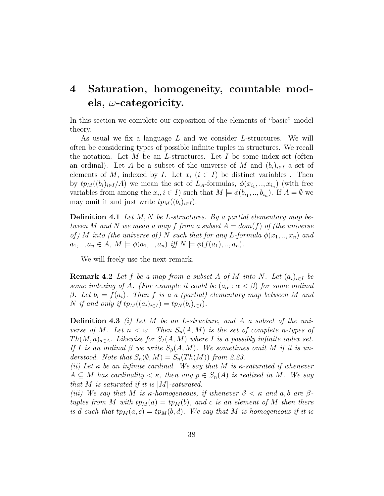### 4 Saturation, homogeneity, countable models,  $\omega$ -categoricity.

In this section we complete our exposition of the elements of "basic" model theory.

As usual we fix a language L and we consider L-structures. We will often be considering types of possible infinite tuples in structures. We recall the notation. Let  $M$  be an L-structures. Let  $I$  be some index set (often an ordinal). Let A be a subset of the universe of M and  $(b_i)_{i\in I}$  a set of elements of M, indexed by I. Let  $x_i$   $(i \in I)$  be distinct variables. Then by  $tp_M((b_i)_{i\in I}/A)$  we mean the set of  $L_A$ -formulas,  $\phi(x_{i_1},...,x_{i_n})$  (with free variables from among the  $x_i, i \in I$ ) such that  $M \models \phi(b_{i_1},...,b_{i_n})$ . If  $A = \emptyset$  we may omit it and just write  $tp_M((b_i)_{i\in I})$ .

**Definition 4.1** Let  $M, N$  be L-structures. By a partial elementary map between M and N we mean a map f from a subset  $A = dom(f)$  of (the universe of) M into (the universe of) N such that for any L-formula  $\phi(x_1,..,x_n)$  and  $a_1, ..., a_n \in A, M \models \phi(a_1, ..., a_n) \text{ iff } N \models \phi(f(a_1), ..., a_n).$ 

We will freely use the next remark.

**Remark 4.2** Let f be a map from a subset A of M into N. Let  $(a_i)_{i\in I}$  be some indexing of A. (For example it could be  $(a_{\alpha} : \alpha < \beta)$  for some ordinal β. Let  $b_i = f(a_i)$ . Then f is a a (partial) elementary map between M and N if and only if  $tp_M((a_i)_{i\in I}) = tp_N(b_i)_{i\in I}).$ 

**Definition 4.3** (i) Let M be an L-structure, and A a subset of the universe of M. Let  $n < \omega$ . Then  $S_n(A, M)$  is the set of complete n-types of  $Th(M, a)_{a \in A}$ . Likewise for  $S_I(A, M)$  where I is a possibly infinite index set. If I is an ordinal  $\beta$  we write  $S_{\beta}(A, M)$ . We sometimes omit M if it is understood. Note that  $S_n(\emptyset, M) = S_n(Th(M))$  from 2.23.

(ii) Let  $\kappa$  be an infinite cardinal. We say that M is  $\kappa$ -saturated if whenever  $A \subseteq M$  has cardinality  $\lt \kappa$ , then any  $p \in S_n(A)$  is realized in M. We say that M is saturated if it is  $|M|$ -saturated.

(iii) We say that M is  $\kappa$ -homogeneous, if whenever  $\beta < \kappa$  and a, b are  $\beta$ tuples from M with  $tp_M(a) = tp_M(b)$ , and c is an element of M then there is d such that  $tp_M(a, c) = tp_M(b, d)$ . We say that M is homogeneous if it is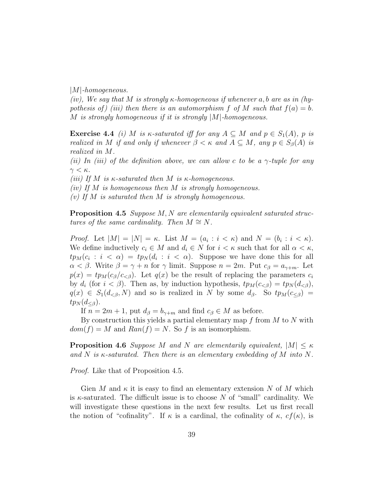$|M|$ -homogeneous.

(iv), We say that M is strongly  $\kappa$ -homogeneous if whenever a, b are as in (hypothesis of) (iii) then there is an automorphism f of M such that  $f(a) = b$ . M is strongly homogeneous if it is strongly |M|-homogeneous.

**Exercise 4.4** (i) M is  $\kappa$ -saturated iff for any  $A \subseteq M$  and  $p \in S_1(A)$ , p is realized in M if and only if whenever  $\beta < \kappa$  and  $A \subseteq M$ , any  $p \in S_{\beta}(A)$  is realized in M.

(ii) In (iii) of the definition above, we can allow c to be a  $\gamma$ -tuple for any  $\gamma < \kappa$ .

(iii) If M is  $\kappa$ -saturated then M is  $\kappa$ -homogeneous.

(iv) If M is homogeneous then M is strongly homogeneous.

(v) If M is saturated then M is strongly homogeneous.

Proposition 4.5 Suppose M, N are elementarily equivalent saturated structures of the same cardinality. Then  $M \cong N$ .

*Proof.* Let  $|M| = |N| = \kappa$ . List  $M = (a_i : i < \kappa)$  and  $N = (b_i : i < \kappa)$ . We define inductively  $c_i \in M$  and  $d_i \in N$  for  $i < \kappa$  such that for all  $\alpha < \kappa$ ,  $tp_M(c_i : i < \alpha) = tp_N(d_i : i < \alpha)$ . Suppose we have done this for all  $\alpha < \beta$ . Write  $\beta = \gamma + n$  for  $\gamma$  limit. Suppose  $n = 2m$ . Put  $c_{\beta} = a_{\gamma+m}$ . Let  $p(x) = tp_M(c_\beta/c_{\leq \beta})$ . Let  $q(x)$  be the result of replacing the parameters  $c_i$ by  $d_i$  (for  $i < \beta$ ). Then as, by induction hypothesis,  $tp_M(c_{<\beta}) = tp_N(d_{<\beta}),$  $q(x) \in S_1(d_{\leq \beta}, N)$  and so is realized in N by some  $d_{\beta}$ . So  $tp_M(c_{\leq \beta}) =$  $tp_N(d_{\leq \beta}).$ 

If  $n = 2m + 1$ , put  $d_{\beta} = b_{\gamma+m}$  and find  $c_{\beta} \in M$  as before.

By construction this yields a partial elementary map  $f$  from  $M$  to  $N$  with  $dom(f) = M$  and  $Ran(f) = N$ . So f is an isomorphism.

**Proposition 4.6** Suppose M and N are elementarily equivalent,  $|M| \leq \kappa$ and N is  $\kappa$ -saturated. Then there is an elementary embedding of M into N.

Proof. Like that of Proposition 4.5.

Gien M and  $\kappa$  it is easy to find an elementary extension N of M which is  $\kappa$ -saturated. The difficult issue is to choose N of "small" cardinality. We will investigate these questions in the next few results. Let us first recall the notion of "cofinality". If  $\kappa$  is a cardinal, the cofinality of  $\kappa$ ,  $cf(\kappa)$ , is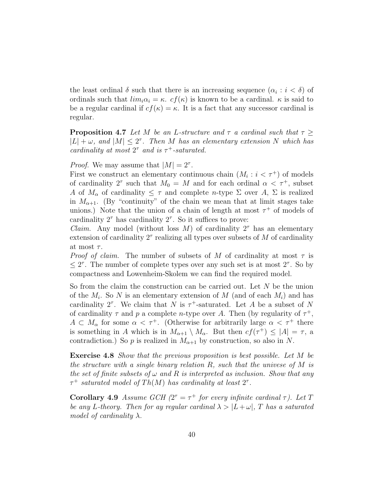the least ordinal  $\delta$  such that there is an increasing sequence  $(\alpha_i : i < \delta)$  of ordinals such that  $\lim_{i \to i} \alpha_i = \kappa$ .  $cf(\kappa)$  is known to be a cardinal.  $\kappa$  is said to be a regular cardinal if  $cf(\kappa) = \kappa$ . It is a fact that any successor cardinal is regular.

**Proposition 4.7** Let M be an L-structure and  $\tau$  a cardinal such that  $\tau \geq$  $|L| + \omega$ , and  $|M| \leq 2^{\tau}$ . Then M has an elementary extension N which has cardinality at most  $2^{\tau}$  and is  $\tau^{+}$ -saturated.

*Proof.* We may assume that  $|M| = 2^{\tau}$ .

First we construct an elementary continuous chain  $(M_i : i < \tau^+)$  of models of cardinality 2<sup> $\tau$ </sup> such that  $M_0 = M$  and for each ordinal  $\alpha < \tau^+$ , subset A of  $M_{\alpha}$  of cardinality  $\leq \tau$  and complete n-type  $\Sigma$  over A,  $\Sigma$  is realized in  $M_{\alpha+1}$ . (By "continuity" of the chain we mean that at limit stages take unions.) Note that the union of a chain of length at most  $\tau^+$  of models of cardinality  $2^{\tau}$  has cardinality  $2^{\tau}$ . So it suffices to prove:

*Claim.* Any model (without loss M) of cardinality  $2^{\tau}$  has an elementary extension of cardinality  $2^{\tau}$  realizing all types over subsets of M of cardinality at most  $\tau$ .

*Proof of claim.* The number of subsets of M of cardinality at most  $\tau$  is  $\leq 2^{\tau}$ . The number of complete types over any such set is at most  $2^{\tau}$ . So by compactness and Lowenheim-Skolem we can find the required model.

So from the claim the construction can be carried out. Let N be the union of the  $M_i$ . So N is an elementary extension of M (and of each  $M_i$ ) and has cardinality 2<sup> $\tau$ </sup>. We claim that N is  $\tau$ <sup>+</sup>-saturated. Let A be a subset of N of cardinality  $\tau$  and p a complete n-type over A. Then (by regularity of  $\tau^+$ ,  $A \subset M_\alpha$  for some  $\alpha < \tau^+$ . (Otherwise for arbitrarily large  $\alpha < \tau^+$  there is something in A which is in  $M_{\alpha+1} \setminus M_{\alpha}$ . But then  $cf(\tau^+) \leq |A| = \tau$ , a contradiction.) So p is realized in  $M_{\alpha+1}$  by construction, so also in N.

Exercise 4.8 Show that the previous proposition is best possible. Let M be the structure with a single binary relation  $R$ , such that the univese of  $M$  is the set of finite subsets of  $\omega$  and R is interpreted as inclusion. Show that any  $\tau^+$  saturated model of Th(M) has cardinality at least  $2^{\tau}$ .

Corollary 4.9 Assume GCH  $(2^{\tau} = \tau^+$  for every infinite cardinal  $\tau$ ). Let T be any L-theory. Then for ay regular cardinal  $\lambda > |L + \omega|$ , T has a saturated model of cardinality  $\lambda$ .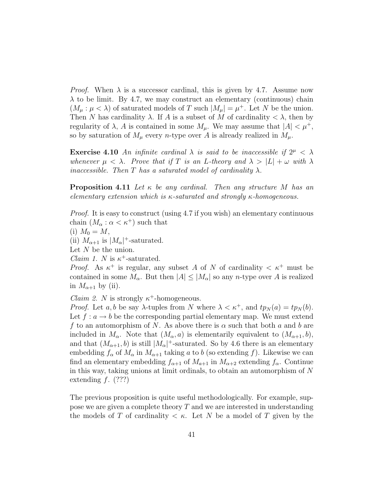*Proof.* When  $\lambda$  is a successor cardinal, this is given by 4.7. Assume now  $\lambda$  to be limit. By 4.7, we may construct an elementary (continuous) chain  $(M_\mu : \mu < \lambda)$  of saturated models of T such  $|M_\mu| = \mu^+$ . Let N be the union. Then N has cardinality  $\lambda$ . If A is a subset of M of cardinality  $\langle \lambda \rangle$ , then by regularity of  $\lambda$ , A is contained in some  $M_{\mu}$ . We may assume that  $|A| < \mu^{+}$ , so by saturation of  $M_{\mu}$  every *n*-type over A is already realized in  $M_{\mu}$ .

**Exercise 4.10** An infinite cardinal  $\lambda$  is said to be inaccessible if  $2^{\mu} < \lambda$ whenever  $\mu < \lambda$ . Prove that if T is an L-theory and  $\lambda > |L| + \omega$  with  $\lambda$ inaccessible. Then T has a saturated model of cardinality  $\lambda$ .

**Proposition 4.11** Let  $\kappa$  be any cardinal. Then any structure M has an elementary extension which is  $\kappa$ -saturated and strongly  $\kappa$ -homogeneous.

Proof. It is easy to construct (using 4.7 if you wish) an elementary continuous chain  $(M_\alpha : \alpha < \kappa^+)$  such that

(i)  $M_0 = M$ ,

(ii)  $M_{\alpha+1}$  is  $|M_{\alpha}|^+$ -saturated.

Let  $N$  be the union.

*Claim 1. N* is  $\kappa^+$ -saturated.

*Proof.* As  $\kappa^+$  is regular, any subset A of N of cardinality  $\lt \kappa^+$  must be contained in some  $M_{\alpha}$ . But then  $|A| \leq |M_{\alpha}|$  so any *n*-type over A is realized in  $M_{\alpha+1}$  by (ii).

*Claim 2. N* is strongly  $\kappa^+$ -homogeneous.

*Proof.* Let a, b be say  $\lambda$ -tuples from N where  $\lambda < \kappa^+$ , and  $tp_N(a) = tp_N(b)$ . Let  $f: a \to b$  be the corresponding partial elementary map. We must extend f to an automorphism of N. As above there is  $\alpha$  such that both a and b are included in  $M_{\alpha}$ . Note that  $(M_{\alpha}, a)$  is elementarily equivalent to  $(M_{\alpha+1}, b)$ , and that  $(M_{\alpha+1}, b)$  is still  $|M_{\alpha}|^+$ -saturated. So by 4.6 there is an elementary embedding  $f_{\alpha}$  of  $M_{\alpha}$  in  $M_{\alpha+1}$  taking a to b (so extending f). Likewise we can find an elementary embedding  $f_{\alpha+1}$  of  $M_{\alpha+1}$  in  $M_{\alpha+2}$  extending  $f_{\alpha}$ . Continue in this way, taking unions at limit ordinals, to obtain an automorphism of N extending  $f.$  (???)

The previous proposition is quite useful methodologically. For example, suppose we are given a complete theory  $T$  and we are interested in understanding the models of T of cardinality  $\lt \kappa$ . Let N be a model of T given by the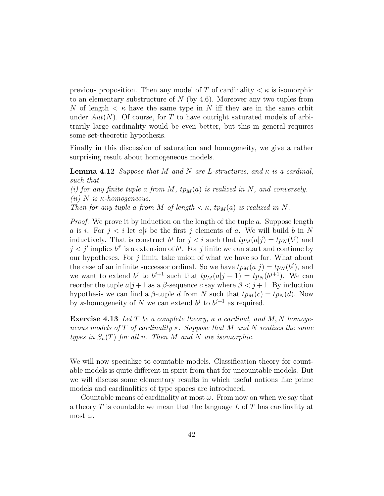previous proposition. Then any model of T of cardinality  $\lt \kappa$  is isomorphic to an elementary substructure of  $N$  (by 4.6). Moreover any two tuples from N of length  $\lt$   $\kappa$  have the same type in N iff they are in the same orbit under  $Aut(N)$ . Of course, for T to have outright saturated models of arbitrarily large cardinality would be even better, but this in general requires some set-theoretic hypothesis.

Finally in this discussion of saturation and homogeneity, we give a rather surprising result about homogeneous models.

**Lemma 4.12** Suppose that M and N are L-structures, and  $\kappa$  is a cardinal, such that

(i) for any finite tuple a from M,  $tp_M(a)$  is realized in N, and conversely. (ii) N is  $\kappa$ -homogeneous.

Then for any tuple a from M of length  $\lt \kappa$ , tp<sub>M</sub>(a) is realized in N.

*Proof.* We prove it by induction on the length of the tuple a. Suppose length a is i. For  $j < i$  let a is the first j elements of a. We will build b in N inductively. That is construct  $b^j$  for  $j < i$  such that  $tp_M(a|j) = tp_N(b^j)$  and  $j < j'$  implies  $b^{j'}$  is a extension of  $b^j$ . For j finite we can start and continue by our hypotheses. For  $j$  limit, take union of what we have so far. What about the case of an infinite successor ordinal. So we have  $tp_M(a|j) = tp_N(b^j)$ , and we want to extend  $b^j$  to  $b^{j+1}$  such that  $tp_M(a|j+1) = tp_N(b^{j+1})$ . We can reorder the tuple  $a|j+1$  as a  $\beta$ -sequence c say where  $\beta < j+1$ . By induction hypothesis we can find a  $\beta$ -tuple d from N such that  $tp_M(c) = tp_N(d)$ . Now by  $\kappa$ -homogeneity of N we can extend  $b^j$  to  $b^{j+1}$  as required.

**Exercise 4.13** Let T be a complete theory,  $\kappa$  a cardinal, and M, N homogeneous models of T of cardinality  $\kappa$ . Suppose that M and N realizes the same types in  $S_n(T)$  for all n. Then M and N are isomorphic.

We will now specialize to countable models. Classification theory for countable models is quite different in spirit from that for uncountable models. But we will discuss some elementary results in which useful notions like prime models and cardinalities of type spaces are introduced.

Countable means of cardinality at most  $\omega$ . From now on when we say that a theory  $T$  is countable we mean that the language  $L$  of  $T$  has cardinality at most  $\omega$ .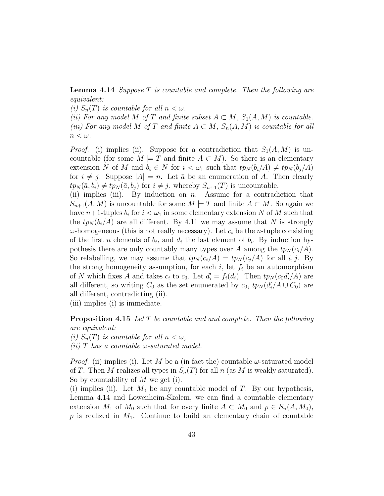**Lemma 4.14** Suppose  $T$  is countable and complete. Then the following are equivalent:

(i)  $S_n(T)$  is countable for all  $n < \omega$ .

(ii) For any model M of T and finite subset  $A \subset M$ ,  $S_1(A, M)$  is countable. (iii) For any model M of T and finite  $A \subset M$ ,  $S_n(A, M)$  is countable for all  $n < \omega$ .

*Proof.* (i) implies (ii). Suppose for a contradiction that  $S_1(A, M)$  is uncountable (for some  $M \models T$  and finite  $A \subset M$ ). So there is an elementary extension N of M and  $b_i \in N$  for  $i < \omega_1$  such that  $tp_N(b_i/A) \neq tp_N(b_j/A)$ for  $i \neq j$ . Suppose  $|A| = n$ . Let  $\bar{a}$  be an enumeration of A. Then clearly  $tp_N(\bar{a}, b_i) \neq tp_N(\bar{a}, b_j)$  for  $i \neq j$ , whereby  $S_{n+1}(T)$  is uncountable.

(ii) implies (iii). By induction on  $n$ . Assume for a contradiction that  $S_{n+1}(A, M)$  is uncountable for some  $M \models T$  and finite  $A \subset M$ . So again we have  $n+1$ -tuples  $b_i$  for  $i < \omega_1$  in some elementary extension N of M such that the  $tp_N(b_i/A)$  are all different. By 4.11 we may assume that N is strongly  $\omega$ -homogeneous (this is not really necessary). Let  $c_i$  be the *n*-tuple consisting of the first *n* elements of  $b_i$ , and  $d_i$  the last element of  $b_i$ . By induction hypothesis there are only countably many types over A among the  $tp_N(c_i/A)$ . So relabelling, we may assume that  $tp_N(c_i/A) = tp_N(c_i/A)$  for all i, j. By the strong homogeneity assumption, for each  $i$ , let  $f_i$  be an automorphism of N which fixes A and takes  $c_i$  to  $c_0$ . Let  $d'_i = f_i(d_i)$ . Then  $tp_N(c_0d'_i)$  $_i^{\prime}(A)$  are all different, so writing  $C_0$  as the set enumerated by  $c_0$ ,  $tp_N (d'_i)$  $C_i/A\cup C_0$  are all different, contradicting (ii).

(iii) implies (i) is immediate.

**Proposition 4.15** Let T be countable and and complete. Then the following are equivalent:

(i)  $S_n(T)$  is countable for all  $n < \omega$ ,

(*ii*) T has a countable  $\omega$ -saturated model.

*Proof.* (ii) implies (i). Let M be a (in fact the) countable  $\omega$ -saturated model of T. Then M realizes all types in  $S_n(T)$  for all n (as M is weakly saturated). So by countability of  $M$  we get (i).

(i) implies (ii). Let  $M_0$  be any countable model of T. By our hypothesis, Lemma 4.14 and Lowenheim-Skolem, we can find a countable elementary extension  $M_1$  of  $M_0$  such that for every finite  $A \subset M_0$  and  $p \in S_n(A, M_0)$ ,  $p$  is realized in  $M_1$ . Continue to build an elementary chain of countable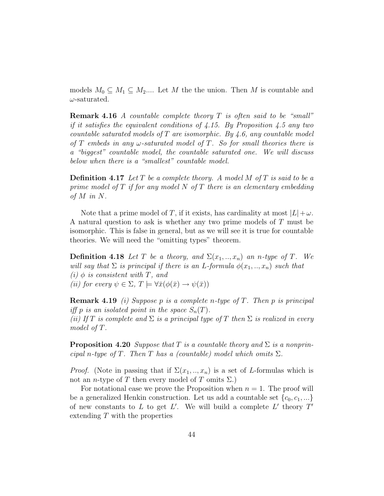models  $M_0 \subseteq M_1 \subseteq M_2...$  Let M the the union. Then M is countable and  $\omega$ -saturated.

**Remark 4.16** A countable complete theory  $T$  is often said to be "small" if it satisfies the equivalent conditions of  $\ddagger$ . 15. By Proposition 4.5 any two countable saturated models of  $T$  are isomorphic. By 4.6, any countable model of T embeds in any  $\omega$ -saturated model of T. So for small theories there is a "biggest" countable model, the countable saturated one. We will discuss below when there is a "smallest" countable model.

**Definition 4.17** Let T be a complete theory. A model M of T is said to be a prime model of  $T$  if for any model  $N$  of  $T$  there is an elementary embedding of  $M$  in  $N$ .

Note that a prime model of T, if it exists, has cardinality at most  $|L|+\omega$ . A natural question to ask is whether any two prime models of T must be isomorphic. This is false in general, but as we will see it is true for countable theories. We will need the "omitting types" theorem.

**Definition 4.18** Let T be a theory, and  $\Sigma(x_1,..,x_n)$  an n-type of T. We will say that  $\Sigma$  is principal if there is an L-formula  $\phi(x_1,..,x_n)$  such that (i)  $\phi$  is consistent with T, and (ii) for every  $\psi \in \Sigma$ ,  $T \models \forall \bar{x}(\phi(\bar{x}) \rightarrow \psi(\bar{x}))$ 

**Remark 4.19** (i) Suppose p is a complete n-type of T. Then p is principal iff p is an isolated point in the space  $S_n(T)$ . (ii) If T is complete and  $\Sigma$  is a principal type of T then  $\Sigma$  is realized in every model of T.

**Proposition 4.20** Suppose that T is a countable theory and  $\Sigma$  is a nonprincipal n-type of T. Then T has a (countable) model which omits  $\Sigma$ .

*Proof.* (Note in passing that if  $\Sigma(x_1, \ldots, x_n)$  is a set of L-formulas which is not an *n*-type of T then every model of T omits  $\Sigma$ .)

For notational ease we prove the Proposition when  $n = 1$ . The proof will be a generalized Henkin construction. Let us add a countable set  $\{c_0, c_1, ...\}$ of new constants to L to get L'. We will build a complete L' theory  $T'$ extending T with the properties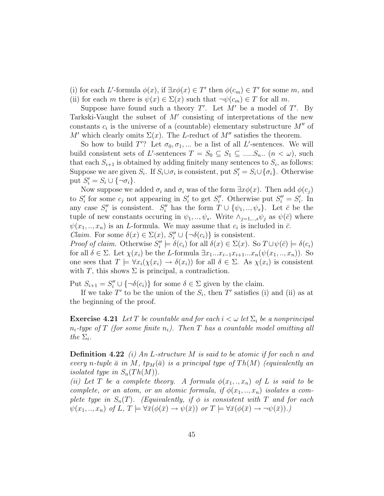(i) for each L'-formula  $\phi(x)$ , if  $\exists x \phi(x) \in T'$  then  $\phi(c_m) \in T'$  for some m, and (ii) for each m there is  $\psi(x) \in \Sigma(x)$  such that  $\neg \psi(c_m) \in T$  for all m.

Suppose have found such a theory  $T'$ . Let  $M'$  be a model of  $T'$ . By Tarkski-Vaught the subset of  $M'$  consisting of interpretations of the new constants  $c_i$  is the universe of a (countable) elementary substructure  $M''$  of M' which clearly omits  $\Sigma(x)$ . The L-reduct of M'' satisfies the theorem.

So how to build  $T'$ ? Let  $\sigma_0, \sigma_1, \dots$  be a list of all L'-sentences. We will build consistent sets of L'-sentences  $T = S_0 \subseteq S_1 \subseteq \dots S_n$ .  $(n < \omega)$ , such that each  $S_{i+1}$  is obtained by adding finitely many sentences to  $S_i$ , as follows: Suppose we are given  $S_i$ . If  $S_i \cup \sigma_i$  is consistent, put  $S'_i = S_i \cup {\sigma_i}$ . Otherwise put  $S_i' = S_i \cup {\overline{\{ \neg \sigma_i \}}}.$ 

Now suppose we added  $\sigma_i$  and  $\sigma_i$  was of the form  $\exists x \phi(x)$ . Then add  $\phi(c_i)$ to  $S_i'$  $S_i'$  for some  $c_j$  not appearing in  $S_i'$  $\int_i'$  to get  $S_i''$ ". Otherwise put  $S_i'' = S_i'$  $i<sub>i</sub>$ . In any case  $S_i''$ " is consistent.  $S_i''$  has the form  $T \cup {\psi_1, ..., \psi_s}$ . Let  $\bar{c}$  be the tuple of new constants occuring in  $\psi_1, \dots, \psi_s$ . Write  $\wedge_{j=1,\dots,s} \psi_j$  as  $\psi(\bar{c})$  where  $\psi(x_1, \ldots, x_n)$  is an *L*-formula. We may assume that  $c_i$  is included in  $\bar{c}$ . *Claim.* For some  $\delta(x) \in \Sigma(x)$ ,  $S''_i \cup {\lbrace \neg \delta(c_i) \rbrace}$  is consistent.

*Proof of claim.* Otherwise  $S_i''$  $\delta''_i \models \delta(c_i)$  for all  $\delta(x) \in \Sigma(x)$ . So  $T \cup \psi(\bar{c}) \models \delta(c_i)$ for all  $\delta \in \Sigma$ . Let  $\chi(x_i)$  be the L-formula  $\exists x_1...x_{i-1}x_{i+1}...x_n(\psi(x_1,..,x_n)).$  So one sees that  $T \models \forall x_i(\chi(x_i) \rightarrow \delta(x_i))$  for all  $\delta \in \Sigma$ . As  $\chi(x_i)$  is consistent with T, this shows  $\Sigma$  is principal, a contradiction.

Put  $S_{i+1} = S''_i \cup {\neg \delta(c_i)}$  for some  $\delta \in \Sigma$  given by the claim.

If we take T' to be the union of the  $S_i$ , then T' satisfies (i) and (ii) as at the beginning of the proof.

**Exercise 4.21** Let T be countable and for each  $i < \omega$  let  $\Sigma_i$  be a nonprincipal  $n_i$ -type of T (for some finite  $n_i$ ). Then T has a countable model omitting all the  $\Sigma_i$ .

**Definition 4.22** (i) An L-structure M is said to be atomic if for each n and every n-tuple  $\bar{a}$  in M, tp<sub>M</sub>( $\bar{a}$ ) is a principal type of Th(M) (equivalently an isolated type in  $S_n(Th(M))$ .

(ii) Let T be a complete theory. A formula  $\phi(x_1,..,x_n)$  of L is said to be complete, or an atom, or an atomic formula, if  $\phi(x_1,..,x_n)$  isolates a complete type in  $S_n(T)$ . (Equivalently, if  $\phi$  is consistent with T and for each  $\psi(x_1,..,x_n)$  of  $L, T \models \forall \bar{x}(\phi(\bar{x}) \rightarrow \psi(\bar{x}))$  or  $T \models \forall \bar{x}(\phi(\bar{x}) \rightarrow \neg \psi(\bar{x})).$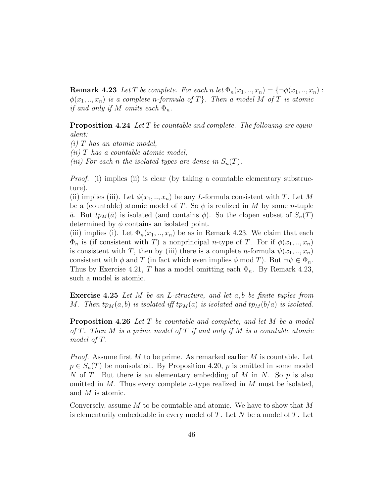**Remark 4.23** Let T be complete. For each n let  $\Phi_n(x_1,..,x_n) = \{\neg \phi(x_1,..,x_n):$  $\phi(x_1,..,x_n)$  is a complete n-formula of T}. Then a model M of T is atomic if and only if M omits each  $\Phi_n$ .

Proposition 4.24 Let T be countable and complete. The following are equivalent:

 $(i)$  T has an atomic model,  $(ii)$  T has a countable atomic model, (iii) For each n the isolated types are dense in  $S_n(T)$ .

*Proof.* (i) implies (ii) is clear (by taking a countable elementary substructure).

(ii) implies (iii). Let  $\phi(x_1, \ldots, x_n)$  be any L-formula consistent with T. Let M be a (countable) atomic model of T. So  $\phi$  is realized in M by some n-tuple  $\bar{a}$ . But  $tp_M(\bar{a})$  is isolated (and contains  $\phi$ ). So the clopen subset of  $S_n(T)$ determined by  $\phi$  contains an isolated point.

(iii) implies (i). Let  $\Phi_n(x_1, \ldots, x_n)$  be as in Remark 4.23. We claim that each  $\Phi_n$  is (if consistent with T) a nonprincipal *n*-type of T. For if  $\phi(x_1, \ldots, x_n)$ is consistent with T, then by (iii) there is a complete *n*-formula  $\psi(x_1, \ldots, x_n)$ consistent with  $\phi$  and T (in fact which even implies  $\phi$  mod T). But  $\neg \psi \in \Phi_n$ . Thus by Exercise 4.21, T has a model omitting each  $\Phi_n$ . By Remark 4.23, such a model is atomic.

Exercise 4.25 Let M be an L-structure, and let a, b be finite tuples from M. Then  $tp_M(a, b)$  is isolated iff  $tp_M(a)$  is isolated and  $tp_M(b/a)$  is isolated.

Proposition 4.26 Let T be countable and complete, and let M be a model of T. Then M is a prime model of T if and only if M is a countable atomic model of T.

*Proof.* Assume first M to be prime. As remarked earlier M is countable. Let  $p \in S_n(T)$  be nonisolated. By Proposition 4.20, p is omitted in some model N of T. But there is an elementary embedding of M in N. So  $p$  is also omitted in  $M$ . Thus every complete *n*-type realized in  $M$  must be isolated, and M is atomic.

Conversely, assume M to be countable and atomic. We have to show that M is elementarily embeddable in every model of  $T$ . Let  $N$  be a model of  $T$ . Let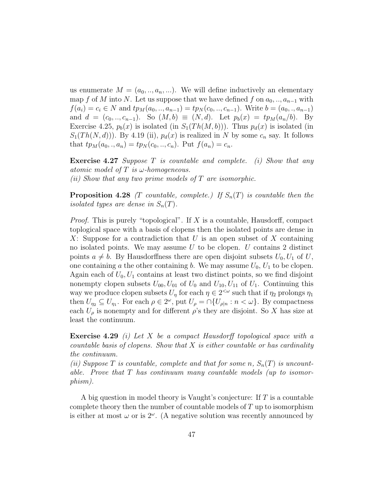us enumerate  $M = (a_0, \ldots, a_n, \ldots)$ . We will define inductively an elementary map f of M into N. Let us suppose that we have defined f on  $a_0, \ldots, a_{n-1}$  with  $f(a_i) = c_i \in N$  and  $tp_M(a_0, \ldots, a_{n-1}) = tp_N(c_0, \ldots, c_{n-1})$ . Write  $b = (a_0, \ldots, a_{n-1})$ and  $d = (c_0, ..., c_{n-1})$ . So  $(M, b) \equiv (N, d)$ . Let  $p_b(x) = tp_M(a_n/b)$ . By Exercise 4.25,  $p_b(x)$  is isolated (in  $S_1(Th(M, b))$ ). Thus  $p_d(x)$  is isolated (in  $S_1(Th(N, d))$ . By 4.19 (ii),  $p_d(x)$  is realized in N by some  $c_n$  say. It follows that  $tp_M(a_0,., a_n) = tp_N(c_0,., c_n)$ . Put  $f(a_n) = c_n$ .

**Exercise 4.27** Suppose T is countable and complete. (i) Show that any atomic model of  $T$  is  $\omega$ -homogeneous. (ii) Show that any two prime models of  $T$  are isomorphic.

**Proposition 4.28** (T countable, complete.) If  $S_n(T)$  is countable then the isolated types are dense in  $S_n(T)$ .

*Proof.* This is purely "topological". If X is a countable, Hausdorff, compact toplogical space with a basis of clopens then the isolated points are dense in X: Suppose for a contradiction that U is an open subset of X containing no isolated points. We may assume  $U$  to be clopen.  $U$  contains 2 distinct points  $a \neq b$ . By Hausdorffness there are open disjoint subsets  $U_0, U_1$  of U, one containing a the other containing b. We may assume  $U_0$ ,  $U_1$  to be clopen. Again each of  $U_0, U_1$  contains at least two distinct points, so we find disjoint nonempty clopen subsets  $U_{00}$ ,  $U_{01}$  of  $U_0$  and  $U_{10}$ ,  $U_{11}$  of  $U_1$ . Continuing this way we produce clopen subsets  $U_{\eta}$  for each  $\eta \in 2^{<\omega}$  such that if  $\eta_2$  prolongs  $\eta_1$ then  $U_{\eta_2} \subseteq U_{\eta_1}$ . For each  $\rho \in 2^{\omega}$ , put  $U_{\rho} = \cap \{U_{\rho|n} : n < \omega\}$ . By compactness each  $U_{\rho}$  is nonempty and for different  $\rho$ 's they are disjoint. So X has size at least the continuum.

Exercise 4.29 (i) Let X be a compact Hausdorff topological space with a countable basis of clopens. Show that X is either countable or has cardinality the continuum.

(ii) Suppose T is countable, complete and that for some n,  $S_n(T)$  is uncountable. Prove that  $T$  has continuum many countable models (up to isomorphism).

A big question in model theory is Vaught's conjecture: If  $T$  is a countable complete theory then the number of countable models of  $T$  up to isomorphism is either at most  $\omega$  or is  $2^{\omega}$ . (A negative solution was recently announced by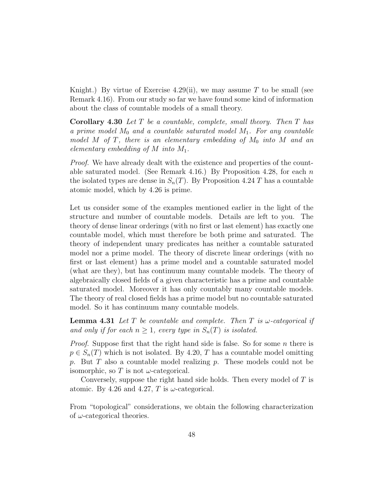Knight.) By virtue of Exercise 4.29(ii), we may assume T to be small (see Remark 4.16). From our study so far we have found some kind of information about the class of countable models of a small theory.

Corollary 4.30 Let T be a countable, complete, small theory. Then T has a prime model  $M_0$  and a countable saturated model  $M_1$ . For any countable model M of T, there is an elementary embedding of  $M_0$  into M and an elementary embedding of  $M$  into  $M_1$ .

*Proof.* We have already dealt with the existence and properties of the countable saturated model. (See Remark 4.16.) By Proposition 4.28, for each  $n$ the isolated types are dense in  $S_n(T)$ . By Proposition 4.24 T has a countable atomic model, which by 4.26 is prime.

Let us consider some of the examples mentioned earlier in the light of the structure and number of countable models. Details are left to you. The theory of dense linear orderings (with no first or last element) has exactly one countable model, which must therefore be both prime and saturated. The theory of independent unary predicates has neither a countable saturated model nor a prime model. The theory of discrete linear orderings (with no first or last element) has a prime model and a countable saturated model (what are they), but has continuum many countable models. The theory of algebraically closed fields of a given characteristic has a prime and countable saturated model. Moreover it has only countably many countable models. The theory of real closed fields has a prime model but no countable saturated model. So it has continuum many countable models.

**Lemma 4.31** Let T be countable and complete. Then T is  $\omega$ -categorical if and only if for each  $n \geq 1$ , every type in  $S_n(T)$  is isolated.

*Proof.* Suppose first that the right hand side is false. So for some n there is  $p \in S_n(T)$  which is not isolated. By 4.20, T has a countable model omitting p. But T also a countable model realizing p. These models could not be isomorphic, so T is not  $\omega$ -categorical.

Conversely, suppose the right hand side holds. Then every model of T is atomic. By 4.26 and 4.27, T is  $\omega$ -categorical.

From "topological" considerations, we obtain the following characterization of  $\omega$ -categorical theories.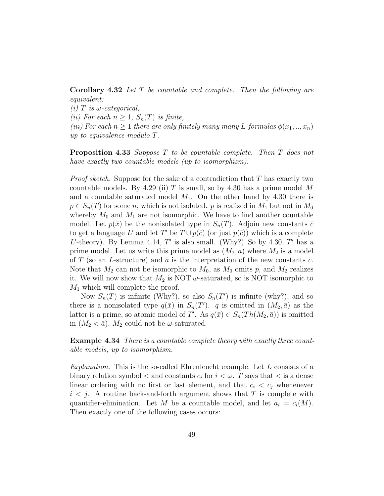Corollary 4.32 Let T be countable and complete. Then the following are equivalent:

(i) T is  $\omega$ -categorical,

(ii) For each  $n \geq 1$ ,  $S_n(T)$  is finite,

(iii) For each  $n \geq 1$  there are only finitely many many L-formulas  $\phi(x_1,..,x_n)$ up to equivalence modulo T.

Proposition 4.33 Suppose T to be countable complete. Then T does not have exactly two countable models (up to isomorphism).

*Proof sketch.* Suppose for the sake of a contradiction that  $T$  has exactly two countable models. By 4.29 (ii) T is small, so by 4.30 has a prime model M and a countable saturated model  $M_1$ . On the other hand by 4.30 there is  $p \in S_n(T)$  for some n, which is not isolated. p is realized in  $M_1$  but not in  $M_0$ whereby  $M_0$  and  $M_1$  are not isomorphic. We have to find another countable model. Let  $p(\bar{x})$  be the nonisolated type in  $S_n(T)$ . Adjoin new constants  $\bar{c}$ to get a language L' and let T' be  $T \cup p(\bar{c})$  (or just  $p(\bar{c})$ ) which is a complete  $L'$ -theory). By Lemma 4.14, T' is also small. (Why?) So by 4.30, T' has a prime model. Let us write this prime model as  $(M_2, \bar{a})$  where  $M_2$  is a model of T (so an L-structure) and  $\bar{a}$  is the interpretation of the new constants  $\bar{c}$ . Note that  $M_2$  can not be isomorphic to  $M_0$ , as  $M_0$  omits p, and  $M_2$  realizes it. We will now show that  $M_2$  is NOT  $\omega$ -saturated, so is NOT isomorphic to  $M_1$  which will complete the proof.

Now  $S_n(T)$  is infinite (Why?), so also  $S_n(T')$  is infinite (why?), and so there is a nonisolated type  $q(\bar{x})$  in  $S_n(T')$ . q is omitted in  $(M_2, \bar{a})$  as the latter is a prime, so atomic model of T'. As  $q(\bar{x}) \in S_n(Th(M_2, \bar{a}))$  is omitted in  $(M_2 < \bar{a})$ ,  $M_2$  could not be  $\omega$ -saturated.

Example 4.34 There is a countable complete theory with exactly three countable models, up to isomorphism.

Explanation. This is the so-called Ehrenfeucht example. Let  $L$  consists of a binary relation symbol  $\lt$  and constants  $c_i$  for  $i \lt \omega$ . T says that  $\lt$  is a dense linear ordering with no first or last element, and that  $c_i < c_j$  whenenever  $i < j$ . A routine back-and-forth argument shows that T is complete with quantifier-elimination. Let M be a countable model, and let  $a_i = c_i(M)$ . Then exactly one of the following cases occurs: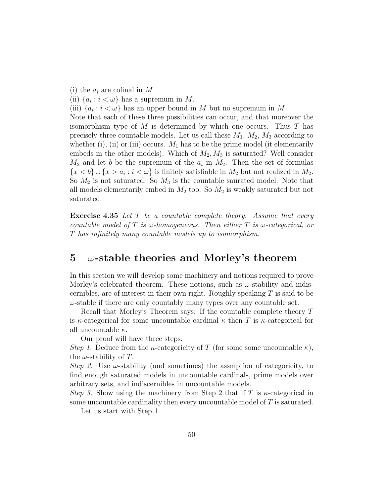(i) the  $a_i$  are cofinal in M. (ii)  $\{a_i : i < \omega\}$  has a supremum in M. (iii)  $\{a_i : i < \omega\}$  has an upper bound in M but no supremum in M. Note that each of these three possibilities can occur, and that moreover the isomorphism type of  $M$  is determined by which one occurs. Thus  $T$  has precisely three countable models. Let us call these  $M_1$ ,  $M_2$ ,  $M_3$  according to whether (i), (ii) or (iii) occurs.  $M_1$  has to be the prime model (it elementarily embeds in the other models). Which of  $M_2, M_3$  is saturated? Well consider  $M_2$  and let b be the supremum of the  $a_i$  in  $M_2$ . Then the set of formulas  $\{x < b\} \cup \{x > a_i : i < \omega\}$  is finitely satisfiable in  $M_2$  but not realized in  $M_2$ . So  $M_2$  is not saturated. So  $M_3$  is the countable saurated model. Note that all models elementarily embed in  $M_2$  too. So  $M_2$  is weakly saturated but not saturated.

**Exercise 4.35** Let T be a countable complete theory. Assume that every countable model of T is  $\omega$ -homogeneous. Then either T is  $\omega$ -categorical, or T has infinitely many countable models up to isomorphism.

### 5  $\omega$ -stable theories and Morley's theorem

In this section we will develop some machinery and notions required to prove Morley's celebrated theorem. These notions, such as  $\omega$ -stability and indiscernibles, are of interest in their own right. Roughly speaking  $T$  is said to be  $\omega$ -stable if there are only countably many types over any countable set.

Recall that Morley's Theorem says: If the countable complete theory T is  $\kappa$ -categorical for some uncountable cardinal  $\kappa$  then T is  $\kappa$ -categorical for all uncountable  $\kappa$ .

Our proof will have three steps.

Step 1. Deduce from the  $\kappa$ -categoricity of T (for some some uncountable  $\kappa$ ), the  $\omega$ -stability of T.

Step 2. Use  $\omega$ -stability (and sometimes) the assmption of categoricity, to find enough saturated models in uncountable cardinals, prime models over arbitrary sets, and indiscernibles in uncountable models.

Step 3. Show using the machinery from Step 2 that if T is  $\kappa$ -categorical in some uncountable cardinality then every uncountable model of  $T$  is saturated.

Let us start with Step 1.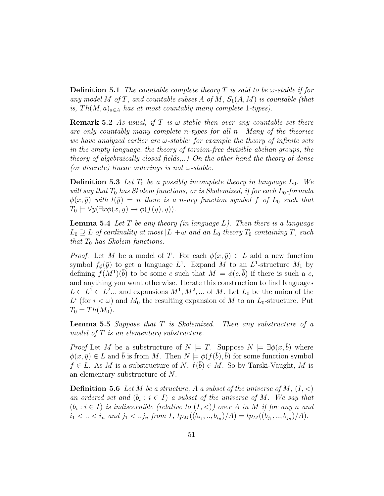**Definition 5.1** The countable complete theory T is said to be  $\omega$ -stable if for any model M of T, and countable subset A of M,  $S_1(A, M)$  is countable (that is,  $Th(M, a)_{a \in A}$  has at most countably many complete 1-types).

**Remark 5.2** As usual, if T is  $\omega$ -stable then over any countable set there are only countably many complete n-types for all n. Many of the theories we have analyzed earlier are  $\omega$ -stable: for example the theory of infinite sets in the empty language, the theory of torsion-free divisible abelian groups, the theory of algebraically closed fields,..) On the other hand the theory of dense (or discrete) linear orderings is not  $\omega$ -stable.

**Definition 5.3** Let  $T_0$  be a possibly incomplete theory in language  $L_0$ . We will say that  $T_0$  has Skolem functions, or is Skolemized, if for each  $L_0$ -formula  $\phi(x,\bar{y})$  with  $l(\bar{y}) = n$  there is a n-ary function symbol f of  $L_0$  such that  $T_0 \models \forall \bar{y}(\exists x \phi(x, \bar{y}) \rightarrow \phi(f(\bar{y}), \bar{y})).$ 

**Lemma 5.4** Let  $T$  be any theory (in language  $L$ ). Then there is a language  $L_0 \supseteq L$  of cardinality at most  $|L|+\omega$  and an  $L_0$  theory  $T_0$  containing T, such that  $T_0$  has Skolem functions.

*Proof.* Let M be a model of T. For each  $\phi(x, \bar{y}) \in L$  add a new function symbol  $f_{\phi}(\bar{y})$  to get a language  $L^{1}$ . Expand M to an  $L^{1}$ -structure  $M_{1}$  by defining  $f(M^1)(\bar{b})$  to be some c such that  $M \models \phi(c, \bar{b})$  if there is such a c, and anything you want otherwise. Iterate this construction to find languages  $L \subset L^1 \subset L^2...$  and expansions  $M^1, M^2, ...$  of M. Let  $L_0$  be the union of the  $L^i$  (for  $i < \omega$ ) and  $M_0$  the resulting expansion of M to an  $L_0$ -structure. Put  $T_0 = Th(M_0).$ 

Lemma 5.5 Suppose that T is Skolemized. Then any substructure of a model of T is an elementary substructure.

*Proof* Let M be a substructure of  $N \models T$ . Suppose  $N \models \exists \phi(x, \overline{b})$  where  $\phi(x,\bar{y}) \in L$  and  $\bar{b}$  is from M. Then  $N \models \phi(f(\bar{b}), \bar{b})$  for some function symbol  $f \in L$ . As M is a substructure of N,  $f(\overline{b}) \in M$ . So by Tarski-Vaught, M is an elementary substructure of N.

**Definition 5.6** Let M be a structure, A a subset of the universe of M,  $(I, \leq)$ an ordered set and  $(b_i : i \in I)$  a subset of the universe of M. We say that  $(b_i : i \in I)$  is indiscernible (relative to  $(I, <)$ ) over A in M if for any n and  $i_1 < ... < i_n$  and  $j_1 < ... j_n$  from I,  $tp_M((b_{i_1},...,b_{i_n})/A) = tp_M((b_{j_1},...,b_{j_n})/A)$ .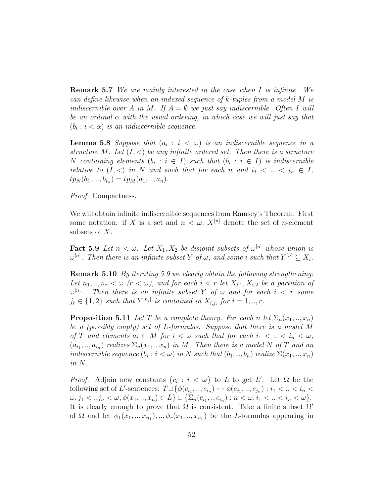Remark 5.7 We are mainly interested in the case when I is infinite. We can define likewise when an indexed sequence of k-tuples from a model M is indiscernible over A in M. If  $A = \emptyset$  we just say indiscernible. Often I will be an ordinal  $\alpha$  with the usual ordering, in which case we will just say that  $(b_i : i < \alpha)$  is an indiscernible sequence.

**Lemma 5.8** Suppose that  $(a_i : i < \omega)$  is an indiscernible sequence in a structure M. Let  $(I, \leq)$  be any infinite ordered set. Then there is a structure N containing elements  $(b_i : i \in I)$  such that  $(b_i : i \in I)$  is indiscernible relative to  $(I, \leq)$  in N and such that for each n and  $i_1 < \ldots < i_n \in I$ ,  $tp_N(b_{i_1},...,b_{i_n}) = tp_M(a_1,..,a_n).$ 

Proof. Compactness.

We will obtain infinite indiscernible sequences from Ramsey's Theorem. First some notation: if X is a set and  $n < \omega$ ,  $X^{[n]}$  denote the set of *n*-element subsets of X.

**Fact 5.9** Let  $n < \omega$ . Let  $X_1, X_2$  be disjoint subsets of  $\omega^{[n]}$  whose union is  $\omega^{[n]}$ . Then there is an infinite subset Y of  $\omega$ , and some i such that  $Y^{[n]} \subseteq X_i$ .

Remark 5.10 By iterating 5.9 we clearly obtain the following strengthening: Let  $n_1, ..., n_r < \omega$  ( $r < \omega$ ), and for each  $i < r$  let  $X_{i,1}, X_{i,2}$  be a partition of  $\omega^{[n_i]}$ . Then there is an infinite subset Y of  $\omega$  and for each  $i \, < \, r$  some  $j_r \in \{1,2\}$  such that  $Y^{[n_i]}$  is contained in  $X_{i,j_i}$  for  $i = 1,..,r$ .

**Proposition 5.11** Let T be a complete theory. For each n let  $\Sigma_n(x_1,..,x_n)$ be a (possibly empty) set of L-formulas. Suppose that there is a model M of T and elements  $a_i \in M$  for  $i < \omega$  such that for each  $i_1 < \ldots < i_n < \omega$ ,  $(a_{i_1},...,a_{i_n})$  realizes  $\Sigma_n(x_1,..,x_n)$  in M. Then there is a model N of T and an indiscernible sequence  $(b_i : i < \omega)$  in N such that  $(b_1, ..., b_n)$  realize  $\Sigma(x_1, ..., x_n)$ in N.

*Proof.* Adjoin new constants  $\{c_i : i < \omega\}$  to L to get L'. Let  $\Omega$  be the following set of L'-sentences:  $T\cup \{\phi(c_{i_1},...,c_{i_n}) \mapsto \phi(c_{j_1},...,c_{j_n}) : i_1 < ... < i_n <$  $\omega, j_1 < ... j_n < \omega, \phi(x_1, ..., x_n) \in L$   $\} \cup {\{\sum_n(c_{i_1},.., c_{i_n}) : n < \omega, i_1 < ... < i_n < \omega\}}.$ It is clearly enough to prove that  $\Omega$  is consistent. Take a finite subset  $\Omega'$ of  $\Omega$  and let  $\phi_1(x_1, \ldots, x_{n_1}), \ldots, \phi_r(x_1, \ldots, x_{n_r})$  be the *L*-formulas appearing in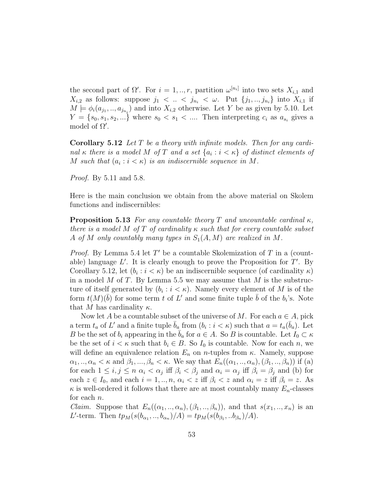the second part of  $\Omega'$ . For  $i = 1, ..., r$ , partition  $\omega^{[n_i]}$  into two sets  $X_{i,1}$  and  $X_{i,2}$  as follows: suppose  $j_1 < \ldots < j_{n_i} < \omega$ . Put  $\{j_1, \ldots, j_{n_i}\}$  into  $X_{i,1}$  if  $M \models \phi_i(a_{j_1},...,a_{j_{n_i}})$  and into  $X_{i,2}$  otherwise. Let Y be as given by 5.10. Let  $Y = \{s_0, s_1, s_2, ...\}$  where  $s_0 < s_1 < \dots$  Then interpreting  $c_i$  as  $a_{s_i}$  gives a model of  $\Omega'$ .

**Corollary 5.12** Let  $T$  be a theory with infinite models. Then for any cardinal  $\kappa$  there is a model M of T and a set  $\{a_i : i < \kappa\}$  of distinct elements of M such that  $(a_i : i < \kappa)$  is an indiscernible sequence in M.

*Proof.* By 5.11 and 5.8.

Here is the main conclusion we obtain from the above material on Skolem functions and indiscernibles:

**Proposition 5.13** For any countable theory T and uncountable cardinal  $\kappa$ , there is a model M of T of cardinality  $\kappa$  such that for every countable subset A of M only countably many types in  $S_1(A, M)$  are realized in M.

*Proof.* By Lemma 5.4 let  $T'$  be a countable Skolemization of  $T$  in a (countable) language  $L'$ . It is clearly enough to prove the Proposition for  $T'$ . By Corollary 5.12, let  $(b_i : i < \kappa)$  be an indiscernible sequence (of cardinality  $\kappa$ ) in a model M of T. By Lemma 5.5 we may assume that M is the substructure of itself generated by  $(b_i : i < \kappa)$ . Namely every element of M is of the form  $t(M)(\bar{b})$  for some term t of L' and some finite tuple  $\bar{b}$  of the  $b_i$ 's. Note that M has cardinality  $\kappa$ .

Now let A be a countable subset of the universe of M. For each  $a \in A$ , pick a term  $t_a$  of L' and a finite tuple  $\bar{b}_a$  from  $(b_i : i < \kappa)$  such that  $a = t_a(\bar{b}_a)$ . Let B be the set of  $b_i$  appearing in the  $\overline{b}_a$  for  $a \in A$ . So B is countable. Let  $I_0 \subset \kappa$ be the set of  $i < \kappa$  such that  $b_i \in B$ . So  $I_0$  is countable. Now for each n, we will define an equivalence relation  $E_n$  on *n*-tuples from  $\kappa$ . Namely, suppose  $\alpha_1, \ldots, \alpha_n < \kappa$  and  $\beta_1, \ldots, \beta_n < \kappa$ . We say that  $E_n((\alpha_1, \ldots, \alpha_n), (\beta_1, \ldots, \beta_n))$  if (a) for each  $1 \leq i, j \leq n$   $\alpha_i < \alpha_j$  iff  $\beta_i < \beta_j$  and  $\alpha_i = \alpha_j$  iff  $\beta_i = \beta_j$  and (b) for each  $z \in I_0$ , and each  $i = 1, ..., n$ ,  $\alpha_i < z$  iff  $\beta_i < z$  and  $\alpha_i = z$  iff  $\beta_i = z$ . As  $\kappa$  is well-ordered it follows that there are at most countably many  $E_n$ -classes for each n.

*Claim.* Suppose that  $E_n((\alpha_1, ..., \alpha_n), (\beta_1, ..., \beta_n))$ , and that  $s(x_1, ..., x_n)$  is an L'-term. Then  $tp_M(s(b_{\alpha_1},...,b_{\alpha_n})/A) = tp_M(s(b_{\beta_1},..b_{\beta_n})/A)$ .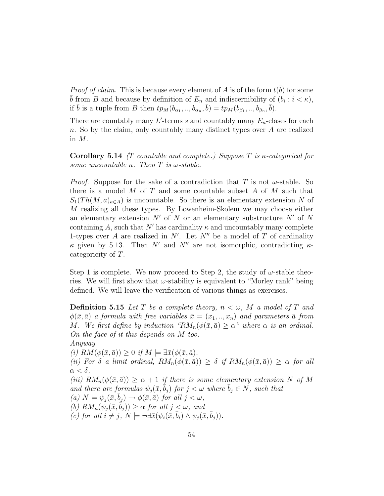*Proof of claim.* This is because every element of A is of the form  $t(\bar{b})$  for some  $\bar{b}$  from B and because by definition of  $E_n$  and indiscernibility of  $(b_i : i < \kappa)$ , if  $\bar{b}$  is a tuple from B then  $tp_M(b_{\alpha_1},...,b_{\alpha_n},\bar{b}) = tp_M(b_{\beta_1},...,b_{\beta_n},\bar{b}).$ 

There are countably many  $L'$ -terms s and countably many  $E_n$ -clases for each n. So by the claim, only countably many distinct types over A are realized in M.

**Corollary 5.14** (T countable and complete.) Suppose T is  $\kappa$ -categorical for some uncountable  $\kappa$ . Then T is  $\omega$ -stable.

*Proof.* Suppose for the sake of a contradiction that T is not  $\omega$ -stable. So there is a model  $M$  of  $T$  and some countable subset  $A$  of  $M$  such that  $S_1(Th(M, a)_{a \in A})$  is uncountable. So there is an elementary extension N of M realizing all these types. By Lowenheim-Skolem we may choose either an elementary extension N' of N or an elementary substructure  $N'$  of N containing A, such that N' has cardinality  $\kappa$  and uncountably many complete 1-types over A are realized in  $N'$ . Let  $N''$  be a model of T of cardinality  $\kappa$  given by 5.13. Then N' and N'' are not isomorphic, contradicting  $\kappa$ categoricity of T.

Step 1 is complete. We now proceed to Step 2, the study of  $\omega$ -stable theories. We will first show that  $\omega$ -stability is equivalent to "Morley rank" being defined. We will leave the verification of various things as exercises.

**Definition 5.15** Let T be a complete theory,  $n < \omega$ , M a model of T and  $\phi(\bar{x}, \bar{a})$  a formula with free variables  $\bar{x} = (x_1, ..., x_n)$  and parameters  $\bar{a}$  from M. We first define by induction " $RM_n(\phi(\bar{x}, \bar{a}) \geq \alpha$ " where  $\alpha$  is an ordinal. On the face of it this depends on M too. Anyway

(i)  $RM(\phi(\bar{x}, \bar{a})) \geq 0$  if  $M \models \exists \bar{x}(\phi(\bar{x}, \bar{a}).$ 

(ii) For  $\delta$  a limit ordinal,  $RM_n(\phi(\bar{x}, \bar{a})) \geq \delta$  if  $RM_n(\phi(\bar{x}, \bar{a})) \geq \alpha$  for all  $\alpha < \delta$ ,

(iii)  $RM_n(\phi(\bar{x}, \bar{a})) \ge \alpha + 1$  if there is some elementary extension N of M and there are formulas  $\psi_i(\bar{x}, b_i)$  for  $j < \omega$  where  $b_j \in N$ , such that (a)  $N \models \psi_i(\bar{x}, b_i) \rightarrow \phi(\bar{x}, \bar{a})$  for all  $j < \omega$ , (b)  $RM_n(\psi_i(\bar{x}, \bar{b}_i)) \geq \alpha$  for all  $j < \omega$ , and (c) for all  $i \neq j$ ,  $N \models \neg \exists \bar{x}(\psi_i(\bar{x}, \bar{b}_i) \wedge \psi_i(\bar{x}, \bar{b}_j)).$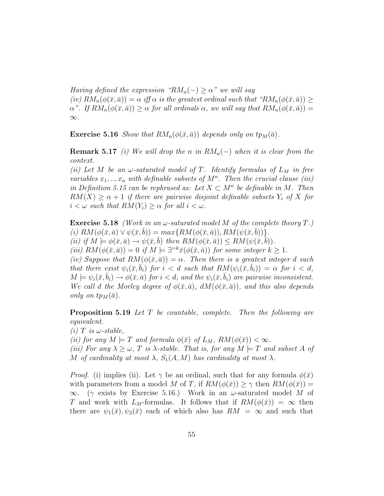Having defined the expression " $RM_n(-) \geq \alpha$ " we will say  $(iv) RM_n(\phi(\bar{x}, \bar{a})) = \alpha$  if  $\alpha$  is the greatest ordinal such that " $RM_n(\phi(\bar{x}, \bar{a})) \ge$  $\alpha$ ". If  $RM_n(\phi(\bar{x}, \bar{a})) \geq \alpha$  for all ordinals  $\alpha$ , we will say that  $RM_n(\phi(\bar{x}, \bar{a})) =$  $\infty.$ 

**Exercise 5.16** Show that  $RM_n(\phi(\bar{x}, \bar{a}))$  depends only on  $tp_M(\bar{a})$ .

**Remark 5.17** (i) We will drop the n in  $RM_n(-)$  when it is clear from the context.

(ii) Let M be an  $\omega$ -saturated model of T. Identify formulas of  $L_M$  in free variables  $x_1, \ldots, x_n$  with definable subsets of  $M^n$ . Then the crucial clause (iii) in Definition 5.15 can be rephrased as: Let  $X \subset M^n$  be definable in M. Then  $RM(X) \geq \alpha + 1$  if there are pairwise disjoint definable subsets  $Y_i$  of X for  $i < \omega$  such that  $RM(Y_i) \geq \alpha$  for all  $i < \omega$ .

**Exercise 5.18** (Work in an  $\omega$ -saturated model M of the complete theory T.) (i)  $RM(\phi(\bar{x}, \bar{a}) \vee \psi(\bar{x}, \bar{b})) = max\{RM(\phi(\bar{x}, \bar{a})), RM(\psi(\bar{x}, \bar{b}))\}.$ (ii) if  $M \models \phi(\bar{x}, \bar{a}) \rightarrow \psi(\bar{x}, \bar{b})$  then  $RM(\phi(\bar{x}, \bar{a})) \leq RM(\psi(\bar{x}, \bar{b})).$ (iii)  $RM(\phi(\bar{x}, \bar{a})) = 0$  if  $M \models \exists^{=k}\bar{x}(\phi(\bar{x}, \bar{a}))$  for some integer  $k \geq 1$ . (iv) Suppose that  $RM(\phi(\bar{x}, \bar{a})) = \alpha$ . Then there is a greatest integer d such that there exist  $\psi_i(\bar{x}, \bar{b}_i)$  for  $i < d$  such that  $RM(\psi_i(\bar{x}, \bar{b}_i)) = \alpha$  for  $i < d$ ,  $M \models \psi_i(\bar{x}, \bar{b}_i) \rightarrow \phi(\bar{x}, \bar{a})$  for  $i < d$ , and the  $\psi_i(\bar{x}, \bar{b}_i)$  are pairwise inconsistent. We call d the Morley degree of  $\phi(\bar{x}, \bar{a})$ ,  $dM(\phi(\bar{x}, \bar{a}))$ , and this also depends only on  $tp_M(\bar{a})$ .

**Proposition 5.19** Let T be countable, complete. Then the following are equivalent.

(i) T is  $\omega$ -stable, (ii) for any  $M \models T$  and formula  $\phi(\bar{x})$  of  $L_M$ ,  $RM(\phi(\bar{x})) < \infty$ . (iii) For any  $\lambda \geq \omega$ , T is  $\lambda$ -stable. That is, for any  $M \models T$  and subset A of M of cardinality at most  $\lambda$ ,  $S_1(A, M)$  has cardinality at most  $\lambda$ .

*Proof.* (i) implies (ii). Let  $\gamma$  be an ordinal, such that for any formula  $\phi(\bar{x})$ with parameters from a model M of T, if  $RM(\phi(\bar{x})) \geq \gamma$  then  $RM(\phi(\bar{x})) =$  $\infty$ . ( $\gamma$  exists by Exercise 5.16.) Work in an  $\omega$ -saturated model M of T and work with  $L_M$ -formulas. It follows that if  $RM(\phi(\bar{x})) = \infty$  then there are  $\psi_1(\bar{x}), \psi_2(\bar{x})$  each of which also has  $RM = \infty$  and such that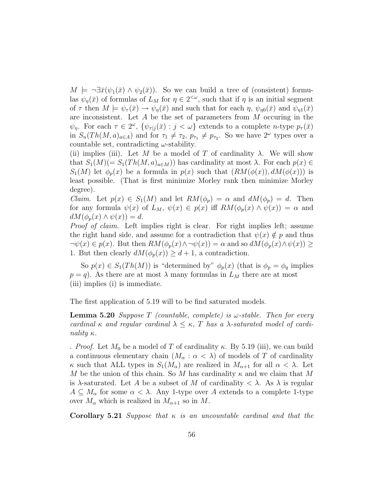$M \models \neg \exists \bar{x}(\psi_1(\bar{x}) \land \psi_2(\bar{x}))$ . So we can build a tree of (consistent) formulas  $\psi_{\eta}(\bar{x})$  of formulas of  $L_M$  for  $\eta \in 2^{<\omega}$ , such that if  $\eta$  is an initial segment of  $\tau$  then  $M \models \psi_{\tau}(\bar{x}) \rightarrow \psi_{\eta}(\bar{x})$  and such that for each  $\eta$ ,  $\psi_{\eta 0}(\bar{x})$  and  $\psi_{\eta 1}(\bar{x})$ are inconsistent. Let  $A$  be the set of parameters from  $M$  occuring in the  $\psi_{\eta}$ . For each  $\tau \in 2^{\omega}$ ,  $\{\psi_{\tau}|j}(\bar{x}) : j < \omega\}$  extends to a complete *n*-type  $p_{\tau}(\bar{x})$ in  $S_n(Th(M, a)_{a \in A})$  and for  $\tau_1 \neq \tau_2$ ,  $p_{\tau_1} \neq p_{\tau_2}$ . So we have  $2^{\omega}$  types over a countable set, contradicting  $\omega$ -stability.

(ii) implies (iii). Let M be a model of T of cardinality  $\lambda$ . We will show that  $S_1(M) (= S_1(Th(M, a)_{a \in M}))$  has cardinality at most  $\lambda$ . For each  $p(x) \in$  $S_1(M)$  let  $\phi_p(x)$  be a formula in  $p(x)$  such that  $(RM(\phi(x)), dM(\phi(x)))$  is least possible. (That is first minimize Morley rank then minimize Morley degree).

*Claim.* Let  $p(x) \in S_1(M)$  and let  $RM(\phi_p) = \alpha$  and  $dM(\phi_p) = d$ . Then for any formula  $\psi(x)$  of  $L_M$ ,  $\psi(x) \in p(x)$  iff  $RM(\phi_p(x) \wedge \psi(x)) = \alpha$  and  $dM(\phi_p(x) \wedge \psi(x)) = d.$ 

Proof of claim. Left implies right is clear. For right implies left; assume the right hand side, and assume for a contradiction that  $\psi(x) \notin p$  and thus  $\neg\psi(x) \in p(x)$ . But then  $RM(\phi_p(x) \wedge \neg \psi(x)) = \alpha$  and so  $dM(\phi_p(x) \wedge \psi(x)) \ge$ 1. But then clearly  $dM(\phi_p(x)) \geq d+1$ , a contradiction.

So  $p(x) \in S_1(Th(M))$  is "determined by"  $\phi_p(x)$  (that is  $\phi_p = \phi_q$  implies  $p = q$ . As there are at most  $\lambda$  many formulas in  $L_M$  there are at most (iii) implies (i) is immediate.

The first application of 5.19 will to be find saturated models.

**Lemma 5.20** Suppose T (countable, complete) is  $\omega$ -stable. Then for every cardinal  $\kappa$  and regular cardinal  $\lambda \leq \kappa$ , T has a  $\lambda$ -saturated model of cardinality  $\kappa$ .

. *Proof.* Let  $M_0$  be a model of T of cardinality  $\kappa$ . By 5.19 (iii), we can build a continuous elementary chain  $(M_\alpha : \alpha < \lambda)$  of models of T of cardinality  $\kappa$  such that ALL types in  $S_1(M_\alpha)$  are realized in  $M_{\alpha+1}$  for all  $\alpha < \lambda$ . Let M be the union of this chain. So M has cardinality  $\kappa$  and we claim that M is  $\lambda$ -saturated. Let A be a subset of M of cardinality  $\langle \lambda \rangle$ . As  $\lambda$  is regular  $A \subseteq M_{\alpha}$  for some  $\alpha < \lambda$ . Any 1-type over A extends to a complete 1-type over  $M_{\alpha}$  which is realized in  $M_{\alpha+1}$  so in M.

**Corollary 5.21** Suppose that  $\kappa$  is an uncountable cardinal and that the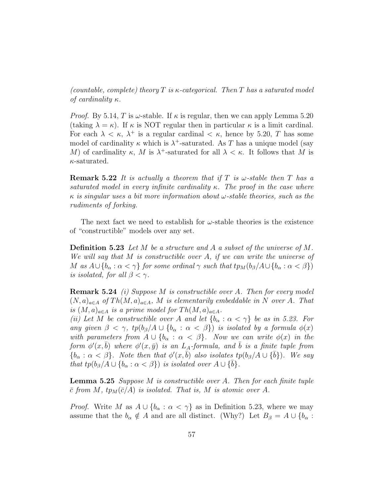(countable, complete) theory T is  $\kappa$ -categorical. Then T has a saturated model of cardinality  $\kappa$ .

*Proof.* By 5.14, T is  $\omega$ -stable. If  $\kappa$  is regular, then we can apply Lemma 5.20 (taking  $\lambda = \kappa$ ). If  $\kappa$  is NOT regular then in particular  $\kappa$  is a limit cardinal. For each  $\lambda < \kappa$ ,  $\lambda^+$  is a regular cardinal  $< \kappa$ , hence by 5.20, T has some model of cardinality  $\kappa$  which is  $\lambda^+$ -saturated. As T has a unique model (say M) of cardinality  $\kappa$ , M is  $\lambda^+$ -saturated for all  $\lambda < \kappa$ . It follows that M is  $\kappa$ -saturated.

**Remark 5.22** It is actually a theorem that if T is  $\omega$ -stable then T has a saturated model in every infinite cardinality  $\kappa$ . The proof in the case where  $\kappa$  is singular uses a bit more information about  $\omega$ -stable theories, such as the rudiments of forking.

The next fact we need to establish for  $\omega$ -stable theories is the existence of "constructible" models over any set.

**Definition 5.23** Let M be a structure and A a subset of the universe of M. We will say that M is constructible over A, if we can write the universe of M as  $A\cup \{b_\alpha : \alpha < \gamma\}$  for some ordinal  $\gamma$  such that  $tp_M(b_\beta/A\cup \{b_\alpha : \alpha < \beta\})$ is isolated, for all  $\beta < \gamma$ .

Remark 5.24 (i) Suppose M is constructible over A. Then for every model  $(N, a)_{a \in A}$  of  $Th(M, a)_{a \in A}$ , M is elementarily embeddable in N over A. That is  $(M, a)_{a \in A}$  is a prime model for  $Th(M, a)_{a \in A}$ .

(ii) Let M be constructible over A and let  $\{b_{\alpha} : \alpha < \gamma\}$  be as in 5.23. For any given  $\beta < \gamma$ ,  $tp(b_{\beta}/A \cup \{b_{\alpha} : \alpha < \beta\})$  is isolated by a formula  $\phi(x)$ with parameters from  $A \cup \{b_{\alpha} : \alpha < \beta\}$ . Now we can write  $\phi(x)$  in the form  $\phi'(x,\bar{b})$  where  $\phi'(x,\bar{y})$  is an L<sub>A</sub>-formula, and  $\bar{b}$  is a finite tuple from  ${\{b_\alpha : \alpha < \beta\}}$ . Note then that  $\phi'(x, \bar{b})$  also isolates  $tp(b_\beta/A \cup {\{\bar{b}\}})$ . We say that  $tp(b_\beta/A \cup \{b_\alpha : \alpha < \beta\})$  is isolated over  $A \cup \{b\}$ .

**Lemma 5.25** Suppose M is constructible over A. Then for each finite tuple  $\bar{c}$  from M,  $tp_M(\bar{c}/A)$  is isolated. That is, M is atomic over A.

*Proof.* Write M as  $A \cup \{b_{\alpha} : \alpha < \gamma\}$  as in Definition 5.23, where we may assume that the  $b_{\alpha} \notin A$  and are all distinct. (Why?) Let  $B_{\beta} = A \cup \{b_{\alpha} :$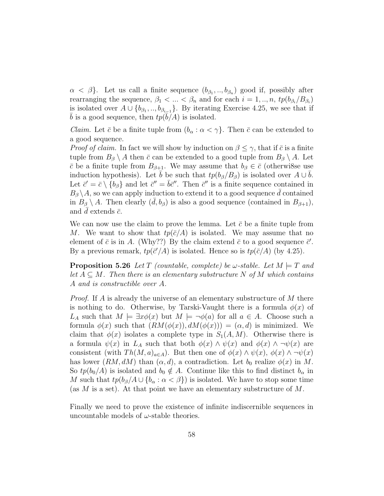$\alpha < \beta$ . Let us call a finite sequence  $(b_{\beta_1},..,b_{\beta_n})$  good if, possibly after rearranging the sequence,  $\beta_1 < ... < \beta_n$  and for each  $i = 1, ..., n$ ,  $tp(b_{\beta_i}/B_{\beta_i})$ is isolated over  $A \cup \{b_{\beta_1},...,b_{\beta_{i-1}}\}$ . By iterating Exercise 4.25, we see that if  $\bar{b}$  is a good sequence, then  $tp(\bar{b}/A)$  is isolated.

*Claim.* Let  $\bar{c}$  be a finite tuple from  $(b_{\alpha} : \alpha < \gamma)$ . Then  $\bar{c}$  can be extended to a good sequence.

*Proof of claim.* In fact we will show by induction on  $\beta \leq \gamma$ , that if  $\bar{c}$  is a finite tuple from  $B_\beta \setminus A$  then  $\bar{c}$  can be extended to a good tuple from  $B_\beta \setminus A$ . Let  $\bar{c}$  be a finite tuple from  $B_{\beta+1}$ . We may assume that  $b_{\beta} \in \bar{c}$  (otherwisse use induction hypothesis). Let *b* be such that  $tp(b_\beta/B_\beta)$  is isolated over  $A \cup b$ . Let  $\vec{c}' = \vec{c} \setminus \{b_\beta\}$  and let  $\vec{c}'' = \vec{b}\vec{c}''$ . Then  $\vec{c}''$  is a finite sequence contained in  $B_{\beta} \setminus A$ , so we can apply induction to extend it to a good sequence  $\overline{d}$  contained in  $B_\beta \setminus A$ . Then clearly  $(d, b_\beta)$  is also a good sequence (contained in  $B_{\beta+1}$ ), and d extends  $\bar{c}$ .

We can now use the claim to prove the lemma. Let  $\bar{c}$  be a finite tuple from M. We want to show that  $tp(\bar{c}/A)$  is isolated. We may assume that no element of  $\bar{c}$  is in A. (Why??) By the claim extend  $\bar{c}$  to a good sequence  $\bar{c}'$ . By a previous remark,  $tp(\bar{c}/\bar{A})$  is isolated. Hence so is  $tp(\bar{c}/A)$  (by 4.25).

**Proposition 5.26** Let T (countable, complete) be  $\omega$ -stable. Let  $M \models T$  and let  $A \subseteq M$ . Then there is an elementary substructure N of M which contains A and is constructible over A.

*Proof.* If A is already the universe of an elementary substructure of M there is nothing to do. Otherwise, by Tarski-Vaught there is a formula  $\phi(x)$  of  $L_A$  such that  $M \models \exists x \phi(x)$  but  $M \models \neg \phi(a)$  for all  $a \in A$ . Choose such a formula  $\phi(x)$  such that  $(RM(\phi(x)), dM(\phi(x))) = (\alpha, d)$  is minimized. We claim that  $\phi(x)$  isolates a complete type in  $S_1(A, M)$ . Otherwise there is a formula  $\psi(x)$  in  $L_A$  such that both  $\phi(x) \wedge \psi(x)$  and  $\phi(x) \wedge \neg \psi(x)$  are consistent (with  $Th(M, a)_{a \in A}$ ). But then one of  $\phi(x) \wedge \psi(x)$ ,  $\phi(x) \wedge \neg \psi(x)$ has lower  $(RM, dM)$  than  $(\alpha, d)$ , a contradiction. Let  $b_0$  realize  $\phi(x)$  in M. So  $tp(b_0/A)$  is isolated and  $b_0 \notin A$ . Continue like this to find distinct  $b_\alpha$  in M such that  $tp(b_\beta/A \cup \{b_\alpha : \alpha < \beta\})$  is isolated. We have to stop some time (as  $M$  is a set). At that point we have an elementary substructure of  $M$ .

Finally we need to prove the existence of infinite indiscernible sequences in uncountable models of  $\omega$ -stable theories.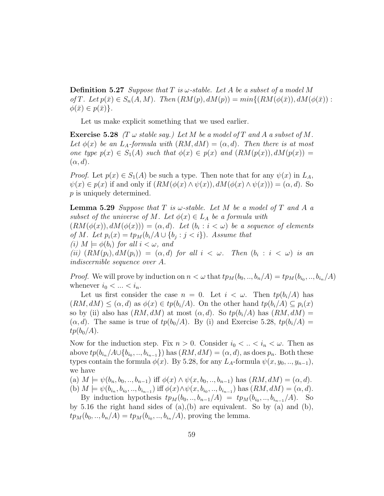**Definition 5.27** Suppose that T is  $\omega$ -stable. Let A be a subset of a model M of T. Let  $p(\bar{x}) \in S_n(A, M)$ . Then  $(RM(p), dM(p)) = min\{(RM(\phi(\bar{x})), dM(\phi(\bar{x})):$  $\phi(\bar{x}) \in p(\bar{x})\}.$ 

Let us make explicit something that we used earlier.

**Exercise 5.28** (T  $\omega$  stable say.) Let M be a model of T and A a subset of M. Let  $\phi(x)$  be an  $L_A$ -formula with  $(RM, dM) = (\alpha, d)$ . Then there is at most one type  $p(x) \in S_1(A)$  such that  $\phi(x) \in p(x)$  and  $(RM(p(x)), dM(p(x)) =$  $(\alpha, d)$ .

*Proof.* Let  $p(x) \in S_1(A)$  be such a type. Then note that for any  $\psi(x)$  in  $L_A$ ,  $\psi(x) \in p(x)$  if and only if  $(RM(\phi(x) \wedge \psi(x)), dM(\phi(x) \wedge \psi(x))) = (\alpha, d)$ . So p is uniquely determined.

**Lemma 5.29** Suppose that T is  $\omega$ -stable. Let M be a model of T and A a subset of the universe of M. Let  $\phi(x) \in L_A$  be a formula with  $(RM(\phi(x)), dM(\phi(x))) = (\alpha, d)$ . Let  $(b_i : i < \omega)$  be a sequence of elements of M. Let  $p_i(x) = tp_M(b_i/A \cup \{b_j : j < i\})$ . Assume that (i)  $M \models \phi(b_i)$  for all  $i < \omega$ , and (ii)  $(RM(p_i), dM(p_i)) = (\alpha, d)$  for all  $i < \omega$ . Then  $(b_i : i < \omega)$  is an indiscernible sequence over A.

*Proof.* We will prove by induction on  $n < \omega$  that  $tp_M(b_0, ..., b_n/A) = tp_M(b_{i_0}, ..., b_{i_n}/A)$ whenever  $i_0 < \ldots < i_n$ .

Let us first consider the case  $n = 0$ . Let  $i < \omega$ . Then  $tp(b_i/A)$  has  $(RM, dM) \leq (\alpha, d)$  as  $\phi(x) \in tp(b_i/A)$ . On the other hand  $tp(b_i/A) \subseteq p_i(x)$ so by (ii) also has  $(RM, dM)$  at most  $(\alpha, d)$ . So  $tp(b_i/A)$  has  $(RM, dM)$  =  $(\alpha, d)$ . The same is true of  $tp(b_0/A)$ . By (i) and Exercise 5.28,  $tp(b_i/A)$  =  $tp(b_0/A)$ .

Now for the induction step. Fix  $n > 0$ . Consider  $i_0 < ... < i_n < \omega$ . Then as above  $tp(b_{i_n}/A\cup\{b_{i_0},...,b_{i_{n-1}}\})$  has  $(RM, dM) = (\alpha, d)$ , as does  $p_n$ . Both these types contain the formula  $\phi(x)$ . By 5.28, for any L<sub>A</sub>-formula  $\psi(x, y_0, \ldots, y_{n-1}),$ we have

(a)  $M \models \psi(b_n, b_0, ..., b_{n-1})$  iff  $\phi(x) \land \psi(x, b_0, ..., b_{n-1})$  has  $(RM, dM) = (\alpha, d)$ .

(b)  $M \models \psi(b_{i_n}, b_{i_0}, ..., b_{i_{n-1}})$  iff  $\phi(x) \wedge \psi(x, b_{i_0}, ..., b_{i_{n-1}})$  has  $(RM, dM) = (\alpha, d)$ .

By induction hypothesis  $tp_M(b_0,..,b_{n-1}/A) = tp_M(b_{i_0},..,b_{i_{n-1}}/A)$ . So by 5.16 the right hand sides of  $(a)$ , $(b)$  are equivalent. So by  $(a)$  and  $(b)$ ,  $tp_M(b_0,..,b_n/A) = tp_M(b_{i_0},..,b_{i_n}/A)$ , proving the lemma.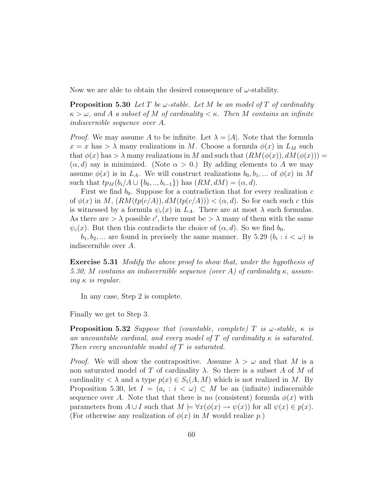Now we are able to obtain the desired consequence of  $\omega$ -stability.

**Proposition 5.30** Let T be w-stable. Let M be an model of T of cardinality  $\kappa > \omega$ , and A a subset of M of cardinality  $\lt \kappa$ . Then M contains an infinite indiscernible sequence over A.

*Proof.* We may assume A to be infinite. Let  $\lambda = |A|$ . Note that the formula  $x = x$  has  $> \lambda$  many realizations in M. Choose a formula  $\phi(x)$  in  $L_M$  such that  $\phi(x)$  has  $> \lambda$  many realizations in M and such that  $(RM(\phi(x)), dM(\phi(x))) =$  $(\alpha, d)$  say is minimized. (Note  $\alpha > 0$ .) By adding elements to A we may assume  $\phi(x)$  is in  $L_A$ . We will construct realizations  $b_0, b_1, ...$  of  $\phi(x)$  in M such that  $tp_M(b_i/A \cup \{b_0,..,b_{i-1}\})$  has  $(RM, dM) = (\alpha, d)$ .

First we find  $b_0$ . Suppose for a contradiction that for every realization c of  $\phi(x)$  in M,  $(RM(tp(c/A)), dM(tp(c/A))) < (\alpha, d)$ . So for each such c this is witnessed by a formula  $\psi_c(x)$  in  $L_A$ . There are at most  $\lambda$  such formulas. As there are  $>\lambda$  possible c', there must be  $>\lambda$  many of them with the same  $\psi_c(x)$ . But then this contradicts the choice of  $(\alpha, d)$ . So we find  $b_0$ .

 $b_1, b_2, \dots$  are found in precisely the same manner. By 5.29  $(b_i : i < \omega)$  is indiscernible over A.

Exercise 5.31 Modify the above proof to show that, under the hypothesis of 5.30, M contains an indiscernible sequence (over A) of cardinality  $\kappa$ , assuming  $\kappa$  is regular.

In any case, Step 2 is complete.

Finally we get to Step 3.

**Proposition 5.32** Suppose that (countable, complete) T is  $\omega$ -stable,  $\kappa$  is an uncountable cardinal, and every model of  $T$  of cardinality  $\kappa$  is saturated. Then every uncountable model of T is saturated.

*Proof.* We will show the contrapositive. Assume  $\lambda > \omega$  and that M is a non saturated model of T of cardinality  $\lambda$ . So there is a subset A of M of cardinality  $\langle \lambda \rangle$  and a type  $p(x) \in S_1(A, M)$  which is not realized in M. By Proposition 5.30, let  $I = (a_i : i < \omega) \subset M$  be an (infinite) indiscernible sequence over A. Note that that there is no (consistent) formula  $\phi(x)$  with parameters from  $A \cup I$  such that  $M \models \forall x (\phi(x) \rightarrow \psi(x))$  for all  $\psi(x) \in p(x)$ . (For otherwise any realization of  $\phi(x)$  in M would realize p.)